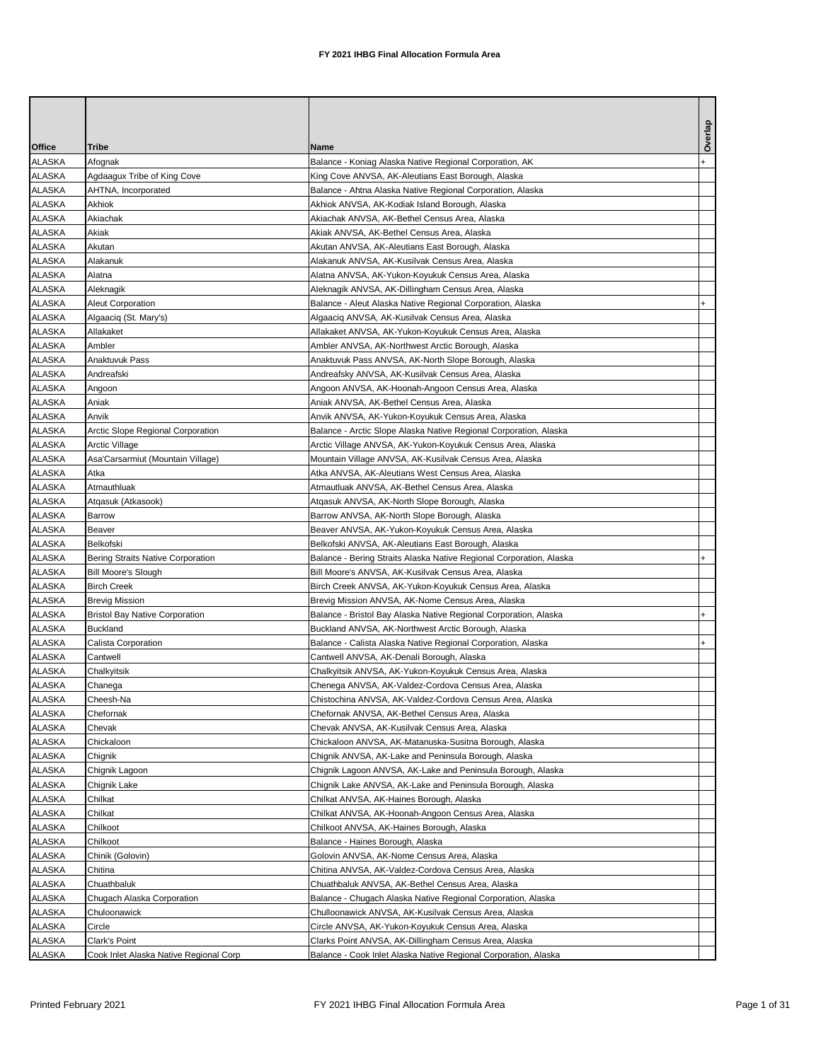|               |                                        |                                                                     | Overlap   |
|---------------|----------------------------------------|---------------------------------------------------------------------|-----------|
| Office        | Tribe                                  | Name                                                                |           |
| <b>ALASKA</b> | Afognak                                | Balance - Koniag Alaska Native Regional Corporation, AK             |           |
| <b>ALASKA</b> | Agdaagux Tribe of King Cove            | King Cove ANVSA, AK-Aleutians East Borough, Alaska                  |           |
| <b>ALASKA</b> | AHTNA, Incorporated                    | Balance - Ahtna Alaska Native Regional Corporation, Alaska          |           |
| <b>ALASKA</b> | Akhiok                                 | Akhiok ANVSA, AK-Kodiak Island Borough, Alaska                      |           |
| <b>ALASKA</b> | Akiachak                               | Akiachak ANVSA, AK-Bethel Census Area, Alaska                       |           |
| <b>ALASKA</b> | Akiak                                  | Akiak ANVSA, AK-Bethel Census Area, Alaska                          |           |
| ALASKA        | Akutan                                 | Akutan ANVSA, AK-Aleutians East Borough, Alaska                     |           |
| ALASKA        | Alakanuk                               | Alakanuk ANVSA, AK-Kusilvak Census Area, Alaska                     |           |
| <b>ALASKA</b> | Alatna                                 | Alatna ANVSA, AK-Yukon-Koyukuk Census Area, Alaska                  |           |
| <b>ALASKA</b> | Aleknagik                              | Aleknagik ANVSA, AK-Dillingham Census Area, Alaska                  |           |
| <b>ALASKA</b> | <b>Aleut Corporation</b>               | Balance - Aleut Alaska Native Regional Corporation, Alaska          |           |
| <b>ALASKA</b> | Algaaciq (St. Mary's)                  | Algaaciq ANVSA, AK-Kusilvak Census Area, Alaska                     |           |
| <b>ALASKA</b> | Allakaket                              | Allakaket ANVSA, AK-Yukon-Koyukuk Census Area, Alaska               |           |
| <b>ALASKA</b> | Ambler                                 | Ambler ANVSA, AK-Northwest Arctic Borough, Alaska                   |           |
| <b>ALASKA</b> | Anaktuvuk Pass                         | Anaktuvuk Pass ANVSA, AK-North Slope Borough, Alaska                |           |
| <b>ALASKA</b> | Andreafski                             | Andreafsky ANVSA, AK-Kusilvak Census Area, Alaska                   |           |
| <b>ALASKA</b> | Angoon                                 | Angoon ANVSA, AK-Hoonah-Angoon Census Area, Alaska                  |           |
| <b>ALASKA</b> | Aniak                                  | Aniak ANVSA, AK-Bethel Census Area, Alaska                          |           |
| <b>ALASKA</b> | Anvik                                  | Anvik ANVSA, AK-Yukon-Koyukuk Census Area, Alaska                   |           |
| <b>ALASKA</b> | Arctic Slope Regional Corporation      | Balance - Arctic Slope Alaska Native Regional Corporation, Alaska   |           |
| <b>ALASKA</b> | Arctic Village                         | Arctic Village ANVSA, AK-Yukon-Koyukuk Census Area, Alaska          |           |
| <b>ALASKA</b> | Asa'Carsarmiut (Mountain Village)      | Mountain Village ANVSA, AK-Kusilvak Census Area, Alaska             |           |
| <b>ALASKA</b> | Atka                                   | Atka ANVSA, AK-Aleutians West Census Area, Alaska                   |           |
| <b>ALASKA</b> | Atmauthluak                            | Atmautluak ANVSA, AK-Bethel Census Area, Alaska                     |           |
| <b>ALASKA</b> | Atgasuk (Atkasook)                     | Atqasuk ANVSA, AK-North Slope Borough, Alaska                       |           |
| <b>ALASKA</b> | Barrow                                 | Barrow ANVSA, AK-North Slope Borough, Alaska                        |           |
| ALASKA        | Beaver                                 | Beaver ANVSA, AK-Yukon-Koyukuk Census Area, Alaska                  |           |
| ALASKA        | Belkofski                              | Belkofski ANVSA, AK-Aleutians East Borough, Alaska                  |           |
| ALASKA        | Bering Straits Native Corporation      | Balance - Bering Straits Alaska Native Regional Corporation, Alaska |           |
| <b>ALASKA</b> | Bill Moore's Slough                    | Bill Moore's ANVSA, AK-Kusilvak Census Area, Alaska                 |           |
| <b>ALASKA</b> | <b>Birch Creek</b>                     | Birch Creek ANVSA, AK-Yukon-Koyukuk Census Area, Alaska             |           |
| <b>ALASKA</b> | Brevig Mission                         | Brevig Mission ANVSA, AK-Nome Census Area, Alaska                   |           |
| <b>ALASKA</b> | <b>Bristol Bay Native Corporation</b>  | Balance - Bristol Bay Alaska Native Regional Corporation, Alaska    |           |
| <b>ALASKA</b> | <b>Buckland</b>                        | Buckland ANVSA, AK-Northwest Arctic Borough, Alaska                 |           |
| <b>ALASKA</b> | Calista Corporation                    | Balance - Calista Alaska Native Regional Corporation, Alaska        | $\ddot{}$ |
| ALASKA        | Cantwell                               | Cantwell ANVSA, AK-Denali Borough, Alaska                           |           |
| <b>ALASKA</b> | Chalkyitsik                            | Chalkyitsik ANVSA, AK-Yukon-Koyukuk Census Area, Alaska             |           |
| <b>ALASKA</b> | Chanega                                | Chenega ANVSA, AK-Valdez-Cordova Census Area, Alaska                |           |
| <b>ALASKA</b> | Cheesh-Na                              | Chistochina ANVSA, AK-Valdez-Cordova Census Area, Alaska            |           |
| <b>ALASKA</b> | Chefornak                              | Chefornak ANVSA, AK-Bethel Census Area, Alaska                      |           |
| <b>ALASKA</b> | Chevak                                 | Chevak ANVSA, AK-Kusilvak Census Area, Alaska                       |           |
| <b>ALASKA</b> | Chickaloon                             | Chickaloon ANVSA, AK-Matanuska-Susitna Borough, Alaska              |           |
| <b>ALASKA</b> | Chignik                                | Chignik ANVSA, AK-Lake and Peninsula Borough, Alaska                |           |
| <b>ALASKA</b> | Chignik Lagoon                         | Chignik Lagoon ANVSA, AK-Lake and Peninsula Borough, Alaska         |           |
| <b>ALASKA</b> | Chignik Lake                           | Chignik Lake ANVSA, AK-Lake and Peninsula Borough, Alaska           |           |
| <b>ALASKA</b> | Chilkat                                | Chilkat ANVSA, AK-Haines Borough, Alaska                            |           |
| <b>ALASKA</b> | Chilkat                                | Chilkat ANVSA, AK-Hoonah-Angoon Census Area, Alaska                 |           |
| ALASKA        | Chilkoot                               | Chilkoot ANVSA, AK-Haines Borough, Alaska                           |           |
| ALASKA        | Chilkoot                               | Balance - Haines Borough, Alaska                                    |           |
| ALASKA        | Chinik (Golovin)                       | Golovin ANVSA, AK-Nome Census Area, Alaska                          |           |
| <b>ALASKA</b> | Chitina                                | Chitina ANVSA, AK-Valdez-Cordova Census Area, Alaska                |           |
| ALASKA        | Chuathbaluk                            | Chuathbaluk ANVSA, AK-Bethel Census Area, Alaska                    |           |
| <b>ALASKA</b> | Chugach Alaska Corporation             | Balance - Chugach Alaska Native Regional Corporation, Alaska        |           |
| <b>ALASKA</b> | Chuloonawick                           | Chulloonawick ANVSA, AK-Kusilvak Census Area, Alaska                |           |
| <b>ALASKA</b> | Circle                                 | Circle ANVSA, AK-Yukon-Koyukuk Census Area, Alaska                  |           |
| ALASKA        | Clark's Point                          | Clarks Point ANVSA, AK-Dillingham Census Area, Alaska               |           |
| <b>ALASKA</b> | Cook Inlet Alaska Native Regional Corp | Balance - Cook Inlet Alaska Native Regional Corporation, Alaska     |           |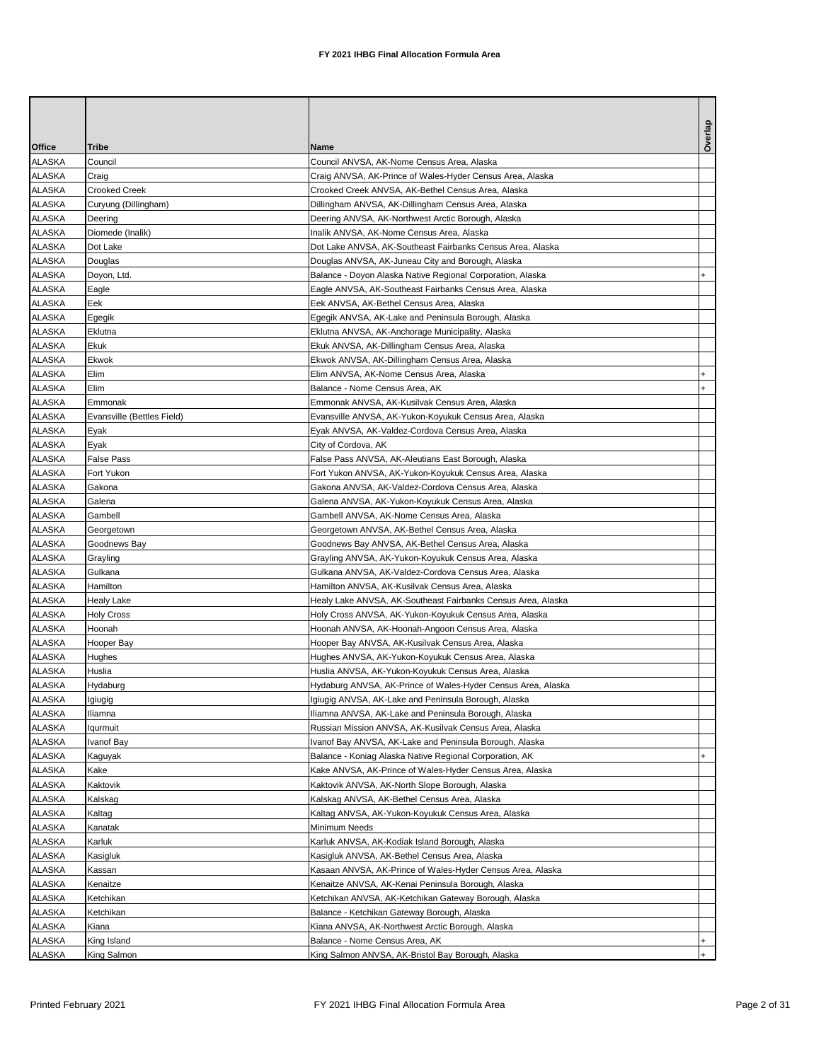|                                |                            |                                                                                                             | Overlap |
|--------------------------------|----------------------------|-------------------------------------------------------------------------------------------------------------|---------|
| Office                         | Tribe                      | Name                                                                                                        |         |
| ALASKA                         | Council                    | Council ANVSA, AK-Nome Census Area, Alaska                                                                  |         |
| ALASKA                         | Craig                      | Craig ANVSA, AK-Prince of Wales-Hyder Census Area, Alaska                                                   |         |
| ALASKA                         | Crooked Creek              | Crooked Creek ANVSA, AK-Bethel Census Area, Alaska                                                          |         |
| ALASKA                         | Curyung (Dillingham)       | Dillingham ANVSA, AK-Dillingham Census Area, Alaska                                                         |         |
| ALASKA                         | Deering                    | Deering ANVSA, AK-Northwest Arctic Borough, Alaska                                                          |         |
| ALASKA                         | Diomede (Inalik)           | Inalik ANVSA, AK-Nome Census Area, Alaska                                                                   |         |
| ALASKA                         | Dot Lake                   | Dot Lake ANVSA, AK-Southeast Fairbanks Census Area, Alaska                                                  |         |
| ALASKA                         | Douglas                    | Douglas ANVSA, AK-Juneau City and Borough, Alaska                                                           |         |
| <b>ALASKA</b>                  | Doyon, Ltd.                | Balance - Doyon Alaska Native Regional Corporation, Alaska                                                  |         |
| ALASKA                         | Eagle                      | Eagle ANVSA, AK-Southeast Fairbanks Census Area, Alaska                                                     |         |
| ALASKA                         | Eek                        | Eek ANVSA, AK-Bethel Census Area, Alaska                                                                    |         |
| ALASKA                         | Egegik                     | Egegik ANVSA, AK-Lake and Peninsula Borough, Alaska                                                         |         |
| <b>ALASKA</b>                  | Eklutna                    | Eklutna ANVSA, AK-Anchorage Municipality, Alaska                                                            |         |
| ALASKA                         | Ekuk                       | Ekuk ANVSA, AK-Dillingham Census Area, Alaska                                                               |         |
| ALASKA                         | Ekwok                      | Ekwok ANVSA, AK-Dillingham Census Area, Alaska                                                              |         |
| <b>ALASKA</b>                  | Elim                       | Elim ANVSA, AK-Nome Census Area, Alaska                                                                     |         |
| <b>ALASKA</b>                  | Elim                       | Balance - Nome Census Area, AK                                                                              |         |
| ALASKA                         | Emmonak                    | Emmonak ANVSA, AK-Kusilvak Census Area, Alaska                                                              |         |
| ALASKA                         | Evansville (Bettles Field) | Evansville ANVSA, AK-Yukon-Koyukuk Census Area, Alaska                                                      |         |
| <b>ALASKA</b>                  | Eyak                       | Eyak ANVSA, AK-Valdez-Cordova Census Area, Alaska                                                           |         |
| <b>ALASKA</b>                  | Eyak                       | City of Cordova, AK                                                                                         |         |
| ALASKA                         | False Pass                 | False Pass ANVSA, AK-Aleutians East Borough, Alaska                                                         |         |
| ALASKA                         | Fort Yukon                 | Fort Yukon ANVSA, AK-Yukon-Koyukuk Census Area, Alaska                                                      |         |
| ALASKA                         | Gakona                     | Gakona ANVSA, AK-Valdez-Cordova Census Area, Alaska                                                         |         |
| <b>ALASKA</b>                  | Galena                     | Galena ANVSA, AK-Yukon-Koyukuk Census Area, Alaska                                                          |         |
| ALASKA                         | Gambell                    | Gambell ANVSA, AK-Nome Census Area, Alaska                                                                  |         |
| ALASKA                         | Georgetown                 | Georgetown ANVSA, AK-Bethel Census Area, Alaska                                                             |         |
| ALASKA                         | Goodnews Bay               | Goodnews Bay ANVSA, AK-Bethel Census Area, Alaska                                                           |         |
| ALASKA                         | Grayling                   | Grayling ANVSA, AK-Yukon-Koyukuk Census Area, Alaska                                                        |         |
| ALASKA                         | Gulkana                    | Gulkana ANVSA, AK-Valdez-Cordova Census Area, Alaska                                                        |         |
| ALASKA                         | Hamilton                   | Hamilton ANVSA, AK-Kusilvak Census Area, Alaska                                                             |         |
| ALASKA                         | Healy Lake                 | Healy Lake ANVSA, AK-Southeast Fairbanks Census Area, Alaska                                                |         |
| <b>ALASKA</b>                  | <b>Holy Cross</b>          | Holy Cross ANVSA, AK-Yukon-Koyukuk Census Area, Alaska                                                      |         |
| <b>ALASKA</b>                  | Hoonah                     | Hoonah ANVSA, AK-Hoonah-Angoon Census Area, Alaska                                                          |         |
| ALASKA                         | Hooper Bay                 | Hooper Bay ANVSA, AK-Kusilvak Census Area, Alaska                                                           |         |
| ALASKA                         | Hughes                     | Hughes ANVSA, AK-Yukon-Koyukuk Census Area, Alaska                                                          |         |
| <b>ALASKA</b>                  | Huslia                     | Huslia ANVSA, AK-Yukon-Koyukuk Census Area, Alaska                                                          |         |
| <b>ALASKA</b>                  | Hydaburg                   | Hydaburg ANVSA, AK-Prince of Wales-Hyder Census Area, Alaska                                                |         |
| <b>ALASKA</b>                  | Igiugig                    | Igiugig ANVSA, AK-Lake and Peninsula Borough, Alaska                                                        |         |
| <b>ALASKA</b>                  | lliamna                    | Iliamna ANVSA, AK-Lake and Peninsula Borough, Alaska                                                        |         |
| <b>ALASKA</b><br><b>ALASKA</b> | lqurmuit                   | Russian Mission ANVSA, AK-Kusilvak Census Area, Alaska                                                      |         |
| <b>ALASKA</b>                  | Ivanof Bay                 | Ivanof Bay ANVSA, AK-Lake and Peninsula Borough, Alaska                                                     |         |
| <b>ALASKA</b>                  | Kaguyak                    | Balance - Koniag Alaska Native Regional Corporation, AK                                                     |         |
| <b>ALASKA</b>                  | Kake                       | Kake ANVSA, AK-Prince of Wales-Hyder Census Area, Alaska                                                    |         |
| <b>ALASKA</b>                  | Kaktovik                   | Kaktovik ANVSA, AK-North Slope Borough, Alaska                                                              |         |
| <b>ALASKA</b>                  | Kalskag                    | Kalskag ANVSA, AK-Bethel Census Area, Alaska<br>Kaltag ANVSA, AK-Yukon-Koyukuk Census Area, Alaska          |         |
|                                | Kaltag                     |                                                                                                             |         |
| ALASKA<br><b>ALASKA</b>        | Kanatak<br>Karluk          | Minimum Needs<br>Karluk ANVSA, AK-Kodiak Island Borough, Alaska                                             |         |
| <b>ALASKA</b>                  | Kasigluk                   |                                                                                                             |         |
| <b>ALASKA</b>                  | Kassan                     | Kasigluk ANVSA, AK-Bethel Census Area, Alaska<br>Kasaan ANVSA, AK-Prince of Wales-Hyder Census Area, Alaska |         |
|                                |                            |                                                                                                             |         |
| ALASKA<br><b>ALASKA</b>        | Kenaitze                   | Kenaitze ANVSA, AK-Kenai Peninsula Borough, Alaska                                                          |         |
|                                | Ketchikan                  | Ketchikan ANVSA, AK-Ketchikan Gateway Borough, Alaska                                                       |         |
| <b>ALASKA</b><br><b>ALASKA</b> | Ketchikan                  | Balance - Ketchikan Gateway Borough, Alaska                                                                 |         |
| ALASKA                         | Kiana                      | Kiana ANVSA, AK-Northwest Arctic Borough, Alaska<br>Balance - Nome Census Area, AK                          | $+$     |
| <b>ALASKA</b>                  | King Island<br>King Salmon | King Salmon ANVSA, AK-Bristol Bay Borough, Alaska                                                           |         |
|                                |                            |                                                                                                             |         |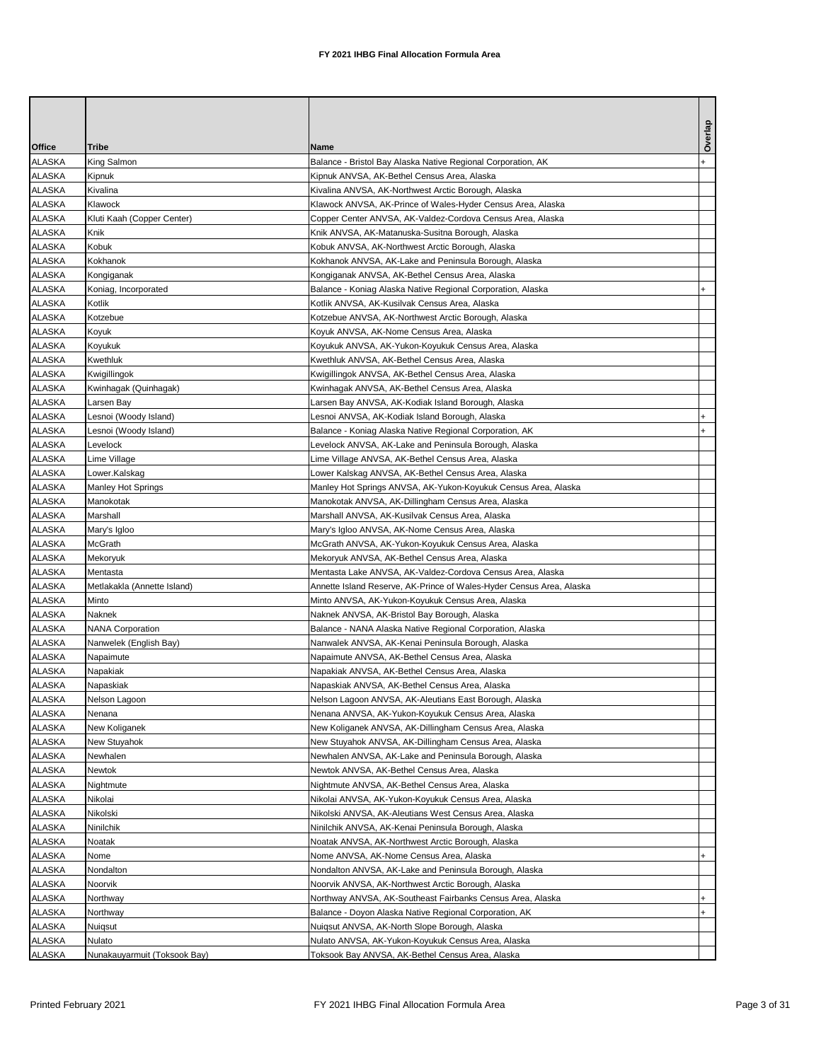| Office                         | Tribe                        | Name                                                                                                         | Overlap |
|--------------------------------|------------------------------|--------------------------------------------------------------------------------------------------------------|---------|
| ALASKA                         | King Salmon                  | Balance - Bristol Bay Alaska Native Regional Corporation, AK                                                 |         |
| <b>ALASKA</b>                  | Kipnuk                       | Kipnuk ANVSA, AK-Bethel Census Area, Alaska                                                                  |         |
| <b>ALASKA</b>                  | Kivalina                     | Kivalina ANVSA, AK-Northwest Arctic Borough, Alaska                                                          |         |
| <b>ALASKA</b>                  | Klawock                      | Klawock ANVSA, AK-Prince of Wales-Hyder Census Area, Alaska                                                  |         |
| <b>ALASKA</b>                  | Kluti Kaah (Copper Center)   | Copper Center ANVSA, AK-Valdez-Cordova Census Area, Alaska                                                   |         |
| <b>ALASKA</b>                  | Knik                         | Knik ANVSA, AK-Matanuska-Susitna Borough, Alaska                                                             |         |
| <b>ALASKA</b>                  | Kobuk                        | Kobuk ANVSA, AK-Northwest Arctic Borough, Alaska                                                             |         |
| <b>ALASKA</b>                  | Kokhanok                     | Kokhanok ANVSA, AK-Lake and Peninsula Borough, Alaska                                                        |         |
| <b>ALASKA</b>                  | Kongiganak                   | Kongiganak ANVSA, AK-Bethel Census Area, Alaska                                                              |         |
| <b>ALASKA</b>                  | Koniag, Incorporated         | Balance - Koniag Alaska Native Regional Corporation, Alaska                                                  |         |
| <b>ALASKA</b>                  | Kotlik                       | Kotlik ANVSA, AK-Kusilvak Census Area, Alaska                                                                |         |
| <b>ALASKA</b>                  | Kotzebue                     | Kotzebue ANVSA, AK-Northwest Arctic Borough, Alaska                                                          |         |
| <b>ALASKA</b>                  | Koyuk                        | Koyuk ANVSA, AK-Nome Census Area, Alaska                                                                     |         |
| <b>ALASKA</b>                  | Koyukuk                      | Koyukuk ANVSA, AK-Yukon-Koyukuk Census Area, Alaska                                                          |         |
| <b>ALASKA</b>                  | Kwethluk                     | Kwethluk ANVSA, AK-Bethel Census Area, Alaska                                                                |         |
| <b>ALASKA</b>                  | Kwigillingok                 | Kwigillingok ANVSA, AK-Bethel Census Area, Alaska                                                            |         |
| <b>ALASKA</b>                  | Kwinhagak (Quinhagak)        | Kwinhagak ANVSA, AK-Bethel Census Area, Alaska                                                               |         |
| ALASKA                         | Larsen Bay                   | Larsen Bay ANVSA, AK-Kodiak Island Borough, Alaska                                                           |         |
| ALASKA                         | Lesnoi (Woody Island)        | Lesnoi ANVSA, AK-Kodiak Island Borough, Alaska                                                               |         |
| <b>ALASKA</b>                  | Lesnoi (Woody Island)        | Balance - Koniag Alaska Native Regional Corporation, AK                                                      |         |
| <b>ALASKA</b>                  | Levelock                     | Levelock ANVSA, AK-Lake and Peninsula Borough, Alaska                                                        |         |
| ALASKA                         | Lime Village                 | Lime Village ANVSA, AK-Bethel Census Area, Alaska                                                            |         |
| ALASKA                         | Lower.Kalskag                | Lower Kalskag ANVSA, AK-Bethel Census Area, Alaska                                                           |         |
| ALASKA                         | <b>Manley Hot Springs</b>    | Manley Hot Springs ANVSA, AK-Yukon-Koyukuk Census Area, Alaska                                               |         |
| ALASKA                         | Manokotak                    | Manokotak ANVSA, AK-Dillingham Census Area, Alaska                                                           |         |
| ALASKA                         | Marshall                     | Marshall ANVSA, AK-Kusilvak Census Area, Alaska                                                              |         |
| <b>ALASKA</b>                  | Mary's Igloo                 | Mary's Igloo ANVSA, AK-Nome Census Area, Alaska                                                              |         |
| <b>ALASKA</b>                  | McGrath                      | McGrath ANVSA, AK-Yukon-Koyukuk Census Area, Alaska                                                          |         |
| <b>ALASKA</b>                  | Mekoryuk                     | Mekoryuk ANVSA, AK-Bethel Census Area, Alaska                                                                |         |
| ALASKA                         | Mentasta                     | Mentasta Lake ANVSA, AK-Valdez-Cordova Census Area, Alaska                                                   |         |
| ALASKA                         | Metlakakla (Annette Island)  | Annette Island Reserve, AK-Prince of Wales-Hyder Census Area, Alaska                                         |         |
| ALASKA                         | Minto                        | Minto ANVSA, AK-Yukon-Koyukuk Census Area, Alaska                                                            |         |
| <b>ALASKA</b>                  | Naknek                       | Naknek ANVSA, AK-Bristol Bay Borough, Alaska                                                                 |         |
| <b>ALASKA</b>                  | <b>NANA Corporation</b>      | Balance - NANA Alaska Native Regional Corporation, Alaska                                                    |         |
| <b>ALASKA</b>                  | Nanwelek (English Bay)       | Nanwalek ANVSA, AK-Kenai Peninsula Borough, Alaska                                                           |         |
| <b>ALASKA</b><br><b>ALASKA</b> | Napaimute<br>Napakiak        | Napaimute ANVSA, AK-Bethel Census Area, Alaska<br>Napakiak ANVSA, AK-Bethel Census Area, Alaska              |         |
| <b>ALASKA</b>                  | Napaskiak                    | Napaskiak ANVSA, AK-Bethel Census Area, Alaska                                                               |         |
|                                |                              |                                                                                                              |         |
| ALASKA<br><b>ALASKA</b>        | Nelson Lagoon<br>Nenana      | Nelson Lagoon ANVSA, AK-Aleutians East Borough, Alaska<br>Nenana ANVSA, AK-Yukon-Koyukuk Census Area, Alaska |         |
| <b>ALASKA</b>                  | New Koliganek                | New Koliganek ANVSA, AK-Dillingham Census Area, Alaska                                                       |         |
| <b>ALASKA</b>                  | New Stuyahok                 | New Stuyahok ANVSA, AK-Dillingham Census Area, Alaska                                                        |         |
| ALASKA                         | Newhalen                     | Newhalen ANVSA, AK-Lake and Peninsula Borough, Alaska                                                        |         |
| <b>ALASKA</b>                  | Newtok                       | Newtok ANVSA, AK-Bethel Census Area, Alaska                                                                  |         |
| <b>ALASKA</b>                  | Nightmute                    | Nightmute ANVSA, AK-Bethel Census Area, Alaska                                                               |         |
| <b>ALASKA</b>                  | Nikolai                      | Nikolai ANVSA, AK-Yukon-Koyukuk Census Area, Alaska                                                          |         |
| ALASKA                         | Nikolski                     | Nikolski ANVSA, AK-Aleutians West Census Area, Alaska                                                        |         |
| <b>ALASKA</b>                  | Ninilchik                    | Ninilchik ANVSA, AK-Kenai Peninsula Borough, Alaska                                                          |         |
| <b>ALASKA</b>                  | Noatak                       | Noatak ANVSA, AK-Northwest Arctic Borough, Alaska                                                            |         |
| <b>ALASKA</b>                  | Nome                         | Nome ANVSA, AK-Nome Census Area, Alaska                                                                      |         |
| <b>ALASKA</b>                  | Nondalton                    | Nondalton ANVSA, AK-Lake and Peninsula Borough, Alaska                                                       |         |
| <b>ALASKA</b>                  | Noorvik                      | Noorvik ANVSA, AK-Northwest Arctic Borough, Alaska                                                           |         |
| <b>ALASKA</b>                  | Northway                     | Northway ANVSA, AK-Southeast Fairbanks Census Area, Alaska                                                   |         |
| <b>ALASKA</b>                  | Northway                     | Balance - Doyon Alaska Native Regional Corporation, AK                                                       |         |
| ALASKA                         | Nuiqsut                      | Nuigsut ANVSA, AK-North Slope Borough, Alaska                                                                |         |
| <b>ALASKA</b>                  | Nulato                       | Nulato ANVSA, AK-Yukon-Koyukuk Census Area, Alaska                                                           |         |
| <b>ALASKA</b>                  | Nunakauyarmuit (Toksook Bay) | Toksook Bay ANVSA, AK-Bethel Census Area, Alaska                                                             |         |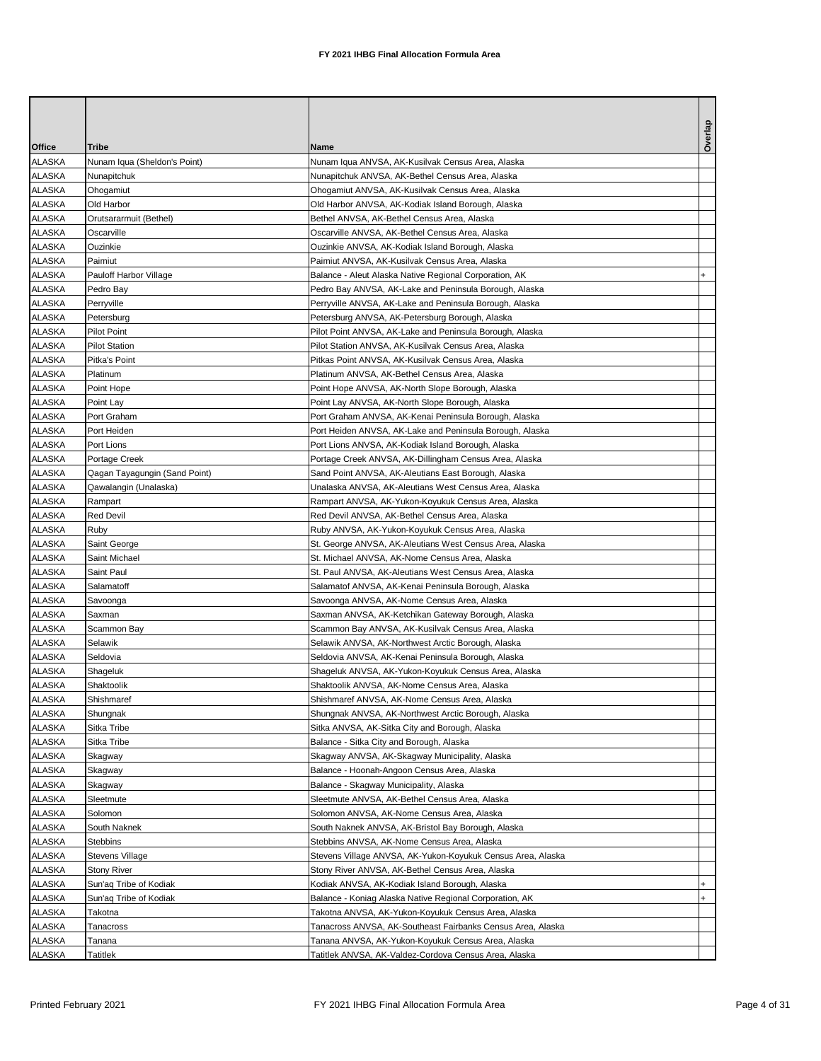| Overlap<br>Office<br>Tribe<br>Name<br><b>ALASKA</b><br>Nunam Iqua (Sheldon's Point)<br>Nunam Iqua ANVSA, AK-Kusilvak Census Area, Alaska<br>ALASKA<br>Nunapitchuk<br>Nunapitchuk ANVSA, AK-Bethel Census Area, Alaska<br>ALASKA<br>Ohogamiut<br>Ohogamiut ANVSA, AK-Kusilvak Census Area, Alaska<br>ALASKA<br>Old Harbor<br>Old Harbor ANVSA, AK-Kodiak Island Borough, Alaska<br>ALASKA<br>Orutsararmuit (Bethel)<br>Bethel ANVSA, AK-Bethel Census Area, Alaska<br><b>ALASKA</b><br>Oscarville<br>Oscarville ANVSA, AK-Bethel Census Area, Alaska<br>ALASKA<br>Ouzinkie<br>Ouzinkie ANVSA, AK-Kodiak Island Borough, Alaska<br><b>ALASKA</b><br>Paimiut<br>Paimiut ANVSA, AK-Kusilvak Census Area, Alaska<br>ALASKA<br>Pauloff Harbor Village<br>Balance - Aleut Alaska Native Regional Corporation, AK<br>ALASKA<br>Pedro Bay ANVSA, AK-Lake and Peninsula Borough, Alaska<br>Pedro Bay<br><b>ALASKA</b><br>Perryville ANVSA, AK-Lake and Peninsula Borough, Alaska<br>Perryville<br>ALASKA<br>Petersburg ANVSA, AK-Petersburg Borough, Alaska<br>Petersburg<br><b>ALASKA</b><br><b>Pilot Point</b><br>Pilot Point ANVSA, AK-Lake and Peninsula Borough, Alaska<br><b>ALASKA</b><br>Pilot Station ANVSA, AK-Kusilvak Census Area, Alaska<br><b>Pilot Station</b><br>ALASKA<br>Pitkas Point ANVSA, AK-Kusilvak Census Area, Alaska<br>Pitka's Point<br><b>ALASKA</b><br>Platinum<br>Platinum ANVSA, AK-Bethel Census Area, Alaska<br><b>ALASKA</b><br>Point Hope<br>Point Hope ANVSA, AK-North Slope Borough, Alaska<br><b>ALASKA</b><br>Point Lay<br>Point Lay ANVSA, AK-North Slope Borough, Alaska<br><b>ALASKA</b><br>Port Graham<br>Port Graham ANVSA, AK-Kenai Peninsula Borough, Alaska<br>ALASKA<br>Port Heiden<br>Port Heiden ANVSA, AK-Lake and Peninsula Borough, Alaska<br><b>ALASKA</b><br>Port Lions<br>Port Lions ANVSA, AK-Kodiak Island Borough, Alaska<br>ALASKA<br>Portage Creek ANVSA, AK-Dillingham Census Area, Alaska<br>Portage Creek<br><b>ALASKA</b><br>Qagan Tayagungin (Sand Point)<br>Sand Point ANVSA, AK-Aleutians East Borough, Alaska<br>ALASKA<br>Qawalangin (Unalaska)<br>Unalaska ANVSA, AK-Aleutians West Census Area, Alaska<br><b>ALASKA</b><br>Rampart<br>Rampart ANVSA, AK-Yukon-Koyukuk Census Area, Alaska<br>ALASKA<br><b>Red Devil</b><br>Red Devil ANVSA, AK-Bethel Census Area, Alaska<br><b>ALASKA</b><br>Ruby<br>Ruby ANVSA, AK-Yukon-Koyukuk Census Area, Alaska<br>ALASKA<br>Saint George<br>St. George ANVSA, AK-Aleutians West Census Area, Alaska<br>ALASKA<br>Saint Michael<br>St. Michael ANVSA, AK-Nome Census Area, Alaska<br>ALASKA<br>Saint Paul<br>St. Paul ANVSA, AK-Aleutians West Census Area, Alaska<br><b>ALASKA</b><br>Salamatoff<br>Salamatof ANVSA, AK-Kenai Peninsula Borough, Alaska<br>ALASKA<br>Savoonga<br>Savoonga ANVSA, AK-Nome Census Area, Alaska<br><b>ALASKA</b><br>Saxman<br>Saxman ANVSA, AK-Ketchikan Gateway Borough, Alaska<br><b>ALASKA</b><br>Scammon Bay<br>Scammon Bay ANVSA, AK-Kusilvak Census Area, Alaska<br>ALASKA<br>Selawik<br>Selawik ANVSA, AK-Northwest Arctic Borough, Alaska<br>ALASKA<br>Seldovia<br>Seldovia ANVSA, AK-Kenai Peninsula Borough, Alaska<br>ALASKA<br>Shageluk<br>Shageluk ANVSA, AK-Yukon-Koyukuk Census Area, Alaska<br><b>ALASKA</b><br>Shaktoolik<br>Shaktoolik ANVSA, AK-Nome Census Area, Alaska<br><b>ALASKA</b><br>Shishmaref ANVSA, AK-Nome Census Area, Alaska<br>Shishmaref<br><b>ALASKA</b><br>Shungnak<br>Shungnak ANVSA, AK-Northwest Arctic Borough, Alaska<br><b>ALASKA</b><br>Sitka Tribe<br>Sitka ANVSA, AK-Sitka City and Borough, Alaska<br><b>ALASKA</b><br>Balance - Sitka City and Borough, Alaska<br>Sitka Tribe<br>ALASKA<br>Skagway<br>Skagway ANVSA, AK-Skagway Municipality, Alaska<br><b>ALASKA</b><br>Balance - Hoonah-Angoon Census Area, Alaska<br>Skagway<br><b>ALASKA</b><br>Skagway<br>Balance - Skagway Municipality, Alaska<br><b>ALASKA</b><br>Sleetmute<br>Sleetmute ANVSA, AK-Bethel Census Area, Alaska<br><b>ALASKA</b><br>Solomon<br>Solomon ANVSA, AK-Nome Census Area, Alaska<br><b>ALASKA</b><br>South Naknek<br>South Naknek ANVSA, AK-Bristol Bay Borough, Alaska<br><b>ALASKA</b><br>Stebbins<br>Stebbins ANVSA, AK-Nome Census Area, Alaska<br><b>ALASKA</b><br>Stevens Village<br>Stevens Village ANVSA, AK-Yukon-Koyukuk Census Area, Alaska<br><b>ALASKA</b><br><b>Stony River</b><br>Stony River ANVSA, AK-Bethel Census Area, Alaska<br>ALASKA<br>Sun'ag Tribe of Kodiak<br>Kodiak ANVSA, AK-Kodiak Island Borough, Alaska<br><b>ALASKA</b><br>Sun'aq Tribe of Kodiak<br>Balance - Koniag Alaska Native Regional Corporation, AK<br><b>ALASKA</b><br>Takotna<br>Takotna ANVSA, AK-Yukon-Koyukuk Census Area, Alaska<br><b>ALASKA</b><br>Tanacross<br>Tanacross ANVSA, AK-Southeast Fairbanks Census Area, Alaska<br>ALASKA<br>Tanana ANVSA, AK-Yukon-Koyukuk Census Area, Alaska<br>Tanana |  |  |
|---------------------------------------------------------------------------------------------------------------------------------------------------------------------------------------------------------------------------------------------------------------------------------------------------------------------------------------------------------------------------------------------------------------------------------------------------------------------------------------------------------------------------------------------------------------------------------------------------------------------------------------------------------------------------------------------------------------------------------------------------------------------------------------------------------------------------------------------------------------------------------------------------------------------------------------------------------------------------------------------------------------------------------------------------------------------------------------------------------------------------------------------------------------------------------------------------------------------------------------------------------------------------------------------------------------------------------------------------------------------------------------------------------------------------------------------------------------------------------------------------------------------------------------------------------------------------------------------------------------------------------------------------------------------------------------------------------------------------------------------------------------------------------------------------------------------------------------------------------------------------------------------------------------------------------------------------------------------------------------------------------------------------------------------------------------------------------------------------------------------------------------------------------------------------------------------------------------------------------------------------------------------------------------------------------------------------------------------------------------------------------------------------------------------------------------------------------------------------------------------------------------------------------------------------------------------------------------------------------------------------------------------------------------------------------------------------------------------------------------------------------------------------------------------------------------------------------------------------------------------------------------------------------------------------------------------------------------------------------------------------------------------------------------------------------------------------------------------------------------------------------------------------------------------------------------------------------------------------------------------------------------------------------------------------------------------------------------------------------------------------------------------------------------------------------------------------------------------------------------------------------------------------------------------------------------------------------------------------------------------------------------------------------------------------------------------------------------------------------------------------------------------------------------------------------------------------------------------------------------------------------------------------------------------------------------------------------------------------------------------------------------------------------------------------------------------------------------------------------------------------------------------------------------------------------------------------------------------------------------------------------------------------------------------------------------------------------------------------------------------------------------------------------------------------------------------------------------------------------------------------------------------------------------------------------------------------------------------------------------------------------------------------------------------------------------------------------------------------------------------------------------------------------------------------------------------------------------------------------------------------|--|--|
|                                                                                                                                                                                                                                                                                                                                                                                                                                                                                                                                                                                                                                                                                                                                                                                                                                                                                                                                                                                                                                                                                                                                                                                                                                                                                                                                                                                                                                                                                                                                                                                                                                                                                                                                                                                                                                                                                                                                                                                                                                                                                                                                                                                                                                                                                                                                                                                                                                                                                                                                                                                                                                                                                                                                                                                                                                                                                                                                                                                                                                                                                                                                                                                                                                                                                                                                                                                                                                                                                                                                                                                                                                                                                                                                                                                                                                                                                                                                                                                                                                                                                                                                                                                                                                                                                                                                                                                                                                                                                                                                                                                                                                                                                                                                                                                                                                                                           |  |  |
|                                                                                                                                                                                                                                                                                                                                                                                                                                                                                                                                                                                                                                                                                                                                                                                                                                                                                                                                                                                                                                                                                                                                                                                                                                                                                                                                                                                                                                                                                                                                                                                                                                                                                                                                                                                                                                                                                                                                                                                                                                                                                                                                                                                                                                                                                                                                                                                                                                                                                                                                                                                                                                                                                                                                                                                                                                                                                                                                                                                                                                                                                                                                                                                                                                                                                                                                                                                                                                                                                                                                                                                                                                                                                                                                                                                                                                                                                                                                                                                                                                                                                                                                                                                                                                                                                                                                                                                                                                                                                                                                                                                                                                                                                                                                                                                                                                                                           |  |  |
|                                                                                                                                                                                                                                                                                                                                                                                                                                                                                                                                                                                                                                                                                                                                                                                                                                                                                                                                                                                                                                                                                                                                                                                                                                                                                                                                                                                                                                                                                                                                                                                                                                                                                                                                                                                                                                                                                                                                                                                                                                                                                                                                                                                                                                                                                                                                                                                                                                                                                                                                                                                                                                                                                                                                                                                                                                                                                                                                                                                                                                                                                                                                                                                                                                                                                                                                                                                                                                                                                                                                                                                                                                                                                                                                                                                                                                                                                                                                                                                                                                                                                                                                                                                                                                                                                                                                                                                                                                                                                                                                                                                                                                                                                                                                                                                                                                                                           |  |  |
|                                                                                                                                                                                                                                                                                                                                                                                                                                                                                                                                                                                                                                                                                                                                                                                                                                                                                                                                                                                                                                                                                                                                                                                                                                                                                                                                                                                                                                                                                                                                                                                                                                                                                                                                                                                                                                                                                                                                                                                                                                                                                                                                                                                                                                                                                                                                                                                                                                                                                                                                                                                                                                                                                                                                                                                                                                                                                                                                                                                                                                                                                                                                                                                                                                                                                                                                                                                                                                                                                                                                                                                                                                                                                                                                                                                                                                                                                                                                                                                                                                                                                                                                                                                                                                                                                                                                                                                                                                                                                                                                                                                                                                                                                                                                                                                                                                                                           |  |  |
|                                                                                                                                                                                                                                                                                                                                                                                                                                                                                                                                                                                                                                                                                                                                                                                                                                                                                                                                                                                                                                                                                                                                                                                                                                                                                                                                                                                                                                                                                                                                                                                                                                                                                                                                                                                                                                                                                                                                                                                                                                                                                                                                                                                                                                                                                                                                                                                                                                                                                                                                                                                                                                                                                                                                                                                                                                                                                                                                                                                                                                                                                                                                                                                                                                                                                                                                                                                                                                                                                                                                                                                                                                                                                                                                                                                                                                                                                                                                                                                                                                                                                                                                                                                                                                                                                                                                                                                                                                                                                                                                                                                                                                                                                                                                                                                                                                                                           |  |  |
|                                                                                                                                                                                                                                                                                                                                                                                                                                                                                                                                                                                                                                                                                                                                                                                                                                                                                                                                                                                                                                                                                                                                                                                                                                                                                                                                                                                                                                                                                                                                                                                                                                                                                                                                                                                                                                                                                                                                                                                                                                                                                                                                                                                                                                                                                                                                                                                                                                                                                                                                                                                                                                                                                                                                                                                                                                                                                                                                                                                                                                                                                                                                                                                                                                                                                                                                                                                                                                                                                                                                                                                                                                                                                                                                                                                                                                                                                                                                                                                                                                                                                                                                                                                                                                                                                                                                                                                                                                                                                                                                                                                                                                                                                                                                                                                                                                                                           |  |  |
|                                                                                                                                                                                                                                                                                                                                                                                                                                                                                                                                                                                                                                                                                                                                                                                                                                                                                                                                                                                                                                                                                                                                                                                                                                                                                                                                                                                                                                                                                                                                                                                                                                                                                                                                                                                                                                                                                                                                                                                                                                                                                                                                                                                                                                                                                                                                                                                                                                                                                                                                                                                                                                                                                                                                                                                                                                                                                                                                                                                                                                                                                                                                                                                                                                                                                                                                                                                                                                                                                                                                                                                                                                                                                                                                                                                                                                                                                                                                                                                                                                                                                                                                                                                                                                                                                                                                                                                                                                                                                                                                                                                                                                                                                                                                                                                                                                                                           |  |  |
|                                                                                                                                                                                                                                                                                                                                                                                                                                                                                                                                                                                                                                                                                                                                                                                                                                                                                                                                                                                                                                                                                                                                                                                                                                                                                                                                                                                                                                                                                                                                                                                                                                                                                                                                                                                                                                                                                                                                                                                                                                                                                                                                                                                                                                                                                                                                                                                                                                                                                                                                                                                                                                                                                                                                                                                                                                                                                                                                                                                                                                                                                                                                                                                                                                                                                                                                                                                                                                                                                                                                                                                                                                                                                                                                                                                                                                                                                                                                                                                                                                                                                                                                                                                                                                                                                                                                                                                                                                                                                                                                                                                                                                                                                                                                                                                                                                                                           |  |  |
|                                                                                                                                                                                                                                                                                                                                                                                                                                                                                                                                                                                                                                                                                                                                                                                                                                                                                                                                                                                                                                                                                                                                                                                                                                                                                                                                                                                                                                                                                                                                                                                                                                                                                                                                                                                                                                                                                                                                                                                                                                                                                                                                                                                                                                                                                                                                                                                                                                                                                                                                                                                                                                                                                                                                                                                                                                                                                                                                                                                                                                                                                                                                                                                                                                                                                                                                                                                                                                                                                                                                                                                                                                                                                                                                                                                                                                                                                                                                                                                                                                                                                                                                                                                                                                                                                                                                                                                                                                                                                                                                                                                                                                                                                                                                                                                                                                                                           |  |  |
|                                                                                                                                                                                                                                                                                                                                                                                                                                                                                                                                                                                                                                                                                                                                                                                                                                                                                                                                                                                                                                                                                                                                                                                                                                                                                                                                                                                                                                                                                                                                                                                                                                                                                                                                                                                                                                                                                                                                                                                                                                                                                                                                                                                                                                                                                                                                                                                                                                                                                                                                                                                                                                                                                                                                                                                                                                                                                                                                                                                                                                                                                                                                                                                                                                                                                                                                                                                                                                                                                                                                                                                                                                                                                                                                                                                                                                                                                                                                                                                                                                                                                                                                                                                                                                                                                                                                                                                                                                                                                                                                                                                                                                                                                                                                                                                                                                                                           |  |  |
|                                                                                                                                                                                                                                                                                                                                                                                                                                                                                                                                                                                                                                                                                                                                                                                                                                                                                                                                                                                                                                                                                                                                                                                                                                                                                                                                                                                                                                                                                                                                                                                                                                                                                                                                                                                                                                                                                                                                                                                                                                                                                                                                                                                                                                                                                                                                                                                                                                                                                                                                                                                                                                                                                                                                                                                                                                                                                                                                                                                                                                                                                                                                                                                                                                                                                                                                                                                                                                                                                                                                                                                                                                                                                                                                                                                                                                                                                                                                                                                                                                                                                                                                                                                                                                                                                                                                                                                                                                                                                                                                                                                                                                                                                                                                                                                                                                                                           |  |  |
|                                                                                                                                                                                                                                                                                                                                                                                                                                                                                                                                                                                                                                                                                                                                                                                                                                                                                                                                                                                                                                                                                                                                                                                                                                                                                                                                                                                                                                                                                                                                                                                                                                                                                                                                                                                                                                                                                                                                                                                                                                                                                                                                                                                                                                                                                                                                                                                                                                                                                                                                                                                                                                                                                                                                                                                                                                                                                                                                                                                                                                                                                                                                                                                                                                                                                                                                                                                                                                                                                                                                                                                                                                                                                                                                                                                                                                                                                                                                                                                                                                                                                                                                                                                                                                                                                                                                                                                                                                                                                                                                                                                                                                                                                                                                                                                                                                                                           |  |  |
|                                                                                                                                                                                                                                                                                                                                                                                                                                                                                                                                                                                                                                                                                                                                                                                                                                                                                                                                                                                                                                                                                                                                                                                                                                                                                                                                                                                                                                                                                                                                                                                                                                                                                                                                                                                                                                                                                                                                                                                                                                                                                                                                                                                                                                                                                                                                                                                                                                                                                                                                                                                                                                                                                                                                                                                                                                                                                                                                                                                                                                                                                                                                                                                                                                                                                                                                                                                                                                                                                                                                                                                                                                                                                                                                                                                                                                                                                                                                                                                                                                                                                                                                                                                                                                                                                                                                                                                                                                                                                                                                                                                                                                                                                                                                                                                                                                                                           |  |  |
|                                                                                                                                                                                                                                                                                                                                                                                                                                                                                                                                                                                                                                                                                                                                                                                                                                                                                                                                                                                                                                                                                                                                                                                                                                                                                                                                                                                                                                                                                                                                                                                                                                                                                                                                                                                                                                                                                                                                                                                                                                                                                                                                                                                                                                                                                                                                                                                                                                                                                                                                                                                                                                                                                                                                                                                                                                                                                                                                                                                                                                                                                                                                                                                                                                                                                                                                                                                                                                                                                                                                                                                                                                                                                                                                                                                                                                                                                                                                                                                                                                                                                                                                                                                                                                                                                                                                                                                                                                                                                                                                                                                                                                                                                                                                                                                                                                                                           |  |  |
|                                                                                                                                                                                                                                                                                                                                                                                                                                                                                                                                                                                                                                                                                                                                                                                                                                                                                                                                                                                                                                                                                                                                                                                                                                                                                                                                                                                                                                                                                                                                                                                                                                                                                                                                                                                                                                                                                                                                                                                                                                                                                                                                                                                                                                                                                                                                                                                                                                                                                                                                                                                                                                                                                                                                                                                                                                                                                                                                                                                                                                                                                                                                                                                                                                                                                                                                                                                                                                                                                                                                                                                                                                                                                                                                                                                                                                                                                                                                                                                                                                                                                                                                                                                                                                                                                                                                                                                                                                                                                                                                                                                                                                                                                                                                                                                                                                                                           |  |  |
|                                                                                                                                                                                                                                                                                                                                                                                                                                                                                                                                                                                                                                                                                                                                                                                                                                                                                                                                                                                                                                                                                                                                                                                                                                                                                                                                                                                                                                                                                                                                                                                                                                                                                                                                                                                                                                                                                                                                                                                                                                                                                                                                                                                                                                                                                                                                                                                                                                                                                                                                                                                                                                                                                                                                                                                                                                                                                                                                                                                                                                                                                                                                                                                                                                                                                                                                                                                                                                                                                                                                                                                                                                                                                                                                                                                                                                                                                                                                                                                                                                                                                                                                                                                                                                                                                                                                                                                                                                                                                                                                                                                                                                                                                                                                                                                                                                                                           |  |  |
|                                                                                                                                                                                                                                                                                                                                                                                                                                                                                                                                                                                                                                                                                                                                                                                                                                                                                                                                                                                                                                                                                                                                                                                                                                                                                                                                                                                                                                                                                                                                                                                                                                                                                                                                                                                                                                                                                                                                                                                                                                                                                                                                                                                                                                                                                                                                                                                                                                                                                                                                                                                                                                                                                                                                                                                                                                                                                                                                                                                                                                                                                                                                                                                                                                                                                                                                                                                                                                                                                                                                                                                                                                                                                                                                                                                                                                                                                                                                                                                                                                                                                                                                                                                                                                                                                                                                                                                                                                                                                                                                                                                                                                                                                                                                                                                                                                                                           |  |  |
|                                                                                                                                                                                                                                                                                                                                                                                                                                                                                                                                                                                                                                                                                                                                                                                                                                                                                                                                                                                                                                                                                                                                                                                                                                                                                                                                                                                                                                                                                                                                                                                                                                                                                                                                                                                                                                                                                                                                                                                                                                                                                                                                                                                                                                                                                                                                                                                                                                                                                                                                                                                                                                                                                                                                                                                                                                                                                                                                                                                                                                                                                                                                                                                                                                                                                                                                                                                                                                                                                                                                                                                                                                                                                                                                                                                                                                                                                                                                                                                                                                                                                                                                                                                                                                                                                                                                                                                                                                                                                                                                                                                                                                                                                                                                                                                                                                                                           |  |  |
|                                                                                                                                                                                                                                                                                                                                                                                                                                                                                                                                                                                                                                                                                                                                                                                                                                                                                                                                                                                                                                                                                                                                                                                                                                                                                                                                                                                                                                                                                                                                                                                                                                                                                                                                                                                                                                                                                                                                                                                                                                                                                                                                                                                                                                                                                                                                                                                                                                                                                                                                                                                                                                                                                                                                                                                                                                                                                                                                                                                                                                                                                                                                                                                                                                                                                                                                                                                                                                                                                                                                                                                                                                                                                                                                                                                                                                                                                                                                                                                                                                                                                                                                                                                                                                                                                                                                                                                                                                                                                                                                                                                                                                                                                                                                                                                                                                                                           |  |  |
|                                                                                                                                                                                                                                                                                                                                                                                                                                                                                                                                                                                                                                                                                                                                                                                                                                                                                                                                                                                                                                                                                                                                                                                                                                                                                                                                                                                                                                                                                                                                                                                                                                                                                                                                                                                                                                                                                                                                                                                                                                                                                                                                                                                                                                                                                                                                                                                                                                                                                                                                                                                                                                                                                                                                                                                                                                                                                                                                                                                                                                                                                                                                                                                                                                                                                                                                                                                                                                                                                                                                                                                                                                                                                                                                                                                                                                                                                                                                                                                                                                                                                                                                                                                                                                                                                                                                                                                                                                                                                                                                                                                                                                                                                                                                                                                                                                                                           |  |  |
|                                                                                                                                                                                                                                                                                                                                                                                                                                                                                                                                                                                                                                                                                                                                                                                                                                                                                                                                                                                                                                                                                                                                                                                                                                                                                                                                                                                                                                                                                                                                                                                                                                                                                                                                                                                                                                                                                                                                                                                                                                                                                                                                                                                                                                                                                                                                                                                                                                                                                                                                                                                                                                                                                                                                                                                                                                                                                                                                                                                                                                                                                                                                                                                                                                                                                                                                                                                                                                                                                                                                                                                                                                                                                                                                                                                                                                                                                                                                                                                                                                                                                                                                                                                                                                                                                                                                                                                                                                                                                                                                                                                                                                                                                                                                                                                                                                                                           |  |  |
|                                                                                                                                                                                                                                                                                                                                                                                                                                                                                                                                                                                                                                                                                                                                                                                                                                                                                                                                                                                                                                                                                                                                                                                                                                                                                                                                                                                                                                                                                                                                                                                                                                                                                                                                                                                                                                                                                                                                                                                                                                                                                                                                                                                                                                                                                                                                                                                                                                                                                                                                                                                                                                                                                                                                                                                                                                                                                                                                                                                                                                                                                                                                                                                                                                                                                                                                                                                                                                                                                                                                                                                                                                                                                                                                                                                                                                                                                                                                                                                                                                                                                                                                                                                                                                                                                                                                                                                                                                                                                                                                                                                                                                                                                                                                                                                                                                                                           |  |  |
|                                                                                                                                                                                                                                                                                                                                                                                                                                                                                                                                                                                                                                                                                                                                                                                                                                                                                                                                                                                                                                                                                                                                                                                                                                                                                                                                                                                                                                                                                                                                                                                                                                                                                                                                                                                                                                                                                                                                                                                                                                                                                                                                                                                                                                                                                                                                                                                                                                                                                                                                                                                                                                                                                                                                                                                                                                                                                                                                                                                                                                                                                                                                                                                                                                                                                                                                                                                                                                                                                                                                                                                                                                                                                                                                                                                                                                                                                                                                                                                                                                                                                                                                                                                                                                                                                                                                                                                                                                                                                                                                                                                                                                                                                                                                                                                                                                                                           |  |  |
|                                                                                                                                                                                                                                                                                                                                                                                                                                                                                                                                                                                                                                                                                                                                                                                                                                                                                                                                                                                                                                                                                                                                                                                                                                                                                                                                                                                                                                                                                                                                                                                                                                                                                                                                                                                                                                                                                                                                                                                                                                                                                                                                                                                                                                                                                                                                                                                                                                                                                                                                                                                                                                                                                                                                                                                                                                                                                                                                                                                                                                                                                                                                                                                                                                                                                                                                                                                                                                                                                                                                                                                                                                                                                                                                                                                                                                                                                                                                                                                                                                                                                                                                                                                                                                                                                                                                                                                                                                                                                                                                                                                                                                                                                                                                                                                                                                                                           |  |  |
|                                                                                                                                                                                                                                                                                                                                                                                                                                                                                                                                                                                                                                                                                                                                                                                                                                                                                                                                                                                                                                                                                                                                                                                                                                                                                                                                                                                                                                                                                                                                                                                                                                                                                                                                                                                                                                                                                                                                                                                                                                                                                                                                                                                                                                                                                                                                                                                                                                                                                                                                                                                                                                                                                                                                                                                                                                                                                                                                                                                                                                                                                                                                                                                                                                                                                                                                                                                                                                                                                                                                                                                                                                                                                                                                                                                                                                                                                                                                                                                                                                                                                                                                                                                                                                                                                                                                                                                                                                                                                                                                                                                                                                                                                                                                                                                                                                                                           |  |  |
|                                                                                                                                                                                                                                                                                                                                                                                                                                                                                                                                                                                                                                                                                                                                                                                                                                                                                                                                                                                                                                                                                                                                                                                                                                                                                                                                                                                                                                                                                                                                                                                                                                                                                                                                                                                                                                                                                                                                                                                                                                                                                                                                                                                                                                                                                                                                                                                                                                                                                                                                                                                                                                                                                                                                                                                                                                                                                                                                                                                                                                                                                                                                                                                                                                                                                                                                                                                                                                                                                                                                                                                                                                                                                                                                                                                                                                                                                                                                                                                                                                                                                                                                                                                                                                                                                                                                                                                                                                                                                                                                                                                                                                                                                                                                                                                                                                                                           |  |  |
|                                                                                                                                                                                                                                                                                                                                                                                                                                                                                                                                                                                                                                                                                                                                                                                                                                                                                                                                                                                                                                                                                                                                                                                                                                                                                                                                                                                                                                                                                                                                                                                                                                                                                                                                                                                                                                                                                                                                                                                                                                                                                                                                                                                                                                                                                                                                                                                                                                                                                                                                                                                                                                                                                                                                                                                                                                                                                                                                                                                                                                                                                                                                                                                                                                                                                                                                                                                                                                                                                                                                                                                                                                                                                                                                                                                                                                                                                                                                                                                                                                                                                                                                                                                                                                                                                                                                                                                                                                                                                                                                                                                                                                                                                                                                                                                                                                                                           |  |  |
|                                                                                                                                                                                                                                                                                                                                                                                                                                                                                                                                                                                                                                                                                                                                                                                                                                                                                                                                                                                                                                                                                                                                                                                                                                                                                                                                                                                                                                                                                                                                                                                                                                                                                                                                                                                                                                                                                                                                                                                                                                                                                                                                                                                                                                                                                                                                                                                                                                                                                                                                                                                                                                                                                                                                                                                                                                                                                                                                                                                                                                                                                                                                                                                                                                                                                                                                                                                                                                                                                                                                                                                                                                                                                                                                                                                                                                                                                                                                                                                                                                                                                                                                                                                                                                                                                                                                                                                                                                                                                                                                                                                                                                                                                                                                                                                                                                                                           |  |  |
|                                                                                                                                                                                                                                                                                                                                                                                                                                                                                                                                                                                                                                                                                                                                                                                                                                                                                                                                                                                                                                                                                                                                                                                                                                                                                                                                                                                                                                                                                                                                                                                                                                                                                                                                                                                                                                                                                                                                                                                                                                                                                                                                                                                                                                                                                                                                                                                                                                                                                                                                                                                                                                                                                                                                                                                                                                                                                                                                                                                                                                                                                                                                                                                                                                                                                                                                                                                                                                                                                                                                                                                                                                                                                                                                                                                                                                                                                                                                                                                                                                                                                                                                                                                                                                                                                                                                                                                                                                                                                                                                                                                                                                                                                                                                                                                                                                                                           |  |  |
|                                                                                                                                                                                                                                                                                                                                                                                                                                                                                                                                                                                                                                                                                                                                                                                                                                                                                                                                                                                                                                                                                                                                                                                                                                                                                                                                                                                                                                                                                                                                                                                                                                                                                                                                                                                                                                                                                                                                                                                                                                                                                                                                                                                                                                                                                                                                                                                                                                                                                                                                                                                                                                                                                                                                                                                                                                                                                                                                                                                                                                                                                                                                                                                                                                                                                                                                                                                                                                                                                                                                                                                                                                                                                                                                                                                                                                                                                                                                                                                                                                                                                                                                                                                                                                                                                                                                                                                                                                                                                                                                                                                                                                                                                                                                                                                                                                                                           |  |  |
|                                                                                                                                                                                                                                                                                                                                                                                                                                                                                                                                                                                                                                                                                                                                                                                                                                                                                                                                                                                                                                                                                                                                                                                                                                                                                                                                                                                                                                                                                                                                                                                                                                                                                                                                                                                                                                                                                                                                                                                                                                                                                                                                                                                                                                                                                                                                                                                                                                                                                                                                                                                                                                                                                                                                                                                                                                                                                                                                                                                                                                                                                                                                                                                                                                                                                                                                                                                                                                                                                                                                                                                                                                                                                                                                                                                                                                                                                                                                                                                                                                                                                                                                                                                                                                                                                                                                                                                                                                                                                                                                                                                                                                                                                                                                                                                                                                                                           |  |  |
|                                                                                                                                                                                                                                                                                                                                                                                                                                                                                                                                                                                                                                                                                                                                                                                                                                                                                                                                                                                                                                                                                                                                                                                                                                                                                                                                                                                                                                                                                                                                                                                                                                                                                                                                                                                                                                                                                                                                                                                                                                                                                                                                                                                                                                                                                                                                                                                                                                                                                                                                                                                                                                                                                                                                                                                                                                                                                                                                                                                                                                                                                                                                                                                                                                                                                                                                                                                                                                                                                                                                                                                                                                                                                                                                                                                                                                                                                                                                                                                                                                                                                                                                                                                                                                                                                                                                                                                                                                                                                                                                                                                                                                                                                                                                                                                                                                                                           |  |  |
|                                                                                                                                                                                                                                                                                                                                                                                                                                                                                                                                                                                                                                                                                                                                                                                                                                                                                                                                                                                                                                                                                                                                                                                                                                                                                                                                                                                                                                                                                                                                                                                                                                                                                                                                                                                                                                                                                                                                                                                                                                                                                                                                                                                                                                                                                                                                                                                                                                                                                                                                                                                                                                                                                                                                                                                                                                                                                                                                                                                                                                                                                                                                                                                                                                                                                                                                                                                                                                                                                                                                                                                                                                                                                                                                                                                                                                                                                                                                                                                                                                                                                                                                                                                                                                                                                                                                                                                                                                                                                                                                                                                                                                                                                                                                                                                                                                                                           |  |  |
|                                                                                                                                                                                                                                                                                                                                                                                                                                                                                                                                                                                                                                                                                                                                                                                                                                                                                                                                                                                                                                                                                                                                                                                                                                                                                                                                                                                                                                                                                                                                                                                                                                                                                                                                                                                                                                                                                                                                                                                                                                                                                                                                                                                                                                                                                                                                                                                                                                                                                                                                                                                                                                                                                                                                                                                                                                                                                                                                                                                                                                                                                                                                                                                                                                                                                                                                                                                                                                                                                                                                                                                                                                                                                                                                                                                                                                                                                                                                                                                                                                                                                                                                                                                                                                                                                                                                                                                                                                                                                                                                                                                                                                                                                                                                                                                                                                                                           |  |  |
|                                                                                                                                                                                                                                                                                                                                                                                                                                                                                                                                                                                                                                                                                                                                                                                                                                                                                                                                                                                                                                                                                                                                                                                                                                                                                                                                                                                                                                                                                                                                                                                                                                                                                                                                                                                                                                                                                                                                                                                                                                                                                                                                                                                                                                                                                                                                                                                                                                                                                                                                                                                                                                                                                                                                                                                                                                                                                                                                                                                                                                                                                                                                                                                                                                                                                                                                                                                                                                                                                                                                                                                                                                                                                                                                                                                                                                                                                                                                                                                                                                                                                                                                                                                                                                                                                                                                                                                                                                                                                                                                                                                                                                                                                                                                                                                                                                                                           |  |  |
|                                                                                                                                                                                                                                                                                                                                                                                                                                                                                                                                                                                                                                                                                                                                                                                                                                                                                                                                                                                                                                                                                                                                                                                                                                                                                                                                                                                                                                                                                                                                                                                                                                                                                                                                                                                                                                                                                                                                                                                                                                                                                                                                                                                                                                                                                                                                                                                                                                                                                                                                                                                                                                                                                                                                                                                                                                                                                                                                                                                                                                                                                                                                                                                                                                                                                                                                                                                                                                                                                                                                                                                                                                                                                                                                                                                                                                                                                                                                                                                                                                                                                                                                                                                                                                                                                                                                                                                                                                                                                                                                                                                                                                                                                                                                                                                                                                                                           |  |  |
|                                                                                                                                                                                                                                                                                                                                                                                                                                                                                                                                                                                                                                                                                                                                                                                                                                                                                                                                                                                                                                                                                                                                                                                                                                                                                                                                                                                                                                                                                                                                                                                                                                                                                                                                                                                                                                                                                                                                                                                                                                                                                                                                                                                                                                                                                                                                                                                                                                                                                                                                                                                                                                                                                                                                                                                                                                                                                                                                                                                                                                                                                                                                                                                                                                                                                                                                                                                                                                                                                                                                                                                                                                                                                                                                                                                                                                                                                                                                                                                                                                                                                                                                                                                                                                                                                                                                                                                                                                                                                                                                                                                                                                                                                                                                                                                                                                                                           |  |  |
|                                                                                                                                                                                                                                                                                                                                                                                                                                                                                                                                                                                                                                                                                                                                                                                                                                                                                                                                                                                                                                                                                                                                                                                                                                                                                                                                                                                                                                                                                                                                                                                                                                                                                                                                                                                                                                                                                                                                                                                                                                                                                                                                                                                                                                                                                                                                                                                                                                                                                                                                                                                                                                                                                                                                                                                                                                                                                                                                                                                                                                                                                                                                                                                                                                                                                                                                                                                                                                                                                                                                                                                                                                                                                                                                                                                                                                                                                                                                                                                                                                                                                                                                                                                                                                                                                                                                                                                                                                                                                                                                                                                                                                                                                                                                                                                                                                                                           |  |  |
|                                                                                                                                                                                                                                                                                                                                                                                                                                                                                                                                                                                                                                                                                                                                                                                                                                                                                                                                                                                                                                                                                                                                                                                                                                                                                                                                                                                                                                                                                                                                                                                                                                                                                                                                                                                                                                                                                                                                                                                                                                                                                                                                                                                                                                                                                                                                                                                                                                                                                                                                                                                                                                                                                                                                                                                                                                                                                                                                                                                                                                                                                                                                                                                                                                                                                                                                                                                                                                                                                                                                                                                                                                                                                                                                                                                                                                                                                                                                                                                                                                                                                                                                                                                                                                                                                                                                                                                                                                                                                                                                                                                                                                                                                                                                                                                                                                                                           |  |  |
|                                                                                                                                                                                                                                                                                                                                                                                                                                                                                                                                                                                                                                                                                                                                                                                                                                                                                                                                                                                                                                                                                                                                                                                                                                                                                                                                                                                                                                                                                                                                                                                                                                                                                                                                                                                                                                                                                                                                                                                                                                                                                                                                                                                                                                                                                                                                                                                                                                                                                                                                                                                                                                                                                                                                                                                                                                                                                                                                                                                                                                                                                                                                                                                                                                                                                                                                                                                                                                                                                                                                                                                                                                                                                                                                                                                                                                                                                                                                                                                                                                                                                                                                                                                                                                                                                                                                                                                                                                                                                                                                                                                                                                                                                                                                                                                                                                                                           |  |  |
|                                                                                                                                                                                                                                                                                                                                                                                                                                                                                                                                                                                                                                                                                                                                                                                                                                                                                                                                                                                                                                                                                                                                                                                                                                                                                                                                                                                                                                                                                                                                                                                                                                                                                                                                                                                                                                                                                                                                                                                                                                                                                                                                                                                                                                                                                                                                                                                                                                                                                                                                                                                                                                                                                                                                                                                                                                                                                                                                                                                                                                                                                                                                                                                                                                                                                                                                                                                                                                                                                                                                                                                                                                                                                                                                                                                                                                                                                                                                                                                                                                                                                                                                                                                                                                                                                                                                                                                                                                                                                                                                                                                                                                                                                                                                                                                                                                                                           |  |  |
|                                                                                                                                                                                                                                                                                                                                                                                                                                                                                                                                                                                                                                                                                                                                                                                                                                                                                                                                                                                                                                                                                                                                                                                                                                                                                                                                                                                                                                                                                                                                                                                                                                                                                                                                                                                                                                                                                                                                                                                                                                                                                                                                                                                                                                                                                                                                                                                                                                                                                                                                                                                                                                                                                                                                                                                                                                                                                                                                                                                                                                                                                                                                                                                                                                                                                                                                                                                                                                                                                                                                                                                                                                                                                                                                                                                                                                                                                                                                                                                                                                                                                                                                                                                                                                                                                                                                                                                                                                                                                                                                                                                                                                                                                                                                                                                                                                                                           |  |  |
|                                                                                                                                                                                                                                                                                                                                                                                                                                                                                                                                                                                                                                                                                                                                                                                                                                                                                                                                                                                                                                                                                                                                                                                                                                                                                                                                                                                                                                                                                                                                                                                                                                                                                                                                                                                                                                                                                                                                                                                                                                                                                                                                                                                                                                                                                                                                                                                                                                                                                                                                                                                                                                                                                                                                                                                                                                                                                                                                                                                                                                                                                                                                                                                                                                                                                                                                                                                                                                                                                                                                                                                                                                                                                                                                                                                                                                                                                                                                                                                                                                                                                                                                                                                                                                                                                                                                                                                                                                                                                                                                                                                                                                                                                                                                                                                                                                                                           |  |  |
|                                                                                                                                                                                                                                                                                                                                                                                                                                                                                                                                                                                                                                                                                                                                                                                                                                                                                                                                                                                                                                                                                                                                                                                                                                                                                                                                                                                                                                                                                                                                                                                                                                                                                                                                                                                                                                                                                                                                                                                                                                                                                                                                                                                                                                                                                                                                                                                                                                                                                                                                                                                                                                                                                                                                                                                                                                                                                                                                                                                                                                                                                                                                                                                                                                                                                                                                                                                                                                                                                                                                                                                                                                                                                                                                                                                                                                                                                                                                                                                                                                                                                                                                                                                                                                                                                                                                                                                                                                                                                                                                                                                                                                                                                                                                                                                                                                                                           |  |  |
|                                                                                                                                                                                                                                                                                                                                                                                                                                                                                                                                                                                                                                                                                                                                                                                                                                                                                                                                                                                                                                                                                                                                                                                                                                                                                                                                                                                                                                                                                                                                                                                                                                                                                                                                                                                                                                                                                                                                                                                                                                                                                                                                                                                                                                                                                                                                                                                                                                                                                                                                                                                                                                                                                                                                                                                                                                                                                                                                                                                                                                                                                                                                                                                                                                                                                                                                                                                                                                                                                                                                                                                                                                                                                                                                                                                                                                                                                                                                                                                                                                                                                                                                                                                                                                                                                                                                                                                                                                                                                                                                                                                                                                                                                                                                                                                                                                                                           |  |  |
|                                                                                                                                                                                                                                                                                                                                                                                                                                                                                                                                                                                                                                                                                                                                                                                                                                                                                                                                                                                                                                                                                                                                                                                                                                                                                                                                                                                                                                                                                                                                                                                                                                                                                                                                                                                                                                                                                                                                                                                                                                                                                                                                                                                                                                                                                                                                                                                                                                                                                                                                                                                                                                                                                                                                                                                                                                                                                                                                                                                                                                                                                                                                                                                                                                                                                                                                                                                                                                                                                                                                                                                                                                                                                                                                                                                                                                                                                                                                                                                                                                                                                                                                                                                                                                                                                                                                                                                                                                                                                                                                                                                                                                                                                                                                                                                                                                                                           |  |  |
|                                                                                                                                                                                                                                                                                                                                                                                                                                                                                                                                                                                                                                                                                                                                                                                                                                                                                                                                                                                                                                                                                                                                                                                                                                                                                                                                                                                                                                                                                                                                                                                                                                                                                                                                                                                                                                                                                                                                                                                                                                                                                                                                                                                                                                                                                                                                                                                                                                                                                                                                                                                                                                                                                                                                                                                                                                                                                                                                                                                                                                                                                                                                                                                                                                                                                                                                                                                                                                                                                                                                                                                                                                                                                                                                                                                                                                                                                                                                                                                                                                                                                                                                                                                                                                                                                                                                                                                                                                                                                                                                                                                                                                                                                                                                                                                                                                                                           |  |  |
|                                                                                                                                                                                                                                                                                                                                                                                                                                                                                                                                                                                                                                                                                                                                                                                                                                                                                                                                                                                                                                                                                                                                                                                                                                                                                                                                                                                                                                                                                                                                                                                                                                                                                                                                                                                                                                                                                                                                                                                                                                                                                                                                                                                                                                                                                                                                                                                                                                                                                                                                                                                                                                                                                                                                                                                                                                                                                                                                                                                                                                                                                                                                                                                                                                                                                                                                                                                                                                                                                                                                                                                                                                                                                                                                                                                                                                                                                                                                                                                                                                                                                                                                                                                                                                                                                                                                                                                                                                                                                                                                                                                                                                                                                                                                                                                                                                                                           |  |  |
|                                                                                                                                                                                                                                                                                                                                                                                                                                                                                                                                                                                                                                                                                                                                                                                                                                                                                                                                                                                                                                                                                                                                                                                                                                                                                                                                                                                                                                                                                                                                                                                                                                                                                                                                                                                                                                                                                                                                                                                                                                                                                                                                                                                                                                                                                                                                                                                                                                                                                                                                                                                                                                                                                                                                                                                                                                                                                                                                                                                                                                                                                                                                                                                                                                                                                                                                                                                                                                                                                                                                                                                                                                                                                                                                                                                                                                                                                                                                                                                                                                                                                                                                                                                                                                                                                                                                                                                                                                                                                                                                                                                                                                                                                                                                                                                                                                                                           |  |  |
|                                                                                                                                                                                                                                                                                                                                                                                                                                                                                                                                                                                                                                                                                                                                                                                                                                                                                                                                                                                                                                                                                                                                                                                                                                                                                                                                                                                                                                                                                                                                                                                                                                                                                                                                                                                                                                                                                                                                                                                                                                                                                                                                                                                                                                                                                                                                                                                                                                                                                                                                                                                                                                                                                                                                                                                                                                                                                                                                                                                                                                                                                                                                                                                                                                                                                                                                                                                                                                                                                                                                                                                                                                                                                                                                                                                                                                                                                                                                                                                                                                                                                                                                                                                                                                                                                                                                                                                                                                                                                                                                                                                                                                                                                                                                                                                                                                                                           |  |  |
|                                                                                                                                                                                                                                                                                                                                                                                                                                                                                                                                                                                                                                                                                                                                                                                                                                                                                                                                                                                                                                                                                                                                                                                                                                                                                                                                                                                                                                                                                                                                                                                                                                                                                                                                                                                                                                                                                                                                                                                                                                                                                                                                                                                                                                                                                                                                                                                                                                                                                                                                                                                                                                                                                                                                                                                                                                                                                                                                                                                                                                                                                                                                                                                                                                                                                                                                                                                                                                                                                                                                                                                                                                                                                                                                                                                                                                                                                                                                                                                                                                                                                                                                                                                                                                                                                                                                                                                                                                                                                                                                                                                                                                                                                                                                                                                                                                                                           |  |  |
|                                                                                                                                                                                                                                                                                                                                                                                                                                                                                                                                                                                                                                                                                                                                                                                                                                                                                                                                                                                                                                                                                                                                                                                                                                                                                                                                                                                                                                                                                                                                                                                                                                                                                                                                                                                                                                                                                                                                                                                                                                                                                                                                                                                                                                                                                                                                                                                                                                                                                                                                                                                                                                                                                                                                                                                                                                                                                                                                                                                                                                                                                                                                                                                                                                                                                                                                                                                                                                                                                                                                                                                                                                                                                                                                                                                                                                                                                                                                                                                                                                                                                                                                                                                                                                                                                                                                                                                                                                                                                                                                                                                                                                                                                                                                                                                                                                                                           |  |  |
|                                                                                                                                                                                                                                                                                                                                                                                                                                                                                                                                                                                                                                                                                                                                                                                                                                                                                                                                                                                                                                                                                                                                                                                                                                                                                                                                                                                                                                                                                                                                                                                                                                                                                                                                                                                                                                                                                                                                                                                                                                                                                                                                                                                                                                                                                                                                                                                                                                                                                                                                                                                                                                                                                                                                                                                                                                                                                                                                                                                                                                                                                                                                                                                                                                                                                                                                                                                                                                                                                                                                                                                                                                                                                                                                                                                                                                                                                                                                                                                                                                                                                                                                                                                                                                                                                                                                                                                                                                                                                                                                                                                                                                                                                                                                                                                                                                                                           |  |  |
|                                                                                                                                                                                                                                                                                                                                                                                                                                                                                                                                                                                                                                                                                                                                                                                                                                                                                                                                                                                                                                                                                                                                                                                                                                                                                                                                                                                                                                                                                                                                                                                                                                                                                                                                                                                                                                                                                                                                                                                                                                                                                                                                                                                                                                                                                                                                                                                                                                                                                                                                                                                                                                                                                                                                                                                                                                                                                                                                                                                                                                                                                                                                                                                                                                                                                                                                                                                                                                                                                                                                                                                                                                                                                                                                                                                                                                                                                                                                                                                                                                                                                                                                                                                                                                                                                                                                                                                                                                                                                                                                                                                                                                                                                                                                                                                                                                                                           |  |  |
|                                                                                                                                                                                                                                                                                                                                                                                                                                                                                                                                                                                                                                                                                                                                                                                                                                                                                                                                                                                                                                                                                                                                                                                                                                                                                                                                                                                                                                                                                                                                                                                                                                                                                                                                                                                                                                                                                                                                                                                                                                                                                                                                                                                                                                                                                                                                                                                                                                                                                                                                                                                                                                                                                                                                                                                                                                                                                                                                                                                                                                                                                                                                                                                                                                                                                                                                                                                                                                                                                                                                                                                                                                                                                                                                                                                                                                                                                                                                                                                                                                                                                                                                                                                                                                                                                                                                                                                                                                                                                                                                                                                                                                                                                                                                                                                                                                                                           |  |  |
|                                                                                                                                                                                                                                                                                                                                                                                                                                                                                                                                                                                                                                                                                                                                                                                                                                                                                                                                                                                                                                                                                                                                                                                                                                                                                                                                                                                                                                                                                                                                                                                                                                                                                                                                                                                                                                                                                                                                                                                                                                                                                                                                                                                                                                                                                                                                                                                                                                                                                                                                                                                                                                                                                                                                                                                                                                                                                                                                                                                                                                                                                                                                                                                                                                                                                                                                                                                                                                                                                                                                                                                                                                                                                                                                                                                                                                                                                                                                                                                                                                                                                                                                                                                                                                                                                                                                                                                                                                                                                                                                                                                                                                                                                                                                                                                                                                                                           |  |  |
|                                                                                                                                                                                                                                                                                                                                                                                                                                                                                                                                                                                                                                                                                                                                                                                                                                                                                                                                                                                                                                                                                                                                                                                                                                                                                                                                                                                                                                                                                                                                                                                                                                                                                                                                                                                                                                                                                                                                                                                                                                                                                                                                                                                                                                                                                                                                                                                                                                                                                                                                                                                                                                                                                                                                                                                                                                                                                                                                                                                                                                                                                                                                                                                                                                                                                                                                                                                                                                                                                                                                                                                                                                                                                                                                                                                                                                                                                                                                                                                                                                                                                                                                                                                                                                                                                                                                                                                                                                                                                                                                                                                                                                                                                                                                                                                                                                                                           |  |  |
| <b>ALASKA</b><br>Tatitlek<br>Tatitlek ANVSA, AK-Valdez-Cordova Census Area, Alaska                                                                                                                                                                                                                                                                                                                                                                                                                                                                                                                                                                                                                                                                                                                                                                                                                                                                                                                                                                                                                                                                                                                                                                                                                                                                                                                                                                                                                                                                                                                                                                                                                                                                                                                                                                                                                                                                                                                                                                                                                                                                                                                                                                                                                                                                                                                                                                                                                                                                                                                                                                                                                                                                                                                                                                                                                                                                                                                                                                                                                                                                                                                                                                                                                                                                                                                                                                                                                                                                                                                                                                                                                                                                                                                                                                                                                                                                                                                                                                                                                                                                                                                                                                                                                                                                                                                                                                                                                                                                                                                                                                                                                                                                                                                                                                                        |  |  |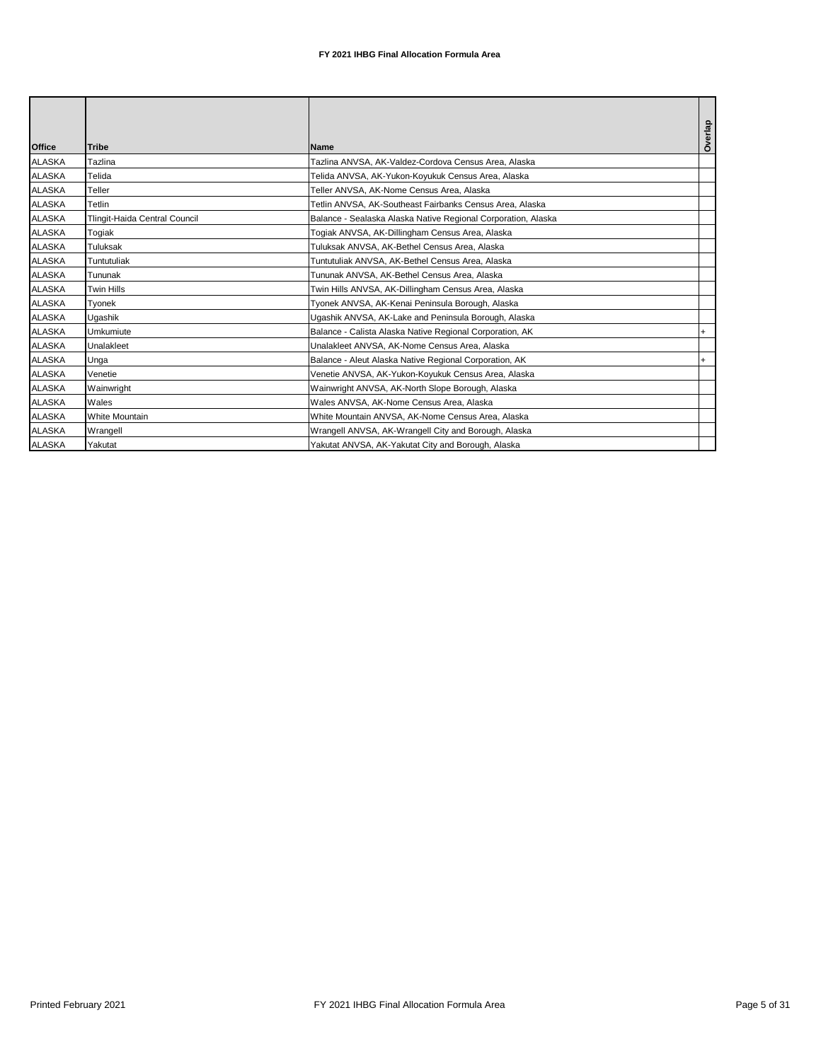|               |                               |                                                               | Overlap   |
|---------------|-------------------------------|---------------------------------------------------------------|-----------|
| <b>Office</b> | <b>Tribe</b>                  | <b>Name</b>                                                   |           |
| <b>ALASKA</b> | <b>Tazlina</b>                | Tazlina ANVSA, AK-Valdez-Cordova Census Area, Alaska          |           |
| <b>ALASKA</b> | Telida                        | Telida ANVSA, AK-Yukon-Koyukuk Census Area, Alaska            |           |
| <b>ALASKA</b> | Teller                        | Teller ANVSA, AK-Nome Census Area, Alaska                     |           |
| <b>ALASKA</b> | Tetlin                        | Tetlin ANVSA, AK-Southeast Fairbanks Census Area, Alaska      |           |
| <b>ALASKA</b> | Tlingit-Haida Central Council | Balance - Sealaska Alaska Native Regional Corporation, Alaska |           |
| <b>ALASKA</b> | Togiak                        | Togiak ANVSA, AK-Dillingham Census Area, Alaska               |           |
| <b>ALASKA</b> | Tuluksak                      | Tuluksak ANVSA, AK-Bethel Census Area, Alaska                 |           |
| <b>ALASKA</b> | Tuntutuliak                   | Tuntutuliak ANVSA, AK-Bethel Census Area, Alaska              |           |
| <b>ALASKA</b> | Tununak                       | Tununak ANVSA, AK-Bethel Census Area, Alaska                  |           |
| <b>ALASKA</b> | Twin Hills                    | Twin Hills ANVSA, AK-Dillingham Census Area, Alaska           |           |
| <b>ALASKA</b> | Tvonek                        | Tyonek ANVSA, AK-Kenai Peninsula Borough, Alaska              |           |
| <b>ALASKA</b> | Ugashik                       | Ugashik ANVSA, AK-Lake and Peninsula Borough, Alaska          |           |
| <b>ALASKA</b> | Umkumiute                     | Balance - Calista Alaska Native Regional Corporation, AK      | $\ddot{}$ |
| <b>ALASKA</b> | Unalakleet                    | Unalakleet ANVSA, AK-Nome Census Area, Alaska                 |           |
| <b>ALASKA</b> | Unga                          | Balance - Aleut Alaska Native Regional Corporation, AK        | $\ddot{}$ |
| <b>ALASKA</b> | Venetie                       | Venetie ANVSA, AK-Yukon-Koyukuk Census Area, Alaska           |           |
| <b>ALASKA</b> | Wainwright                    | Wainwright ANVSA, AK-North Slope Borough, Alaska              |           |
| <b>ALASKA</b> | Wales                         | Wales ANVSA, AK-Nome Census Area, Alaska                      |           |
| <b>ALASKA</b> | <b>White Mountain</b>         | White Mountain ANVSA, AK-Nome Census Area, Alaska             |           |
| <b>ALASKA</b> | Wrangell                      | Wrangell ANVSA, AK-Wrangell City and Borough, Alaska          |           |
| <b>ALASKA</b> | Yakutat                       | Yakutat ANVSA, AK-Yakutat City and Borough, Alaska            |           |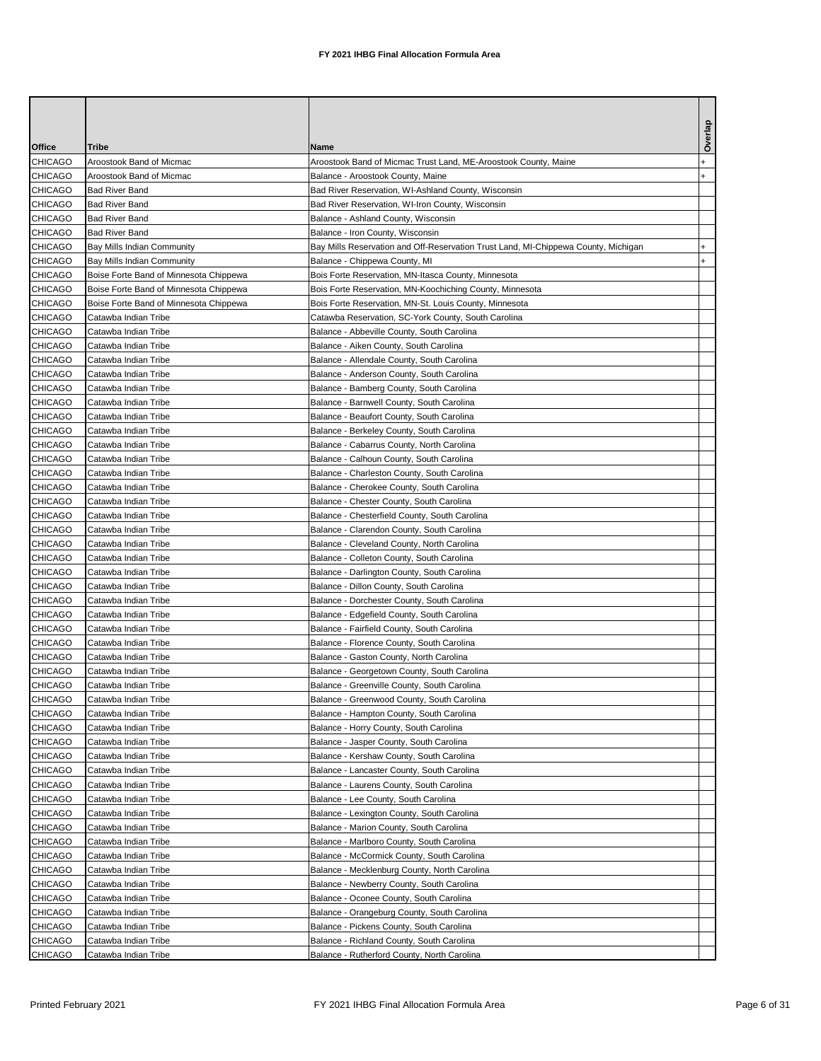| Office         | Tribe                                  | Name                                                                               | Overlap |
|----------------|----------------------------------------|------------------------------------------------------------------------------------|---------|
| <b>CHICAGO</b> | Aroostook Band of Micmac               | Aroostook Band of Micmac Trust Land, ME-Aroostook County, Maine                    |         |
| <b>CHICAGO</b> | Aroostook Band of Micmac               | Balance - Aroostook County, Maine                                                  |         |
| <b>CHICAGO</b> | <b>Bad River Band</b>                  | Bad River Reservation, WI-Ashland County, Wisconsin                                |         |
| <b>CHICAGO</b> | <b>Bad River Band</b>                  | Bad River Reservation, WI-Iron County, Wisconsin                                   |         |
| <b>CHICAGO</b> | <b>Bad River Band</b>                  | Balance - Ashland County, Wisconsin                                                |         |
| <b>CHICAGO</b> | <b>Bad River Band</b>                  | Balance - Iron County, Wisconsin                                                   |         |
| <b>CHICAGO</b> | Bay Mills Indian Community             | Bay Mills Reservation and Off-Reservation Trust Land, MI-Chippewa County, Michigan |         |
| CHICAGO        | Bay Mills Indian Community             | Balance - Chippewa County, MI                                                      |         |
| <b>CHICAGO</b> | Boise Forte Band of Minnesota Chippewa | Bois Forte Reservation, MN-Itasca County, Minnesota                                |         |
| <b>CHICAGO</b> | Boise Forte Band of Minnesota Chippewa | Bois Forte Reservation, MN-Koochiching County, Minnesota                           |         |
| <b>CHICAGO</b> | Boise Forte Band of Minnesota Chippewa | Bois Forte Reservation, MN-St. Louis County, Minnesota                             |         |
| <b>CHICAGO</b> | Catawba Indian Tribe                   | Catawba Reservation, SC-York County, South Carolina                                |         |
| <b>CHICAGO</b> | Catawba Indian Tribe                   | Balance - Abbeville County, South Carolina                                         |         |
| <b>CHICAGO</b> | Catawba Indian Tribe                   | Balance - Aiken County, South Carolina                                             |         |
| <b>CHICAGO</b> | Catawba Indian Tribe                   | Balance - Allendale County, South Carolina                                         |         |
| <b>CHICAGO</b> | Catawba Indian Tribe                   | Balance - Anderson County, South Carolina                                          |         |
| <b>CHICAGO</b> | Catawba Indian Tribe                   | Balance - Bamberg County, South Carolina                                           |         |
| <b>CHICAGO</b> | Catawba Indian Tribe                   | Balance - Barnwell County, South Carolina                                          |         |
| <b>CHICAGO</b> | Catawba Indian Tribe                   | Balance - Beaufort County, South Carolina                                          |         |
| <b>CHICAGO</b> | Catawba Indian Tribe                   | Balance - Berkeley County, South Carolina                                          |         |
| <b>CHICAGO</b> | Catawba Indian Tribe                   | Balance - Cabarrus County, North Carolina                                          |         |
| <b>CHICAGO</b> | Catawba Indian Tribe                   | Balance - Calhoun County, South Carolina                                           |         |
| <b>CHICAGO</b> | Catawba Indian Tribe                   | Balance - Charleston County, South Carolina                                        |         |
| <b>CHICAGO</b> | Catawba Indian Tribe                   | Balance - Cherokee County, South Carolina                                          |         |
| <b>CHICAGO</b> | Catawba Indian Tribe                   | Balance - Chester County, South Carolina                                           |         |
| <b>CHICAGO</b> | Catawba Indian Tribe                   | Balance - Chesterfield County, South Carolina                                      |         |
| <b>CHICAGO</b> | Catawba Indian Tribe                   | Balance - Clarendon County, South Carolina                                         |         |
| <b>CHICAGO</b> | Catawba Indian Tribe                   | Balance - Cleveland County, North Carolina                                         |         |
| <b>CHICAGO</b> | Catawba Indian Tribe                   | Balance - Colleton County, South Carolina                                          |         |
| <b>CHICAGO</b> | Catawba Indian Tribe                   | Balance - Darlington County, South Carolina                                        |         |
| <b>CHICAGO</b> | Catawba Indian Tribe                   | Balance - Dillon County, South Carolina                                            |         |
| <b>CHICAGO</b> | Catawba Indian Tribe                   | Balance - Dorchester County, South Carolina                                        |         |
| <b>CHICAGO</b> | Catawba Indian Tribe                   | Balance - Edgefield County, South Carolina                                         |         |
| <b>CHICAGO</b> | Catawba Indian Tribe                   | Balance - Fairfield County, South Carolina                                         |         |
| <b>CHICAGO</b> | Catawba Indian Tribe                   | Balance - Florence County, South Carolina                                          |         |
| <b>CHICAGO</b> | Catawba Indian Tribe                   | Balance - Gaston County, North Carolina                                            |         |
| <b>CHICAGO</b> | Catawba Indian Tribe                   | Balance - Georgetown County, South Carolina                                        |         |
| <b>CHICAGO</b> | Catawba Indian Tribe                   | Balance - Greenville County, South Carolina                                        |         |
| <b>CHICAGO</b> | Catawba Indian Tribe                   | Balance - Greenwood County, South Carolina                                         |         |
| <b>CHICAGO</b> | Catawba Indian Tribe                   | Balance - Hampton County, South Carolina                                           |         |
| <b>CHICAGO</b> | Catawba Indian Tribe                   | Balance - Horry County, South Carolina                                             |         |
| <b>CHICAGO</b> | Catawba Indian Tribe                   | Balance - Jasper County, South Carolina                                            |         |
| <b>CHICAGO</b> | Catawba Indian Tribe                   | Balance - Kershaw County, South Carolina                                           |         |
| <b>CHICAGO</b> | Catawba Indian Tribe                   | Balance - Lancaster County, South Carolina                                         |         |
| <b>CHICAGO</b> | Catawba Indian Tribe                   | Balance - Laurens County, South Carolina                                           |         |
| <b>CHICAGO</b> | Catawba Indian Tribe                   | Balance - Lee County, South Carolina                                               |         |
| <b>CHICAGO</b> | Catawba Indian Tribe                   | Balance - Lexington County, South Carolina                                         |         |
| <b>CHICAGO</b> | Catawba Indian Tribe                   | Balance - Marion County, South Carolina                                            |         |
| <b>CHICAGO</b> | Catawba Indian Tribe                   | Balance - Marlboro County, South Carolina                                          |         |
| <b>CHICAGO</b> | Catawba Indian Tribe                   | Balance - McCormick County, South Carolina                                         |         |
| <b>CHICAGO</b> | Catawba Indian Tribe                   | Balance - Mecklenburg County, North Carolina                                       |         |
| <b>CHICAGO</b> | Catawba Indian Tribe                   | Balance - Newberry County, South Carolina                                          |         |
| <b>CHICAGO</b> | Catawba Indian Tribe                   | Balance - Oconee County, South Carolina                                            |         |
| <b>CHICAGO</b> | Catawba Indian Tribe                   | Balance - Orangeburg County, South Carolina                                        |         |
| <b>CHICAGO</b> | Catawba Indian Tribe                   | Balance - Pickens County, South Carolina                                           |         |
| CHICAGO        | Catawba Indian Tribe                   | Balance - Richland County, South Carolina                                          |         |
| <b>CHICAGO</b> | Catawba Indian Tribe                   | Balance - Rutherford County, North Carolina                                        |         |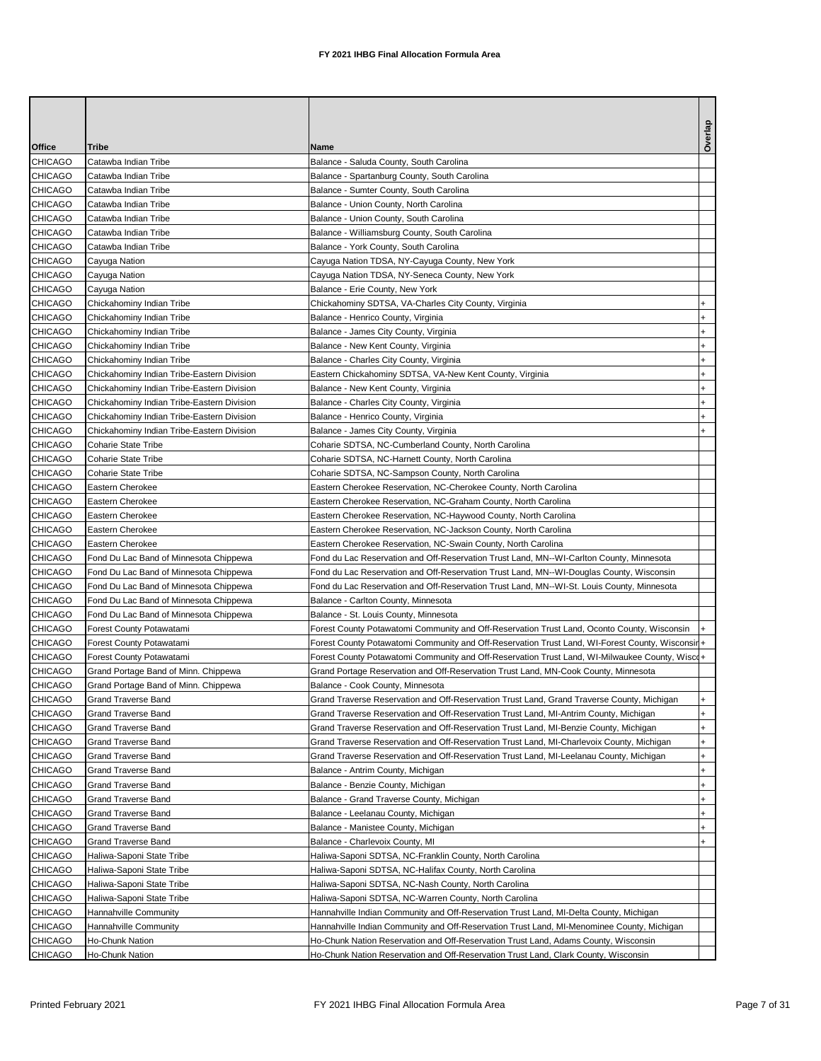| Office                           | Tribe                                      | Name                                                                                                                                                                                 | Overlap          |
|----------------------------------|--------------------------------------------|--------------------------------------------------------------------------------------------------------------------------------------------------------------------------------------|------------------|
| <b>CHICAGO</b>                   | Catawba Indian Tribe                       | Balance - Saluda County, South Carolina                                                                                                                                              |                  |
| <b>CHICAGO</b>                   | Catawba Indian Tribe                       | Balance - Spartanburg County, South Carolina                                                                                                                                         |                  |
| <b>CHICAGO</b>                   | Catawba Indian Tribe                       | Balance - Sumter County, South Carolina                                                                                                                                              |                  |
| <b>CHICAGO</b>                   | Catawba Indian Tribe                       | Balance - Union County, North Carolina                                                                                                                                               |                  |
| <b>CHICAGO</b>                   | Catawba Indian Tribe                       | Balance - Union County, South Carolina                                                                                                                                               |                  |
| <b>CHICAGO</b>                   | Catawba Indian Tribe                       | Balance - Williamsburg County, South Carolina                                                                                                                                        |                  |
| <b>CHICAGO</b>                   | Catawba Indian Tribe                       | Balance - York County, South Carolina                                                                                                                                                |                  |
| CHICAGO                          | Cayuga Nation                              | Cayuga Nation TDSA, NY-Cayuga County, New York                                                                                                                                       |                  |
| <b>CHICAGO</b>                   | Cayuga Nation                              | Cayuga Nation TDSA, NY-Seneca County, New York                                                                                                                                       |                  |
| <b>CHICAGO</b>                   | Cayuga Nation                              | Balance - Erie County, New York                                                                                                                                                      |                  |
| <b>CHICAGO</b>                   | Chickahominy Indian Tribe                  | Chickahominy SDTSA, VA-Charles City County, Virginia                                                                                                                                 | $\ddot{}$        |
| <b>CHICAGO</b>                   | Chickahominy Indian Tribe                  | Balance - Henrico County, Virginia                                                                                                                                                   | $\ddot{}$        |
| <b>CHICAGO</b>                   | Chickahominy Indian Tribe                  | Balance - James City County, Virginia                                                                                                                                                | $\ddot{}$        |
| <b>CHICAGO</b>                   | Chickahominy Indian Tribe                  | Balance - New Kent County, Virginia                                                                                                                                                  | $\ddot{}$        |
| <b>CHICAGO</b>                   | Chickahominy Indian Tribe                  | Balance - Charles City County, Virginia                                                                                                                                              | $\ddot{}$        |
| <b>CHICAGO</b>                   | Chickahominy Indian Tribe-Eastern Division | Eastern Chickahominy SDTSA, VA-New Kent County, Virginia                                                                                                                             | $\ddot{}$        |
| <b>CHICAGO</b>                   | Chickahominy Indian Tribe-Eastern Division | Balance - New Kent County, Virginia                                                                                                                                                  | $\ddot{}$        |
| <b>CHICAGO</b>                   | Chickahominy Indian Tribe-Eastern Division | Balance - Charles City County, Virginia                                                                                                                                              | $\ddot{}$        |
| <b>CHICAGO</b>                   | Chickahominy Indian Tribe-Eastern Division | Balance - Henrico County, Virginia                                                                                                                                                   | $\ddot{}$        |
| <b>CHICAGO</b>                   | Chickahominy Indian Tribe-Eastern Division | Balance - James City County, Virginia                                                                                                                                                | $+$              |
| <b>CHICAGO</b>                   | Coharie State Tribe                        | Coharie SDTSA, NC-Cumberland County, North Carolina                                                                                                                                  |                  |
| <b>CHICAGO</b>                   | <b>Coharie State Tribe</b>                 | Coharie SDTSA, NC-Harnett County, North Carolina                                                                                                                                     |                  |
| <b>CHICAGO</b>                   | <b>Coharie State Tribe</b>                 | Coharie SDTSA, NC-Sampson County, North Carolina                                                                                                                                     |                  |
| <b>CHICAGO</b>                   | Eastern Cherokee                           | Eastern Cherokee Reservation, NC-Cherokee County, North Carolina                                                                                                                     |                  |
| <b>CHICAGO</b>                   | Eastern Cherokee                           | Eastern Cherokee Reservation, NC-Graham County, North Carolina                                                                                                                       |                  |
| <b>CHICAGO</b>                   | Eastern Cherokee                           | Eastern Cherokee Reservation, NC-Haywood County, North Carolina                                                                                                                      |                  |
| <b>CHICAGO</b>                   | Eastern Cherokee                           | Eastern Cherokee Reservation, NC-Jackson County, North Carolina                                                                                                                      |                  |
| <b>CHICAGO</b>                   | Eastern Cherokee                           | Eastern Cherokee Reservation, NC-Swain County, North Carolina                                                                                                                        |                  |
| <b>CHICAGO</b>                   | Fond Du Lac Band of Minnesota Chippewa     | Fond du Lac Reservation and Off-Reservation Trust Land, MN--WI-Carlton County, Minnesota                                                                                             |                  |
| <b>CHICAGO</b>                   | Fond Du Lac Band of Minnesota Chippewa     | Fond du Lac Reservation and Off-Reservation Trust Land, MN--WI-Douglas County, Wisconsin                                                                                             |                  |
| <b>CHICAGO</b>                   | Fond Du Lac Band of Minnesota Chippewa     | Fond du Lac Reservation and Off-Reservation Trust Land, MN--WI-St. Louis County, Minnesota                                                                                           |                  |
| <b>CHICAGO</b>                   | Fond Du Lac Band of Minnesota Chippewa     | Balance - Carlton County, Minnesota                                                                                                                                                  |                  |
| <b>CHICAGO</b>                   | Fond Du Lac Band of Minnesota Chippewa     | Balance - St. Louis County, Minnesota                                                                                                                                                |                  |
| <b>CHICAGO</b>                   | Forest County Potawatami                   | Forest County Potawatomi Community and Off-Reservation Trust Land, Oconto County, Wisconsin                                                                                          |                  |
| <b>CHICAGO</b>                   | Forest County Potawatami                   | Forest County Potawatomi Community and Off-Reservation Trust Land, WI-Forest County, Wisconsirl+                                                                                     |                  |
| <b>CHICAGO</b>                   | Forest County Potawatami                   | Forest County Potawatomi Community and Off-Reservation Trust Land, WI-Milwaukee County, Wisco+                                                                                       |                  |
| <b>CHICAGO</b>                   | Grand Portage Band of Minn. Chippewa       | Grand Portage Reservation and Off-Reservation Trust Land, MN-Cook County, Minnesota                                                                                                  |                  |
| <b>CHICAGO</b>                   | Grand Portage Band of Minn. Chippewa       | Balance - Cook County, Minnesota                                                                                                                                                     |                  |
| <b>CHICAGO</b>                   | Grand Traverse Band                        | Grand Traverse Reservation and Off-Reservation Trust Land, Grand Traverse County, Michigan                                                                                           | $\ddot{}$        |
| <b>CHICAGO</b>                   | <b>Grand Traverse Band</b>                 | Grand Traverse Reservation and Off-Reservation Trust Land, MI-Antrim County, Michigan                                                                                                | $\ddot{}$        |
| <b>CHICAGO</b>                   | <b>Grand Traverse Band</b>                 | Grand Traverse Reservation and Off-Reservation Trust Land, MI-Benzie County, Michigan                                                                                                | $+$              |
| <b>CHICAGO</b>                   | <b>Grand Traverse Band</b>                 | Grand Traverse Reservation and Off-Reservation Trust Land, MI-Charlevoix County, Michigan                                                                                            | $\ddot{}$        |
| <b>CHICAGO</b>                   | Grand Traverse Band                        | Grand Traverse Reservation and Off-Reservation Trust Land, MI-Leelanau County, Michigan                                                                                              | $\ddot{}$        |
| <b>CHICAGO</b>                   | Grand Traverse Band                        | Balance - Antrim County, Michigan                                                                                                                                                    | $\ddot{}$        |
| <b>CHICAGO</b>                   | Grand Traverse Band                        | Balance - Benzie County, Michigan                                                                                                                                                    |                  |
| CHICAGO                          | <b>Grand Traverse Band</b>                 | Balance - Grand Traverse County, Michigan                                                                                                                                            | $\ddot{}$        |
| <b>CHICAGO</b>                   | <b>Grand Traverse Band</b>                 | Balance - Leelanau County, Michigan                                                                                                                                                  | $\ddot{}$        |
| <b>CHICAGO</b>                   | <b>Grand Traverse Band</b>                 | Balance - Manistee County, Michigan<br>Balance - Charlevoix County, MI                                                                                                               | $\ddot{}$<br>$+$ |
| <b>CHICAGO</b>                   | <b>Grand Traverse Band</b>                 |                                                                                                                                                                                      |                  |
| CHICAGO                          | Haliwa-Saponi State Tribe                  | Haliwa-Saponi SDTSA, NC-Franklin County, North Carolina                                                                                                                              |                  |
| <b>CHICAGO</b>                   | Haliwa-Saponi State Tribe                  | Haliwa-Saponi SDTSA, NC-Halifax County, North Carolina                                                                                                                               |                  |
| <b>CHICAGO</b>                   | Haliwa-Saponi State Tribe                  | Haliwa-Saponi SDTSA, NC-Nash County, North Carolina                                                                                                                                  |                  |
| <b>CHICAGO</b>                   | Haliwa-Saponi State Tribe                  | Haliwa-Saponi SDTSA, NC-Warren County, North Carolina                                                                                                                                |                  |
| <b>CHICAGO</b><br><b>CHICAGO</b> | Hannahville Community                      | Hannahville Indian Community and Off-Reservation Trust Land, MI-Delta County, Michigan<br>Hannahville Indian Community and Off-Reservation Trust Land, MI-Menominee County, Michigan |                  |
| <b>CHICAGO</b>                   | Hannahville Community<br>Ho-Chunk Nation   | Ho-Chunk Nation Reservation and Off-Reservation Trust Land, Adams County, Wisconsin                                                                                                  |                  |
| CHICAGO                          | Ho-Chunk Nation                            | Ho-Chunk Nation Reservation and Off-Reservation Trust Land, Clark County, Wisconsin                                                                                                  |                  |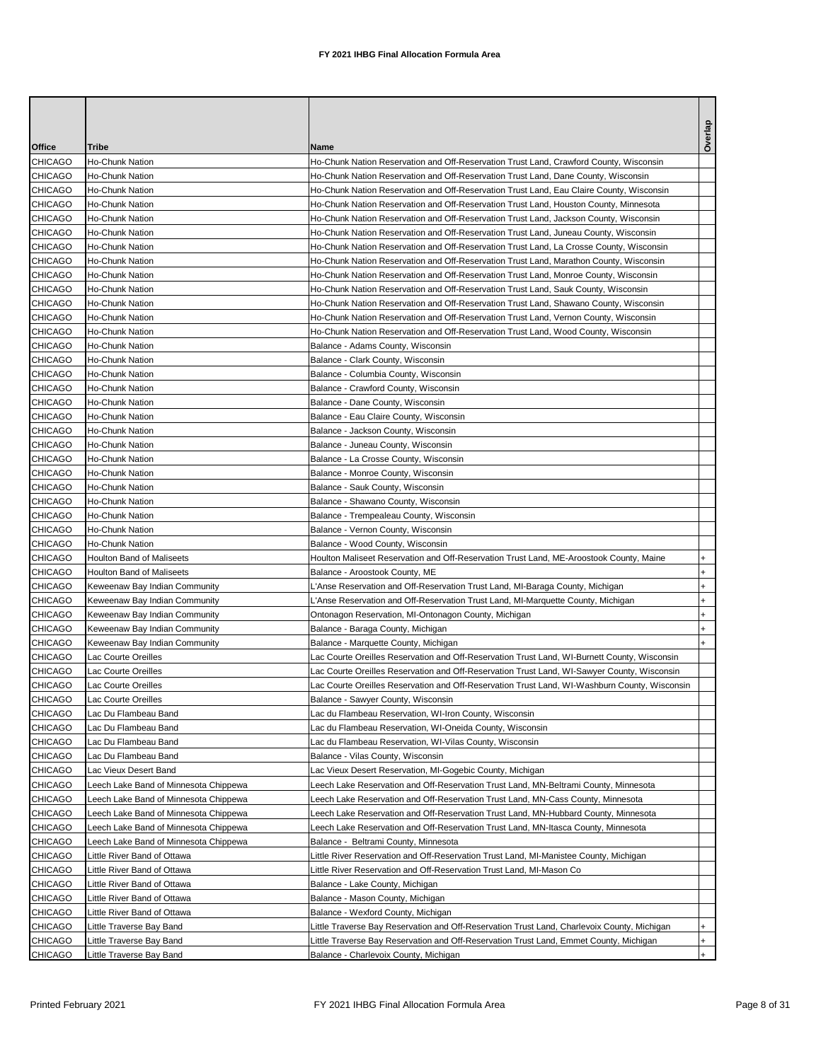|                                  |                                       |                                                                                               | Overlap      |
|----------------------------------|---------------------------------------|-----------------------------------------------------------------------------------------------|--------------|
| Office                           | Tribe                                 | Name                                                                                          |              |
| CHICAGO                          | Ho-Chunk Nation                       | Ho-Chunk Nation Reservation and Off-Reservation Trust Land, Crawford County, Wisconsin        |              |
| <b>CHICAGO</b>                   | Ho-Chunk Nation                       | Ho-Chunk Nation Reservation and Off-Reservation Trust Land, Dane County, Wisconsin            |              |
| <b>CHICAGO</b>                   | Ho-Chunk Nation                       | Ho-Chunk Nation Reservation and Off-Reservation Trust Land, Eau Claire County, Wisconsin      |              |
| <b>CHICAGO</b>                   | Ho-Chunk Nation                       | Ho-Chunk Nation Reservation and Off-Reservation Trust Land, Houston County, Minnesota         |              |
| <b>CHICAGO</b>                   | Ho-Chunk Nation                       | Ho-Chunk Nation Reservation and Off-Reservation Trust Land, Jackson County, Wisconsin         |              |
| <b>CHICAGO</b>                   | Ho-Chunk Nation                       | Ho-Chunk Nation Reservation and Off-Reservation Trust Land, Juneau County, Wisconsin          |              |
| <b>CHICAGO</b>                   | Ho-Chunk Nation                       | Ho-Chunk Nation Reservation and Off-Reservation Trust Land, La Crosse County, Wisconsin       |              |
| <b>CHICAGO</b>                   | Ho-Chunk Nation                       | Ho-Chunk Nation Reservation and Off-Reservation Trust Land, Marathon County, Wisconsin        |              |
| <b>CHICAGO</b>                   | Ho-Chunk Nation                       | Ho-Chunk Nation Reservation and Off-Reservation Trust Land, Monroe County, Wisconsin          |              |
| <b>CHICAGO</b>                   | Ho-Chunk Nation                       | Ho-Chunk Nation Reservation and Off-Reservation Trust Land, Sauk County, Wisconsin            |              |
| <b>CHICAGO</b>                   | Ho-Chunk Nation                       | Ho-Chunk Nation Reservation and Off-Reservation Trust Land, Shawano County, Wisconsin         |              |
| <b>CHICAGO</b>                   | Ho-Chunk Nation                       | Ho-Chunk Nation Reservation and Off-Reservation Trust Land, Vernon County, Wisconsin          |              |
| <b>CHICAGO</b>                   | Ho-Chunk Nation                       | Ho-Chunk Nation Reservation and Off-Reservation Trust Land, Wood County, Wisconsin            |              |
| <b>CHICAGO</b>                   | Ho-Chunk Nation                       | Balance - Adams County, Wisconsin                                                             |              |
| <b>CHICAGO</b>                   | Ho-Chunk Nation                       | Balance - Clark County, Wisconsin                                                             |              |
| <b>CHICAGO</b>                   | Ho-Chunk Nation                       | Balance - Columbia County, Wisconsin                                                          |              |
| <b>CHICAGO</b>                   | Ho-Chunk Nation                       | Balance - Crawford County, Wisconsin                                                          |              |
| <b>CHICAGO</b>                   | Ho-Chunk Nation                       | Balance - Dane County, Wisconsin                                                              |              |
| <b>CHICAGO</b>                   | Ho-Chunk Nation                       | Balance - Eau Claire County, Wisconsin                                                        |              |
| <b>CHICAGO</b>                   | Ho-Chunk Nation                       | Balance - Jackson County, Wisconsin                                                           |              |
| <b>CHICAGO</b>                   | Ho-Chunk Nation                       | Balance - Juneau County, Wisconsin                                                            |              |
| <b>CHICAGO</b>                   | Ho-Chunk Nation                       | Balance - La Crosse County, Wisconsin                                                         |              |
| <b>CHICAGO</b>                   | Ho-Chunk Nation                       | Balance - Monroe County, Wisconsin                                                            |              |
| <b>CHICAGO</b><br><b>CHICAGO</b> | Ho-Chunk Nation<br>Ho-Chunk Nation    | Balance - Sauk County, Wisconsin                                                              |              |
| <b>CHICAGO</b>                   | Ho-Chunk Nation                       | Balance - Shawano County, Wisconsin                                                           |              |
| <b>CHICAGO</b>                   | Ho-Chunk Nation                       | Balance - Trempealeau County, Wisconsin<br>Balance - Vernon County, Wisconsin                 |              |
| <b>CHICAGO</b>                   | Ho-Chunk Nation                       | Balance - Wood County, Wisconsin                                                              |              |
| <b>CHICAGO</b>                   | Houlton Band of Maliseets             | Houlton Maliseet Reservation and Off-Reservation Trust Land, ME-Aroostook County, Maine       |              |
| <b>CHICAGO</b>                   | Houlton Band of Maliseets             | Balance - Aroostook County, ME                                                                | <sup>+</sup> |
| <b>CHICAGO</b>                   | Keweenaw Bay Indian Community         | L'Anse Reservation and Off-Reservation Trust Land, MI-Baraga County, Michigan                 | $\ddot{}$    |
| <b>CHICAGO</b>                   | Keweenaw Bay Indian Community         | L'Anse Reservation and Off-Reservation Trust Land, MI-Marquette County, Michigan              | <sup>+</sup> |
| <b>CHICAGO</b>                   | Keweenaw Bay Indian Community         | Ontonagon Reservation, MI-Ontonagon County, Michigan                                          | $\ddot{}$    |
| <b>CHICAGO</b>                   | Keweenaw Bay Indian Community         | Balance - Baraga County, Michigan                                                             | $\ddot{}$    |
| <b>CHICAGO</b>                   | Keweenaw Bay Indian Community         | Balance - Marquette County, Michigan                                                          | $\ddot{}$    |
| <b>CHICAGO</b>                   | Lac Courte Oreilles                   | Lac Courte Oreilles Reservation and Off-Reservation Trust Land, WI-Burnett County, Wisconsin  |              |
| <b>CHICAGO</b>                   | Lac Courte Oreilles                   | Lac Courte Oreilles Reservation and Off-Reservation Trust Land, WI-Sawyer County, Wisconsin   |              |
| <b>CHICAGO</b>                   | Lac Courte Oreilles                   | Lac Courte Oreilles Reservation and Off-Reservation Trust Land, WI-Washburn County, Wisconsin |              |
| <b>CHICAGO</b>                   | Lac Courte Oreilles                   | Balance - Sawyer County, Wisconsin                                                            |              |
| CHICAGO                          | Lac Du Flambeau Band                  | Lac du Flambeau Reservation, WI-Iron County, Wisconsin                                        |              |
| CHICAGO                          | Lac Du Flambeau Band                  | Lac du Flambeau Reservation, WI-Oneida County, Wisconsin                                      |              |
| CHICAGO                          | Lac Du Flambeau Band                  | Lac du Flambeau Reservation, WI-Vilas County, Wisconsin                                       |              |
| <b>CHICAGO</b>                   | Lac Du Flambeau Band                  | Balance - Vilas County, Wisconsin                                                             |              |
| <b>CHICAGO</b>                   | Lac Vieux Desert Band                 | Lac Vieux Desert Reservation, MI-Gogebic County, Michigan                                     |              |
| <b>CHICAGO</b>                   | Leech Lake Band of Minnesota Chippewa | Leech Lake Reservation and Off-Reservation Trust Land, MN-Beltrami County, Minnesota          |              |
| <b>CHICAGO</b>                   | Leech Lake Band of Minnesota Chippewa | Leech Lake Reservation and Off-Reservation Trust Land, MN-Cass County, Minnesota              |              |
| CHICAGO                          | Leech Lake Band of Minnesota Chippewa | Leech Lake Reservation and Off-Reservation Trust Land, MN-Hubbard County, Minnesota           |              |
| CHICAGO                          | Leech Lake Band of Minnesota Chippewa | Leech Lake Reservation and Off-Reservation Trust Land, MN-Itasca County, Minnesota            |              |
| CHICAGO                          | Leech Lake Band of Minnesota Chippewa | Balance - Beltrami County, Minnesota                                                          |              |
| CHICAGO                          | Little River Band of Ottawa           | Little River Reservation and Off-Reservation Trust Land, MI-Manistee County, Michigan         |              |
| CHICAGO                          | Little River Band of Ottawa           | Little River Reservation and Off-Reservation Trust Land, MI-Mason Co                          |              |
| CHICAGO                          | Little River Band of Ottawa           | Balance - Lake County, Michigan                                                               |              |
| <b>CHICAGO</b>                   | Little River Band of Ottawa           | Balance - Mason County, Michigan                                                              |              |
| CHICAGO                          | Little River Band of Ottawa           | Balance - Wexford County, Michigan                                                            |              |
| CHICAGO                          | Little Traverse Bay Band              | Little Traverse Bay Reservation and Off-Reservation Trust Land, Charlevoix County, Michigan   | <sup>+</sup> |
| CHICAGO                          | Little Traverse Bay Band              | Little Traverse Bay Reservation and Off-Reservation Trust Land, Emmet County, Michigan        | $\ddot{}$    |
| <b>CHICAGO</b>                   | Little Traverse Bay Band              | Balance - Charlevoix County, Michigan                                                         | $\ddot{}$    |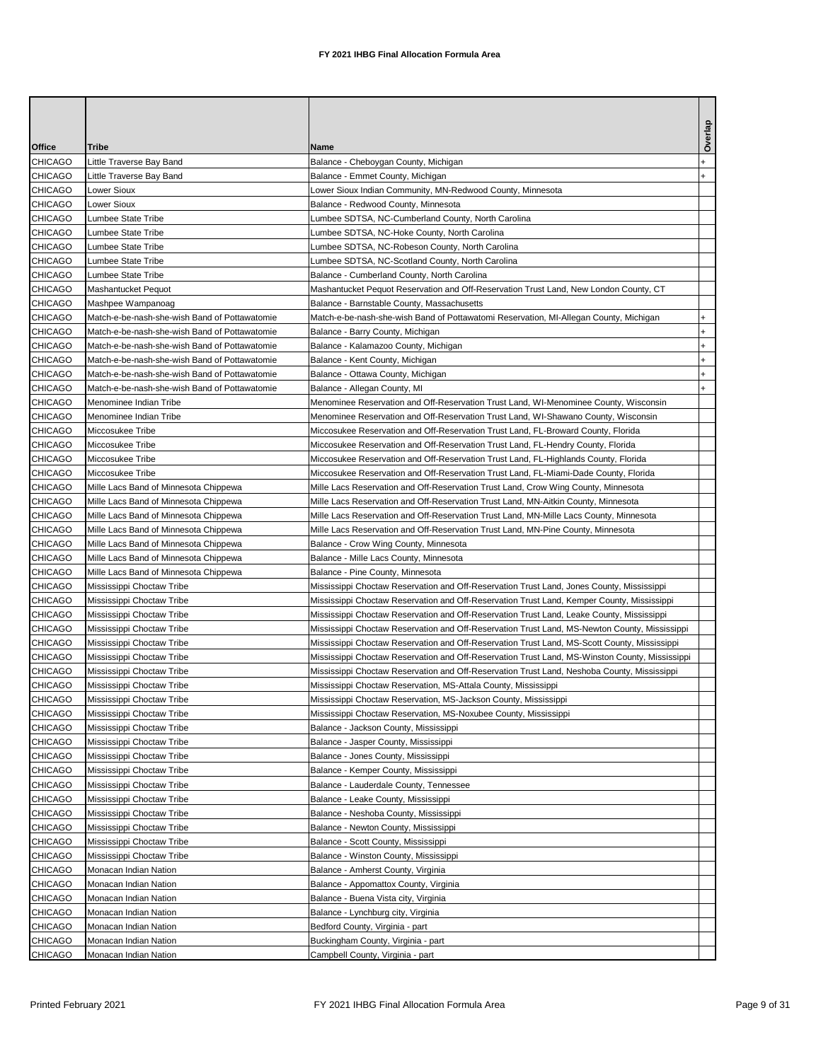| Office         | Tribe                                         | Name                                                                                           | Overlap      |
|----------------|-----------------------------------------------|------------------------------------------------------------------------------------------------|--------------|
| CHICAGO        | Little Traverse Bay Band                      | Balance - Cheboygan County, Michigan                                                           |              |
| <b>CHICAGO</b> | Little Traverse Bay Band                      | Balance - Emmet County, Michigan                                                               | $\ddot{}$    |
| <b>CHICAGO</b> | Lower Sioux                                   | Lower Sioux Indian Community, MN-Redwood County, Minnesota                                     |              |
| <b>CHICAGO</b> | Lower Sioux                                   | Balance - Redwood County, Minnesota                                                            |              |
| <b>CHICAGO</b> | Lumbee State Tribe                            | Lumbee SDTSA, NC-Cumberland County, North Carolina                                             |              |
| <b>CHICAGO</b> | Lumbee State Tribe                            | Lumbee SDTSA, NC-Hoke County, North Carolina                                                   |              |
| <b>CHICAGO</b> | Lumbee State Tribe                            | Lumbee SDTSA, NC-Robeson County, North Carolina                                                |              |
| <b>CHICAGO</b> | Lumbee State Tribe                            | Lumbee SDTSA, NC-Scotland County, North Carolina                                               |              |
| <b>CHICAGO</b> | Lumbee State Tribe                            | Balance - Cumberland County, North Carolina                                                    |              |
| <b>CHICAGO</b> | Mashantucket Pequot                           | Mashantucket Pequot Reservation and Off-Reservation Trust Land, New London County, CT          |              |
| <b>CHICAGO</b> | Mashpee Wampanoag                             | Balance - Barnstable County, Massachusetts                                                     |              |
| <b>CHICAGO</b> | Match-e-be-nash-she-wish Band of Pottawatomie | Match-e-be-nash-she-wish Band of Pottawatomi Reservation, MI-Allegan County, Michigan          | $\ddot{}$    |
| <b>CHICAGO</b> | Match-e-be-nash-she-wish Band of Pottawatomie | Balance - Barry County, Michigan                                                               | <sup>+</sup> |
| <b>CHICAGO</b> | Match-e-be-nash-she-wish Band of Pottawatomie | Balance - Kalamazoo County, Michigan                                                           | $\ddot{}$    |
| <b>CHICAGO</b> | Match-e-be-nash-she-wish Band of Pottawatomie | Balance - Kent County, Michigan                                                                | $\ddot{}$    |
| <b>CHICAGO</b> | Match-e-be-nash-she-wish Band of Pottawatomie | Balance - Ottawa County, Michigan                                                              | $\ddot{}$    |
| <b>CHICAGO</b> | Match-e-be-nash-she-wish Band of Pottawatomie | Balance - Allegan County, MI                                                                   |              |
| <b>CHICAGO</b> | Menominee Indian Tribe                        | Menominee Reservation and Off-Reservation Trust Land, WI-Menominee County, Wisconsin           |              |
| <b>CHICAGO</b> | Menominee Indian Tribe                        | Menominee Reservation and Off-Reservation Trust Land, WI-Shawano County, Wisconsin             |              |
| <b>CHICAGO</b> | Miccosukee Tribe                              | Miccosukee Reservation and Off-Reservation Trust Land, FL-Broward County, Florida              |              |
| <b>CHICAGO</b> | Miccosukee Tribe                              | Miccosukee Reservation and Off-Reservation Trust Land, FL-Hendry County, Florida               |              |
| <b>CHICAGO</b> | Miccosukee Tribe                              | Miccosukee Reservation and Off-Reservation Trust Land, FL-Highlands County, Florida            |              |
| <b>CHICAGO</b> | Miccosukee Tribe                              | Miccosukee Reservation and Off-Reservation Trust Land, FL-Miami-Dade County, Florida           |              |
| <b>CHICAGO</b> | Mille Lacs Band of Minnesota Chippewa         | Mille Lacs Reservation and Off-Reservation Trust Land, Crow Wing County, Minnesota             |              |
| <b>CHICAGO</b> | Mille Lacs Band of Minnesota Chippewa         | Mille Lacs Reservation and Off-Reservation Trust Land, MN-Aitkin County, Minnesota             |              |
| <b>CHICAGO</b> | Mille Lacs Band of Minnesota Chippewa         | Mille Lacs Reservation and Off-Reservation Trust Land, MN-Mille Lacs County, Minnesota         |              |
| <b>CHICAGO</b> | Mille Lacs Band of Minnesota Chippewa         | Mille Lacs Reservation and Off-Reservation Trust Land, MN-Pine County, Minnesota               |              |
| <b>CHICAGO</b> | Mille Lacs Band of Minnesota Chippewa         | Balance - Crow Wing County, Minnesota                                                          |              |
| <b>CHICAGO</b> | Mille Lacs Band of Minnesota Chippewa         | Balance - Mille Lacs County, Minnesota                                                         |              |
| <b>CHICAGO</b> | Mille Lacs Band of Minnesota Chippewa         | Balance - Pine County, Minnesota                                                               |              |
| <b>CHICAGO</b> | Mississippi Choctaw Tribe                     | Mississippi Choctaw Reservation and Off-Reservation Trust Land, Jones County, Mississippi      |              |
| <b>CHICAGO</b> | Mississippi Choctaw Tribe                     | Mississippi Choctaw Reservation and Off-Reservation Trust Land, Kemper County, Mississippi     |              |
| <b>CHICAGO</b> | Mississippi Choctaw Tribe                     | Mississippi Choctaw Reservation and Off-Reservation Trust Land, Leake County, Mississippi      |              |
| <b>CHICAGO</b> | Mississippi Choctaw Tribe                     | Mississippi Choctaw Reservation and Off-Reservation Trust Land, MS-Newton County, Mississippi  |              |
| <b>CHICAGO</b> | Mississippi Choctaw Tribe                     | Mississippi Choctaw Reservation and Off-Reservation Trust Land, MS-Scott County, Mississippi   |              |
| <b>CHICAGO</b> | Mississippi Choctaw Tribe                     | Mississippi Choctaw Reservation and Off-Reservation Trust Land, MS-Winston County, Mississippi |              |
| <b>CHICAGO</b> | Mississippi Choctaw Tribe                     | Mississippi Choctaw Reservation and Off-Reservation Trust Land, Neshoba County, Mississippi    |              |
| <b>CHICAGO</b> | Mississippi Choctaw Tribe                     | Mississippi Choctaw Reservation, MS-Attala County, Mississippi                                 |              |
| <b>CHICAGO</b> | Mississippi Choctaw Tribe                     | Mississippi Choctaw Reservation, MS-Jackson County, Mississippi                                |              |
| <b>CHICAGO</b> | Mississippi Choctaw Tribe                     | Mississippi Choctaw Reservation, MS-Noxubee County, Mississippi                                |              |
| <b>CHICAGO</b> | Mississippi Choctaw Tribe                     | Balance - Jackson County, Mississippi                                                          |              |
| CHICAGO        | Mississippi Choctaw Tribe                     | Balance - Jasper County, Mississippi                                                           |              |
| <b>CHICAGO</b> | Mississippi Choctaw Tribe                     | Balance - Jones County, Mississippi                                                            |              |
| CHICAGO        | Mississippi Choctaw Tribe                     | Balance - Kemper County, Mississippi                                                           |              |
| <b>CHICAGO</b> | Mississippi Choctaw Tribe                     | Balance - Lauderdale County, Tennessee                                                         |              |
| <b>CHICAGO</b> | Mississippi Choctaw Tribe                     | Balance - Leake County, Mississippi                                                            |              |
| CHICAGO        | Mississippi Choctaw Tribe                     | Balance - Neshoba County, Mississippi                                                          |              |
| CHICAGO        | Mississippi Choctaw Tribe                     | Balance - Newton County, Mississippi                                                           |              |
| <b>CHICAGO</b> | Mississippi Choctaw Tribe                     | Balance - Scott County, Mississippi                                                            |              |
| CHICAGO        | Mississippi Choctaw Tribe                     | Balance - Winston County, Mississippi                                                          |              |
| CHICAGO        | Monacan Indian Nation                         | Balance - Amherst County, Virginia                                                             |              |
| CHICAGO        | Monacan Indian Nation                         | Balance - Appomattox County, Virginia                                                          |              |
| <b>CHICAGO</b> | Monacan Indian Nation                         | Balance - Buena Vista city, Virginia                                                           |              |
| <b>CHICAGO</b> | Monacan Indian Nation                         | Balance - Lynchburg city, Virginia                                                             |              |
| <b>CHICAGO</b> | Monacan Indian Nation                         | Bedford County, Virginia - part                                                                |              |
| <b>CHICAGO</b> | Monacan Indian Nation                         | Buckingham County, Virginia - part                                                             |              |
| <b>CHICAGO</b> | Monacan Indian Nation                         | Campbell County, Virginia - part                                                               |              |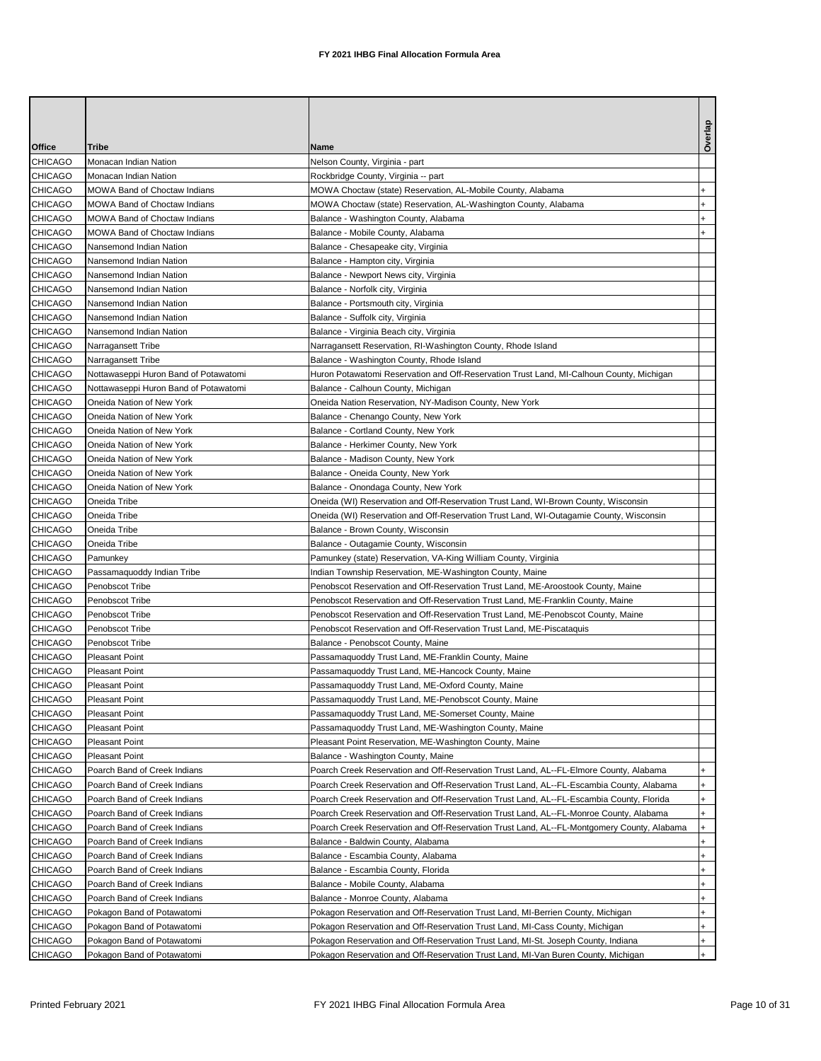|                                  |                                                              |                                                                                                                                                                                    | Overlap                |
|----------------------------------|--------------------------------------------------------------|------------------------------------------------------------------------------------------------------------------------------------------------------------------------------------|------------------------|
| Office                           | Tribe                                                        | Name                                                                                                                                                                               |                        |
| <b>CHICAGO</b>                   | Monacan Indian Nation                                        | Nelson County, Virginia - part                                                                                                                                                     |                        |
| <b>CHICAGO</b>                   | Monacan Indian Nation                                        | Rockbridge County, Virginia -- part                                                                                                                                                |                        |
| <b>CHICAGO</b>                   | MOWA Band of Choctaw Indians                                 | MOWA Choctaw (state) Reservation, AL-Mobile County, Alabama                                                                                                                        |                        |
| <b>CHICAGO</b>                   | MOWA Band of Choctaw Indians                                 | MOWA Choctaw (state) Reservation, AL-Washington County, Alabama                                                                                                                    | $+$                    |
| <b>CHICAGO</b>                   | MOWA Band of Choctaw Indians                                 | Balance - Washington County, Alabama                                                                                                                                               |                        |
| <b>CHICAGO</b>                   | MOWA Band of Choctaw Indians                                 | Balance - Mobile County, Alabama                                                                                                                                                   | $\ddot{}$              |
| <b>CHICAGO</b>                   | Nansemond Indian Nation                                      | Balance - Chesapeake city, Virginia                                                                                                                                                |                        |
| <b>CHICAGO</b>                   | Nansemond Indian Nation                                      | Balance - Hampton city, Virginia                                                                                                                                                   |                        |
| <b>CHICAGO</b>                   | Nansemond Indian Nation                                      | Balance - Newport News city, Virginia                                                                                                                                              |                        |
| <b>CHICAGO</b>                   | Nansemond Indian Nation                                      | Balance - Norfolk city, Virginia                                                                                                                                                   |                        |
| <b>CHICAGO</b>                   | Nansemond Indian Nation                                      | Balance - Portsmouth city, Virginia                                                                                                                                                |                        |
| <b>CHICAGO</b>                   | Nansemond Indian Nation                                      | Balance - Suffolk city, Virginia                                                                                                                                                   |                        |
| <b>CHICAGO</b>                   | Nansemond Indian Nation                                      | Balance - Virginia Beach city, Virginia                                                                                                                                            |                        |
| <b>CHICAGO</b>                   | Narragansett Tribe                                           | Narragansett Reservation, RI-Washington County, Rhode Island                                                                                                                       |                        |
| <b>CHICAGO</b>                   | Narragansett Tribe                                           | Balance - Washington County, Rhode Island                                                                                                                                          |                        |
| <b>CHICAGO</b>                   | Nottawaseppi Huron Band of Potawatomi                        | Huron Potawatomi Reservation and Off-Reservation Trust Land, MI-Calhoun County, Michigan                                                                                           |                        |
| <b>CHICAGO</b>                   | Nottawaseppi Huron Band of Potawatomi                        | Balance - Calhoun County, Michigan                                                                                                                                                 |                        |
| <b>CHICAGO</b>                   | Oneida Nation of New York                                    | Oneida Nation Reservation, NY-Madison County, New York                                                                                                                             |                        |
| <b>CHICAGO</b>                   | Oneida Nation of New York                                    | Balance - Chenango County, New York                                                                                                                                                |                        |
| <b>CHICAGO</b>                   | Oneida Nation of New York                                    | Balance - Cortland County, New York                                                                                                                                                |                        |
| <b>CHICAGO</b>                   | Oneida Nation of New York                                    | Balance - Herkimer County, New York                                                                                                                                                |                        |
| <b>CHICAGO</b>                   | Oneida Nation of New York                                    | Balance - Madison County, New York                                                                                                                                                 |                        |
| <b>CHICAGO</b>                   | Oneida Nation of New York                                    | Balance - Oneida County, New York                                                                                                                                                  |                        |
| <b>CHICAGO</b>                   | Oneida Nation of New York                                    | Balance - Onondaga County, New York                                                                                                                                                |                        |
| <b>CHICAGO</b>                   | Oneida Tribe                                                 | Oneida (WI) Reservation and Off-Reservation Trust Land, WI-Brown County, Wisconsin                                                                                                 |                        |
| <b>CHICAGO</b>                   | Oneida Tribe                                                 | Oneida (WI) Reservation and Off-Reservation Trust Land, WI-Outagamie County, Wisconsin                                                                                             |                        |
| <b>CHICAGO</b>                   | Oneida Tribe                                                 | Balance - Brown County, Wisconsin                                                                                                                                                  |                        |
| <b>CHICAGO</b>                   | Oneida Tribe                                                 | Balance - Outagamie County, Wisconsin                                                                                                                                              |                        |
| <b>CHICAGO</b>                   | Pamunkey                                                     | Pamunkey (state) Reservation, VA-King William County, Virginia                                                                                                                     |                        |
| <b>CHICAGO</b>                   | Passamaquoddy Indian Tribe                                   | Indian Township Reservation, ME-Washington County, Maine                                                                                                                           |                        |
| <b>CHICAGO</b>                   | Penobscot Tribe                                              | Penobscot Reservation and Off-Reservation Trust Land, ME-Aroostook County, Maine                                                                                                   |                        |
| <b>CHICAGO</b>                   | Penobscot Tribe                                              | Penobscot Reservation and Off-Reservation Trust Land, ME-Franklin County, Maine                                                                                                    |                        |
| <b>CHICAGO</b>                   | Penobscot Tribe                                              | Penobscot Reservation and Off-Reservation Trust Land, ME-Penobscot County, Maine                                                                                                   |                        |
| <b>CHICAGO</b>                   | Penobscot Tribe                                              | Penobscot Reservation and Off-Reservation Trust Land, ME-Piscataquis                                                                                                               |                        |
| <b>CHICAGO</b>                   | Penobscot Tribe                                              | Balance - Penobscot County, Maine                                                                                                                                                  |                        |
| <b>CHICAGO</b>                   | <b>Pleasant Point</b>                                        | Passamaquoddy Trust Land, ME-Franklin County, Maine                                                                                                                                |                        |
| <b>CHICAGO</b>                   | <b>Pleasant Point</b>                                        | Passamaquoddy Trust Land, ME-Hancock County, Maine                                                                                                                                 |                        |
| <b>CHICAGO</b>                   | <b>Pleasant Point</b>                                        | Passamaquoddy Trust Land, ME-Oxford County, Maine                                                                                                                                  |                        |
| CHICAGO                          | <b>Pleasant Point</b>                                        | Passamaquoddy Trust Land, ME-Penobscot County, Maine                                                                                                                               |                        |
| <b>CHICAGO</b>                   | <b>Pleasant Point</b>                                        | Passamaquoddy Trust Land, ME-Somerset County, Maine                                                                                                                                |                        |
| <b>CHICAGO</b><br><b>CHICAGO</b> | <b>Pleasant Point</b>                                        | Passamaquoddy Trust Land, ME-Washington County, Maine                                                                                                                              |                        |
| <b>CHICAGO</b>                   | <b>Pleasant Point</b>                                        | Pleasant Point Reservation, ME-Washington County, Maine                                                                                                                            |                        |
|                                  | <b>Pleasant Point</b>                                        | Balance - Washington County, Maine                                                                                                                                                 |                        |
| CHICAGO<br><b>CHICAGO</b>        | Poarch Band of Creek Indians                                 | Poarch Creek Reservation and Off-Reservation Trust Land, AL--FL-Elmore County, Alabama<br>Poarch Creek Reservation and Off-Reservation Trust Land, AL--FL-Escambia County, Alabama | +                      |
| CHICAGO                          | Poarch Band of Creek Indians                                 |                                                                                                                                                                                    |                        |
| CHICAGO                          | Poarch Band of Creek Indians                                 | Poarch Creek Reservation and Off-Reservation Trust Land, AL--FL-Escambia County, Florida<br>Poarch Creek Reservation and Off-Reservation Trust Land, AL--FL-Monroe County, Alabama | +<br>$\ddot{}$         |
| <b>CHICAGO</b>                   | Poarch Band of Creek Indians                                 | Poarch Creek Reservation and Off-Reservation Trust Land, AL--FL-Montgomery County, Alabama                                                                                         | $+$                    |
| CHICAGO                          | Poarch Band of Creek Indians<br>Poarch Band of Creek Indians | Balance - Baldwin County, Alabama                                                                                                                                                  | +                      |
| CHICAGO                          |                                                              |                                                                                                                                                                                    | $\ddot{}$              |
|                                  | Poarch Band of Creek Indians                                 | Balance - Escambia County, Alabama                                                                                                                                                 |                        |
| <b>CHICAGO</b>                   | Poarch Band of Creek Indians                                 | Balance - Escambia County, Florida                                                                                                                                                 | $\ddot{}$<br>$\ddot{}$ |
| <b>CHICAGO</b><br><b>CHICAGO</b> | Poarch Band of Creek Indians                                 | Balance - Mobile County, Alabama                                                                                                                                                   |                        |
| <b>CHICAGO</b>                   | Poarch Band of Creek Indians<br>Pokagon Band of Potawatomi   | Balance - Monroe County, Alabama<br>Pokagon Reservation and Off-Reservation Trust Land, MI-Berrien County, Michigan                                                                | +<br>$\ddot{}$         |
| CHICAGO                          | Pokagon Band of Potawatomi                                   | Pokagon Reservation and Off-Reservation Trust Land, MI-Cass County, Michigan                                                                                                       | $\ddot{}$              |
| <b>CHICAGO</b>                   | Pokagon Band of Potawatomi                                   | Pokagon Reservation and Off-Reservation Trust Land, MI-St. Joseph County, Indiana                                                                                                  | $+$                    |
| <b>CHICAGO</b>                   | Pokagon Band of Potawatomi                                   | Pokagon Reservation and Off-Reservation Trust Land, MI-Van Buren County, Michigan                                                                                                  | $+$                    |
|                                  |                                                              |                                                                                                                                                                                    |                        |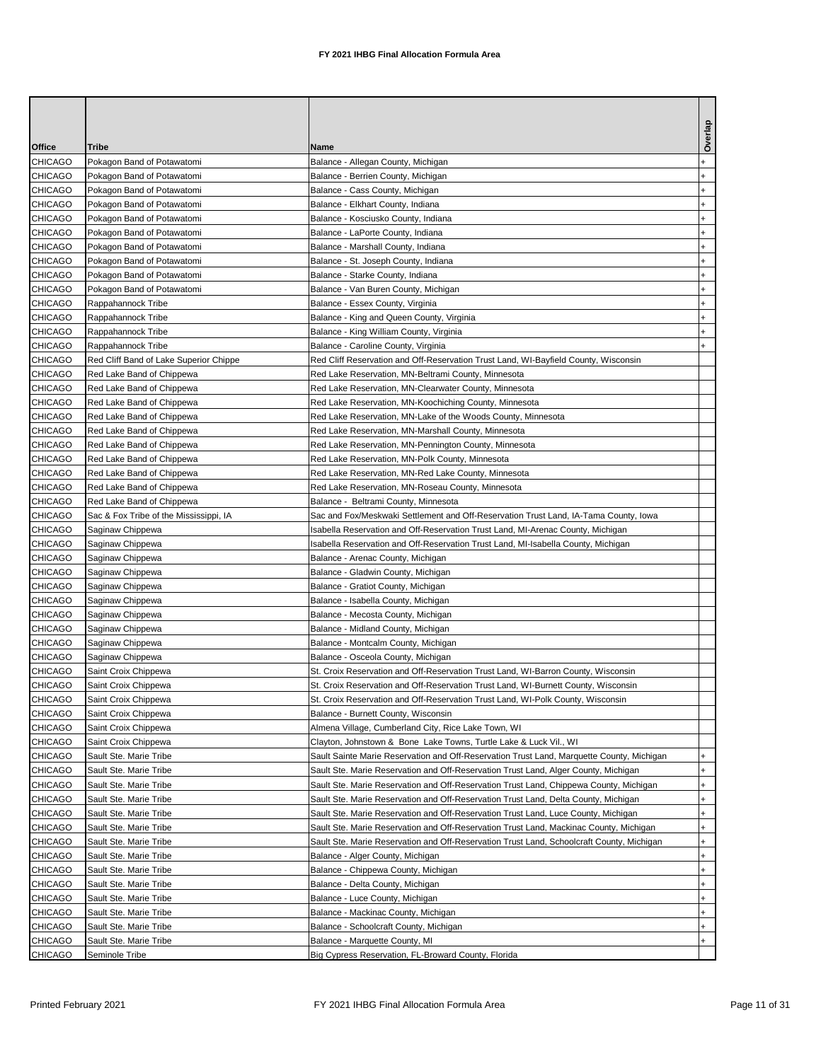| Office         | Tribe                                  | Name                                                                                      | Overlap                          |
|----------------|----------------------------------------|-------------------------------------------------------------------------------------------|----------------------------------|
| <b>CHICAGO</b> | Pokagon Band of Potawatomi             | Balance - Allegan County, Michigan                                                        | $\ddot{}$                        |
| CHICAGO        | Pokagon Band of Potawatomi             | Balance - Berrien County, Michigan                                                        | $\ddot{}$                        |
| <b>CHICAGO</b> | Pokagon Band of Potawatomi             | Balance - Cass County, Michigan                                                           | $\ddot{}$                        |
| <b>CHICAGO</b> | Pokagon Band of Potawatomi             | Balance - Elkhart County, Indiana                                                         | $\ddot{}$                        |
| <b>CHICAGO</b> | Pokagon Band of Potawatomi             | Balance - Kosciusko County, Indiana                                                       | $\ddot{}$                        |
| <b>CHICAGO</b> | Pokagon Band of Potawatomi             | Balance - LaPorte County, Indiana                                                         | $\ddot{}$                        |
| <b>CHICAGO</b> | Pokagon Band of Potawatomi             | Balance - Marshall County, Indiana                                                        | $\ddot{}$                        |
| <b>CHICAGO</b> | Pokagon Band of Potawatomi             | Balance - St. Joseph County, Indiana                                                      | $\ddot{}$                        |
| <b>CHICAGO</b> | Pokagon Band of Potawatomi             | Balance - Starke County, Indiana                                                          | $\ddot{}$                        |
| <b>CHICAGO</b> | Pokagon Band of Potawatomi             | Balance - Van Buren County, Michigan                                                      | +                                |
| CHICAGO        | Rappahannock Tribe                     | Balance - Essex County, Virginia                                                          | $\ddot{}$                        |
| <b>CHICAGO</b> | Rappahannock Tribe                     | Balance - King and Queen County, Virginia                                                 | $\ddot{}$                        |
| <b>CHICAGO</b> | Rappahannock Tribe                     | Balance - King William County, Virginia                                                   | $\ddot{}$                        |
| <b>CHICAGO</b> | Rappahannock Tribe                     | Balance - Caroline County, Virginia                                                       |                                  |
| <b>CHICAGO</b> | Red Cliff Band of Lake Superior Chippe | Red Cliff Reservation and Off-Reservation Trust Land, WI-Bayfield County, Wisconsin       |                                  |
| <b>CHICAGO</b> | Red Lake Band of Chippewa              | Red Lake Reservation, MN-Beltrami County, Minnesota                                       |                                  |
| <b>CHICAGO</b> | Red Lake Band of Chippewa              | Red Lake Reservation, MN-Clearwater County, Minnesota                                     |                                  |
| <b>CHICAGO</b> | Red Lake Band of Chippewa              | Red Lake Reservation, MN-Koochiching County, Minnesota                                    |                                  |
| <b>CHICAGO</b> | Red Lake Band of Chippewa              | Red Lake Reservation, MN-Lake of the Woods County, Minnesota                              |                                  |
| <b>CHICAGO</b> | Red Lake Band of Chippewa              | Red Lake Reservation, MN-Marshall County, Minnesota                                       |                                  |
| <b>CHICAGO</b> | Red Lake Band of Chippewa              | Red Lake Reservation, MN-Pennington County, Minnesota                                     |                                  |
| <b>CHICAGO</b> | Red Lake Band of Chippewa              | Red Lake Reservation, MN-Polk County, Minnesota                                           |                                  |
| CHICAGO        | Red Lake Band of Chippewa              | Red Lake Reservation, MN-Red Lake County, Minnesota                                       |                                  |
| <b>CHICAGO</b> | Red Lake Band of Chippewa              | Red Lake Reservation, MN-Roseau County, Minnesota                                         |                                  |
| CHICAGO        | Red Lake Band of Chippewa              | Balance - Beltrami County, Minnesota                                                      |                                  |
| <b>CHICAGO</b> | Sac & Fox Tribe of the Mississippi, IA | Sac and Fox/Meskwaki Settlement and Off-Reservation Trust Land, IA-Tama County, Iowa      |                                  |
| <b>CHICAGO</b> | Saginaw Chippewa                       | Isabella Reservation and Off-Reservation Trust Land, MI-Arenac County, Michigan           |                                  |
| <b>CHICAGO</b> | Saginaw Chippewa                       | Isabella Reservation and Off-Reservation Trust Land, MI-Isabella County, Michigan         |                                  |
| <b>CHICAGO</b> | Saginaw Chippewa                       | Balance - Arenac County, Michigan                                                         |                                  |
| <b>CHICAGO</b> | Saginaw Chippewa                       | Balance - Gladwin County, Michigan                                                        |                                  |
| <b>CHICAGO</b> | Saginaw Chippewa                       | Balance - Gratiot County, Michigan                                                        |                                  |
| <b>CHICAGO</b> | Saginaw Chippewa                       | Balance - Isabella County, Michigan                                                       |                                  |
| <b>CHICAGO</b> | Saginaw Chippewa                       | Balance - Mecosta County, Michigan                                                        |                                  |
| <b>CHICAGO</b> | Saginaw Chippewa                       | Balance - Midland County, Michigan                                                        |                                  |
| <b>CHICAGO</b> | Saginaw Chippewa                       | Balance - Montcalm County, Michigan                                                       |                                  |
| <b>CHICAGO</b> | Saginaw Chippewa                       | Balance - Osceola County, Michigan                                                        |                                  |
| CHICAGO        | Saint Croix Chippewa                   | St. Croix Reservation and Off-Reservation Trust Land, WI-Barron County, Wisconsin         |                                  |
| <b>CHICAGO</b> | Saint Croix Chippewa                   | St. Croix Reservation and Off-Reservation Trust Land, WI-Burnett County, Wisconsin        |                                  |
| CHICAGO        | Saint Croix Chippewa                   | St. Croix Reservation and Off-Reservation Trust Land, WI-Polk County, Wisconsin           |                                  |
| <b>CHICAGO</b> | Saint Croix Chippewa                   | Balance - Burnett County, Wisconsin                                                       |                                  |
| CHICAGO        | Saint Croix Chippewa                   | Almena Village, Cumberland City, Rice Lake Town, WI                                       |                                  |
| <b>CHICAGO</b> | Saint Croix Chippewa                   | Clayton, Johnstown & Bone Lake Towns, Turtle Lake & Luck Vil., WI                         |                                  |
| CHICAGO        | Sault Ste. Marie Tribe                 | Sault Sainte Marie Reservation and Off-Reservation Trust Land, Marquette County, Michigan | +                                |
| CHICAGO        | Sault Ste. Marie Tribe                 | Sault Ste. Marie Reservation and Off-Reservation Trust Land, Alger County, Michigan       | $\ddot{}$                        |
| CHICAGO        | Sault Ste. Marie Tribe                 | Sault Ste. Marie Reservation and Off-Reservation Trust Land, Chippewa County, Michigan    | $\begin{array}{c} + \end{array}$ |
| CHICAGO        | Sault Ste. Marie Tribe                 | Sault Ste. Marie Reservation and Off-Reservation Trust Land, Delta County, Michigan       | $\ddot{}$                        |
| CHICAGO        | Sault Ste. Marie Tribe                 | Sault Ste. Marie Reservation and Off-Reservation Trust Land, Luce County, Michigan        | $\begin{array}{c} + \end{array}$ |
| CHICAGO        | Sault Ste. Marie Tribe                 | Sault Ste. Marie Reservation and Off-Reservation Trust Land, Mackinac County, Michigan    | $\ddot{}$                        |
| CHICAGO        | Sault Ste. Marie Tribe                 | Sault Ste. Marie Reservation and Off-Reservation Trust Land, Schoolcraft County, Michigan | $\ddot{}$                        |
| CHICAGO        | Sault Ste. Marie Tribe                 | Balance - Alger County, Michigan                                                          | $\ddot{}$                        |
| CHICAGO        | Sault Ste. Marie Tribe                 | Balance - Chippewa County, Michigan                                                       | $\ddot{}$                        |
| CHICAGO        | Sault Ste. Marie Tribe                 | Balance - Delta County, Michigan                                                          | $\ddot{}$                        |
| CHICAGO        | Sault Ste. Marie Tribe                 | Balance - Luce County, Michigan                                                           | $\ddot{}$                        |
| CHICAGO        | Sault Ste. Marie Tribe                 | Balance - Mackinac County, Michigan                                                       | $\ddot{}$                        |
| CHICAGO        | Sault Ste. Marie Tribe                 | Balance - Schoolcraft County, Michigan                                                    | $\begin{array}{c} + \end{array}$ |
| CHICAGO        | Sault Ste. Marie Tribe                 | Balance - Marquette County, MI                                                            | $\ddot{}$                        |
| CHICAGO        | Seminole Tribe                         | Big Cypress Reservation, FL-Broward County, Florida                                       |                                  |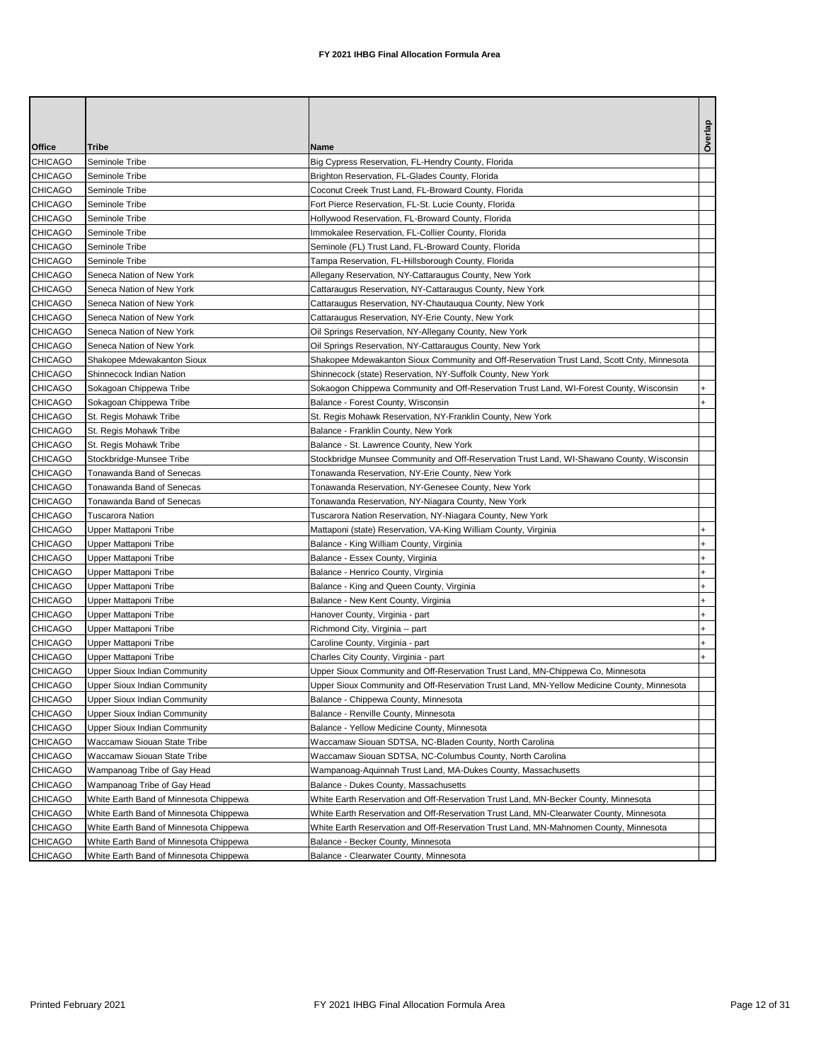|                |                                        |                                                                                            | Overlap   |
|----------------|----------------------------------------|--------------------------------------------------------------------------------------------|-----------|
| Office         | Tribe                                  | Name                                                                                       |           |
| <b>CHICAGO</b> | Seminole Tribe                         | Big Cypress Reservation, FL-Hendry County, Florida                                         |           |
| <b>CHICAGO</b> | Seminole Tribe                         | Brighton Reservation, FL-Glades County, Florida                                            |           |
| <b>CHICAGO</b> | Seminole Tribe                         | Coconut Creek Trust Land, FL-Broward County, Florida                                       |           |
| <b>CHICAGO</b> | Seminole Tribe                         | Fort Pierce Reservation, FL-St. Lucie County, Florida                                      |           |
| <b>CHICAGO</b> | Seminole Tribe                         | Hollywood Reservation, FL-Broward County, Florida                                          |           |
| <b>CHICAGO</b> | Seminole Tribe                         | Immokalee Reservation, FL-Collier County, Florida                                          |           |
| <b>CHICAGO</b> | Seminole Tribe                         | Seminole (FL) Trust Land, FL-Broward County, Florida                                       |           |
| <b>CHICAGO</b> | Seminole Tribe                         | Tampa Reservation, FL-Hillsborough County, Florida                                         |           |
| <b>CHICAGO</b> | Seneca Nation of New York              | Allegany Reservation, NY-Cattaraugus County, New York                                      |           |
| <b>CHICAGO</b> | Seneca Nation of New York              | Cattaraugus Reservation, NY-Cattaraugus County, New York                                   |           |
| <b>CHICAGO</b> | Seneca Nation of New York              | Cattaraugus Reservation, NY-Chautauqua County, New York                                    |           |
| <b>CHICAGO</b> | Seneca Nation of New York              | Cattaraugus Reservation, NY-Erie County, New York                                          |           |
| <b>CHICAGO</b> | Seneca Nation of New York              | Oil Springs Reservation, NY-Allegany County, New York                                      |           |
| <b>CHICAGO</b> | Seneca Nation of New York              | Oil Springs Reservation, NY-Cattaraugus County, New York                                   |           |
| <b>CHICAGO</b> | Shakopee Mdewakanton Sioux             | Shakopee Mdewakanton Sioux Community and Off-Reservation Trust Land, Scott Cnty, Minnesota |           |
| <b>CHICAGO</b> | Shinnecock Indian Nation               | Shinnecock (state) Reservation, NY-Suffolk County, New York                                |           |
| <b>CHICAGO</b> | Sokagoan Chippewa Tribe                | Sokaogon Chippewa Community and Off-Reservation Trust Land, WI-Forest County, Wisconsin    |           |
| <b>CHICAGO</b> | Sokagoan Chippewa Tribe                | Balance - Forest County, Wisconsin                                                         | $\ddot{}$ |
| <b>CHICAGO</b> | St. Regis Mohawk Tribe                 | St. Regis Mohawk Reservation, NY-Franklin County, New York                                 |           |
| <b>CHICAGO</b> | St. Regis Mohawk Tribe                 | Balance - Franklin County, New York                                                        |           |
| <b>CHICAGO</b> | St. Regis Mohawk Tribe                 | Balance - St. Lawrence County, New York                                                    |           |
| <b>CHICAGO</b> | Stockbridge-Munsee Tribe               | Stockbridge Munsee Community and Off-Reservation Trust Land, WI-Shawano County, Wisconsin  |           |
| <b>CHICAGO</b> | Tonawanda Band of Senecas              | Tonawanda Reservation, NY-Erie County, New York                                            |           |
| <b>CHICAGO</b> | Tonawanda Band of Senecas              | Tonawanda Reservation, NY-Genesee County, New York                                         |           |
| <b>CHICAGO</b> | Tonawanda Band of Senecas              | Tonawanda Reservation, NY-Niagara County, New York                                         |           |
| <b>CHICAGO</b> | <b>Tuscarora Nation</b>                | Tuscarora Nation Reservation, NY-Niagara County, New York                                  |           |
| <b>CHICAGO</b> | Upper Mattaponi Tribe                  | Mattaponi (state) Reservation, VA-King William County, Virginia                            | $\ddot{}$ |
| <b>CHICAGO</b> | Upper Mattaponi Tribe                  | Balance - King William County, Virginia                                                    | $\ddot{}$ |
| <b>CHICAGO</b> | Upper Mattaponi Tribe                  | Balance - Essex County, Virginia                                                           | $\ddot{}$ |
| <b>CHICAGO</b> | Upper Mattaponi Tribe                  | Balance - Henrico County, Virginia                                                         | $\ddot{}$ |
| <b>CHICAGO</b> | Upper Mattaponi Tribe                  | Balance - King and Queen County, Virginia                                                  | $\ddot{}$ |
| <b>CHICAGO</b> | Upper Mattaponi Tribe                  | Balance - New Kent County, Virginia                                                        |           |
| <b>CHICAGO</b> | Upper Mattaponi Tribe                  | Hanover County, Virginia - part                                                            | $\ddot{}$ |
| <b>CHICAGO</b> | Upper Mattaponi Tribe                  | Richmond City, Virginia -- part                                                            |           |
| <b>CHICAGO</b> | Upper Mattaponi Tribe                  | Caroline County, Virginia - part                                                           | $\ddot{}$ |
| <b>CHICAGO</b> | Upper Mattaponi Tribe                  | Charles City County, Virginia - part                                                       |           |
| <b>CHICAGO</b> | Upper Sioux Indian Community           | Upper Sioux Community and Off-Reservation Trust Land, MN-Chippewa Co, Minnesota            |           |
| <b>CHICAGO</b> | <b>Upper Sioux Indian Community</b>    | Upper Sioux Community and Off-Reservation Trust Land, MN-Yellow Medicine County, Minnesota |           |
| <b>CHICAGO</b> | <b>Upper Sioux Indian Community</b>    | Balance - Chippewa County, Minnesota                                                       |           |
| <b>CHICAGO</b> | Upper Sioux Indian Community           | Balance - Renville County, Minnesota                                                       |           |
| <b>CHICAGO</b> | <b>Upper Sioux Indian Community</b>    | Balance - Yellow Medicine County, Minnesota                                                |           |
| <b>CHICAGO</b> | Waccamaw Siouan State Tribe            | Waccamaw Siouan SDTSA, NC-Bladen County, North Carolina                                    |           |
| <b>CHICAGO</b> | Waccamaw Siouan State Tribe            | Waccamaw Siouan SDTSA, NC-Columbus County, North Carolina                                  |           |
| <b>CHICAGO</b> | Wampanoag Tribe of Gay Head            | Wampanoag-Aquinnah Trust Land, MA-Dukes County, Massachusetts                              |           |
| <b>CHICAGO</b> | Wampanoag Tribe of Gay Head            | Balance - Dukes County, Massachusetts                                                      |           |
| CHICAGO        | White Earth Band of Minnesota Chippewa | White Earth Reservation and Off-Reservation Trust Land, MN-Becker County, Minnesota        |           |
| CHICAGO        | White Earth Band of Minnesota Chippewa | White Earth Reservation and Off-Reservation Trust Land, MN-Clearwater County, Minnesota    |           |
| CHICAGO        | White Earth Band of Minnesota Chippewa | White Earth Reservation and Off-Reservation Trust Land, MN-Mahnomen County, Minnesota      |           |
| <b>CHICAGO</b> | White Earth Band of Minnesota Chippewa | Balance - Becker County, Minnesota                                                         |           |
| CHICAGO        | White Earth Band of Minnesota Chippewa | Balance - Clearwater County, Minnesota                                                     |           |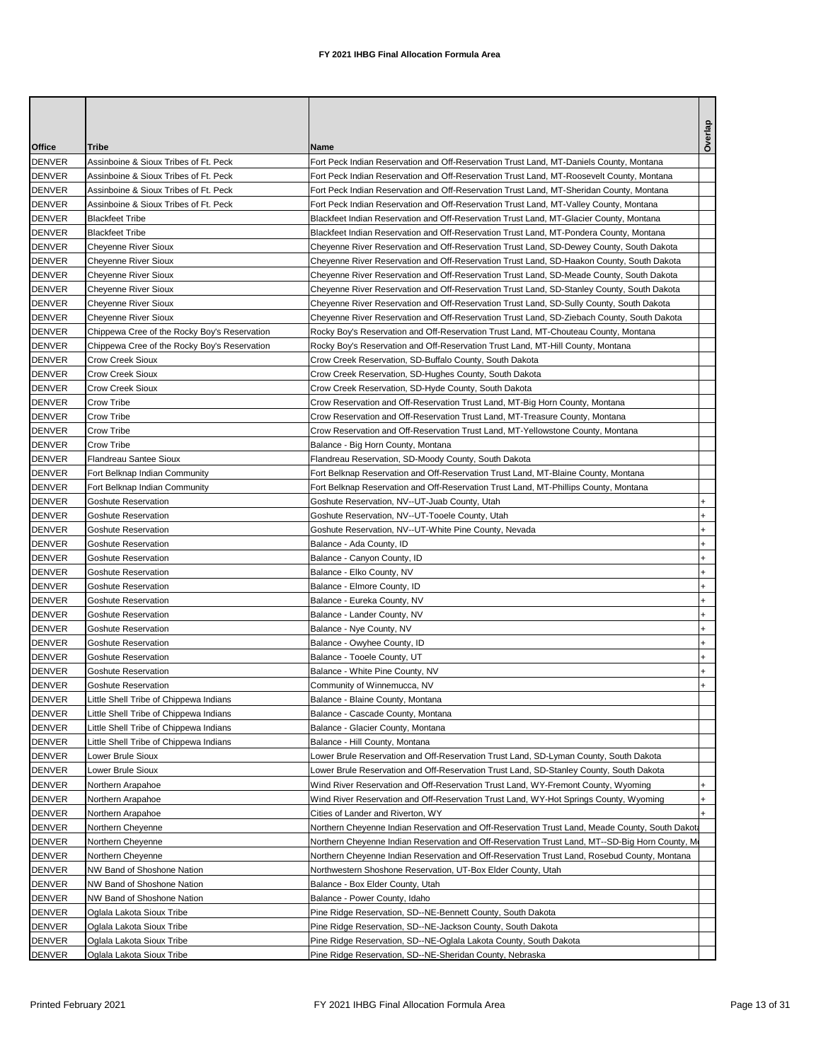| Office        | <b>Tribe</b>                                 | Name                                                                                            | Overlap   |
|---------------|----------------------------------------------|-------------------------------------------------------------------------------------------------|-----------|
| <b>DENVER</b> | Assinboine & Sioux Tribes of Ft. Peck        | Fort Peck Indian Reservation and Off-Reservation Trust Land, MT-Daniels County, Montana         |           |
| <b>DENVER</b> | Assinboine & Sioux Tribes of Ft. Peck        | Fort Peck Indian Reservation and Off-Reservation Trust Land, MT-Roosevelt County, Montana       |           |
| <b>DENVER</b> | Assinboine & Sioux Tribes of Ft. Peck        | Fort Peck Indian Reservation and Off-Reservation Trust Land, MT-Sheridan County, Montana        |           |
| <b>DENVER</b> | Assinboine & Sioux Tribes of Ft. Peck        | Fort Peck Indian Reservation and Off-Reservation Trust Land, MT-Valley County, Montana          |           |
| <b>DENVER</b> | <b>Blackfeet Tribe</b>                       | Blackfeet Indian Reservation and Off-Reservation Trust Land, MT-Glacier County, Montana         |           |
| <b>DENVER</b> | <b>Blackfeet Tribe</b>                       | Blackfeet Indian Reservation and Off-Reservation Trust Land, MT-Pondera County, Montana         |           |
| <b>DENVER</b> | <b>Cheyenne River Sioux</b>                  | Cheyenne River Reservation and Off-Reservation Trust Land, SD-Dewey County, South Dakota        |           |
| <b>DENVER</b> | <b>Cheyenne River Sioux</b>                  | Cheyenne River Reservation and Off-Reservation Trust Land, SD-Haakon County, South Dakota       |           |
| <b>DENVER</b> | <b>Chevenne River Sioux</b>                  | Cheyenne River Reservation and Off-Reservation Trust Land, SD-Meade County, South Dakota        |           |
| <b>DENVER</b> | <b>Cheyenne River Sioux</b>                  | Cheyenne River Reservation and Off-Reservation Trust Land, SD-Stanley County, South Dakota      |           |
| <b>DENVER</b> | Cheyenne River Sioux                         | Cheyenne River Reservation and Off-Reservation Trust Land, SD-Sully County, South Dakota        |           |
| <b>DENVER</b> | Cheyenne River Sioux                         | Cheyenne River Reservation and Off-Reservation Trust Land, SD-Ziebach County, South Dakota      |           |
| <b>DENVER</b> | Chippewa Cree of the Rocky Boy's Reservation | Rocky Boy's Reservation and Off-Reservation Trust Land, MT-Chouteau County, Montana             |           |
| DENVER        | Chippewa Cree of the Rocky Boy's Reservation | Rocky Boy's Reservation and Off-Reservation Trust Land, MT-Hill County, Montana                 |           |
| <b>DENVER</b> | Crow Creek Sioux                             | Crow Creek Reservation, SD-Buffalo County, South Dakota                                         |           |
| <b>DENVER</b> | <b>Crow Creek Sioux</b>                      | Crow Creek Reservation, SD-Hughes County, South Dakota                                          |           |
| <b>DENVER</b> | <b>Crow Creek Sioux</b>                      | Crow Creek Reservation, SD-Hyde County, South Dakota                                            |           |
| <b>DENVER</b> | Crow Tribe                                   | Crow Reservation and Off-Reservation Trust Land, MT-Big Horn County, Montana                    |           |
| <b>DENVER</b> | Crow Tribe                                   | Crow Reservation and Off-Reservation Trust Land, MT-Treasure County, Montana                    |           |
| <b>DENVER</b> | Crow Tribe                                   | Crow Reservation and Off-Reservation Trust Land, MT-Yellowstone County, Montana                 |           |
| <b>DENVER</b> | Crow Tribe                                   | Balance - Big Horn County, Montana                                                              |           |
| <b>DENVER</b> | <b>Flandreau Santee Sioux</b>                | Flandreau Reservation, SD-Moody County, South Dakota                                            |           |
| <b>DENVER</b> | Fort Belknap Indian Community                | Fort Belknap Reservation and Off-Reservation Trust Land, MT-Blaine County, Montana              |           |
| <b>DENVER</b> | Fort Belknap Indian Community                | Fort Belknap Reservation and Off-Reservation Trust Land, MT-Phillips County, Montana            |           |
| <b>DENVER</b> | <b>Goshute Reservation</b>                   | Goshute Reservation, NV--UT-Juab County, Utah                                                   |           |
| <b>DENVER</b> | <b>Goshute Reservation</b>                   | Goshute Reservation, NV--UT-Tooele County, Utah                                                 | $\ddot{}$ |
| <b>DENVER</b> | Goshute Reservation                          | Goshute Reservation, NV--UT-White Pine County, Nevada                                           | $\ddot{}$ |
| <b>DENVER</b> | Goshute Reservation                          | Balance - Ada County, ID                                                                        | $\ddot{}$ |
| <b>DENVER</b> | <b>Goshute Reservation</b>                   | Balance - Canyon County, ID                                                                     | $\ddot{}$ |
| <b>DENVER</b> | <b>Goshute Reservation</b>                   | Balance - Elko County, NV                                                                       |           |
| <b>DENVER</b> | Goshute Reservation                          | Balance - Elmore County, ID                                                                     | $\ddot{}$ |
| <b>DENVER</b> | <b>Goshute Reservation</b>                   | Balance - Eureka County, NV                                                                     | $\ddot{}$ |
| <b>DENVER</b> | Goshute Reservation                          | Balance - Lander County, NV                                                                     | $\ddot{}$ |
| <b>DENVER</b> | <b>Goshute Reservation</b>                   | Balance - Nye County, NV                                                                        |           |
| DENVER        | Goshute Reservation                          | Balance - Owyhee County, ID                                                                     | $\ddot{}$ |
| <b>DENVER</b> | <b>Goshute Reservation</b>                   | Balance - Tooele County, UT                                                                     | $\ddot{}$ |
| <b>DENVER</b> | Goshute Reservation                          | Balance - White Pine County, NV                                                                 | $\ddot{}$ |
| <b>DENVER</b> | <b>Goshute Reservation</b>                   | Community of Winnemucca, NV                                                                     | $\ddot{}$ |
| DENVER        | Little Shell Tribe of Chippewa Indians       | Balance - Blaine County, Montana                                                                |           |
| <b>DENVER</b> | Little Shell Tribe of Chippewa Indians       | Balance - Cascade County, Montana                                                               |           |
| <b>DENVER</b> | Little Shell Tribe of Chippewa Indians       | Balance - Glacier County, Montana                                                               |           |
| <b>DENVER</b> | Little Shell Tribe of Chippewa Indians       | Balance - Hill County, Montana                                                                  |           |
| DENVER        | Lower Brule Sioux                            | Lower Brule Reservation and Off-Reservation Trust Land, SD-Lyman County, South Dakota           |           |
| <b>DENVER</b> | Lower Brule Sioux                            | Lower Brule Reservation and Off-Reservation Trust Land, SD-Stanley County, South Dakota         |           |
| <b>DENVER</b> | Northern Arapahoe                            | Wind River Reservation and Off-Reservation Trust Land, WY-Fremont County, Wyoming               |           |
| <b>DENVER</b> | Northern Arapahoe                            | Wind River Reservation and Off-Reservation Trust Land, WY-Hot Springs County, Wyoming           |           |
| DENVER        | Northern Arapahoe                            | Cities of Lander and Riverton, WY                                                               |           |
| <b>DENVER</b> | Northern Cheyenne                            | Northern Cheyenne Indian Reservation and Off-Reservation Trust Land, Meade County, South Dakota |           |
| DENVER        | Northern Cheyenne                            | Northern Cheyenne Indian Reservation and Off-Reservation Trust Land, MT--SD-Big Horn County, M  |           |
| <b>DENVER</b> | Northern Cheyenne                            | Northern Cheyenne Indian Reservation and Off-Reservation Trust Land, Rosebud County, Montana    |           |
| DENVER        | NW Band of Shoshone Nation                   | Northwestern Shoshone Reservation, UT-Box Elder County, Utah                                    |           |
| <b>DENVER</b> | NW Band of Shoshone Nation                   | Balance - Box Elder County, Utah                                                                |           |
| <b>DENVER</b> | NW Band of Shoshone Nation                   | Balance - Power County, Idaho                                                                   |           |
| <b>DENVER</b> | Oglala Lakota Sioux Tribe                    | Pine Ridge Reservation, SD--NE-Bennett County, South Dakota                                     |           |
| DENVER        | Oglala Lakota Sioux Tribe                    | Pine Ridge Reservation, SD--NE-Jackson County, South Dakota                                     |           |
| <b>DENVER</b> | Oglala Lakota Sioux Tribe                    | Pine Ridge Reservation, SD--NE-Oglala Lakota County, South Dakota                               |           |
| <b>DENVER</b> | Oglala Lakota Sioux Tribe                    | Pine Ridge Reservation, SD--NE-Sheridan County, Nebraska                                        |           |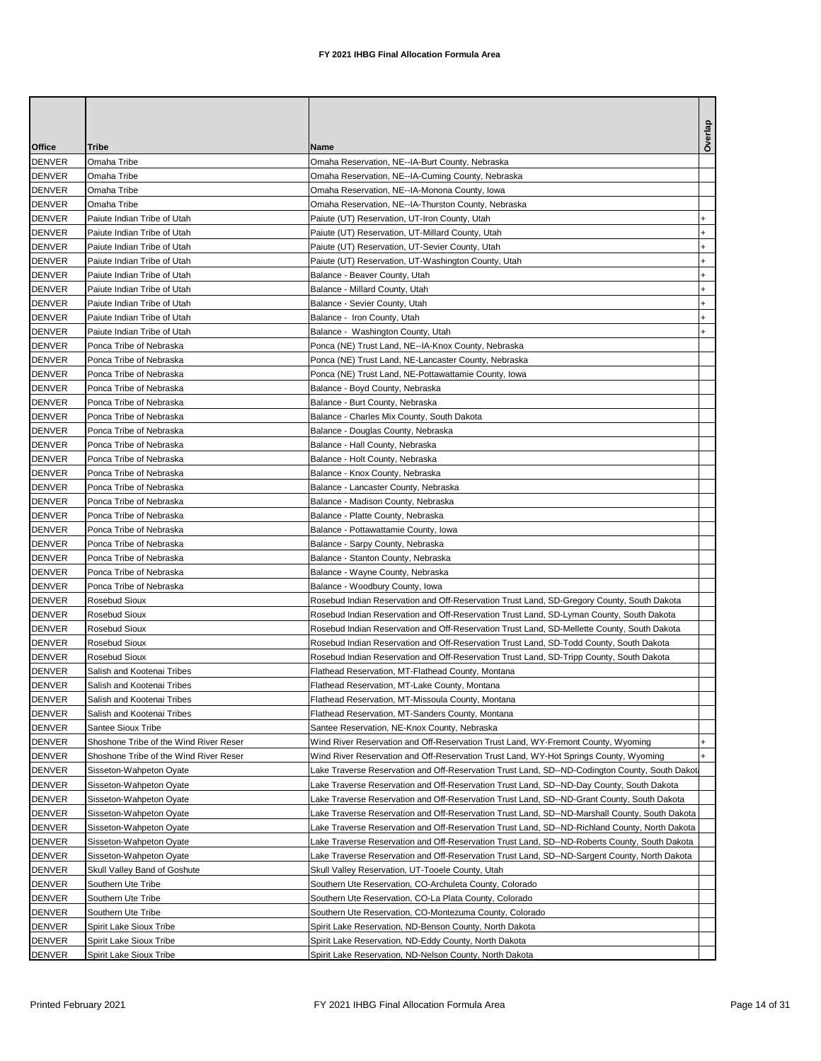|               |                                        |                                                                                                | Overlap   |
|---------------|----------------------------------------|------------------------------------------------------------------------------------------------|-----------|
| Office        | Tribe                                  | Name                                                                                           |           |
| <b>DENVER</b> | Omaha Tribe                            | Omaha Reservation, NE--IA-Burt County, Nebraska                                                |           |
| <b>DENVER</b> | Omaha Tribe                            | Omaha Reservation, NE--IA-Cuming County, Nebraska                                              |           |
| <b>DENVER</b> | Omaha Tribe                            | Omaha Reservation, NE--IA-Monona County, Iowa                                                  |           |
| <b>DENVER</b> | Omaha Tribe                            | Omaha Reservation, NE--IA-Thurston County, Nebraska                                            |           |
| <b>DENVER</b> | Paiute Indian Tribe of Utah            | Paiute (UT) Reservation, UT-Iron County, Utah                                                  |           |
| <b>DENVER</b> | Paiute Indian Tribe of Utah            | Paiute (UT) Reservation, UT-Millard County, Utah                                               | $\ddot{}$ |
| <b>DENVER</b> | Paiute Indian Tribe of Utah            | Paiute (UT) Reservation, UT-Sevier County, Utah                                                |           |
| <b>DENVER</b> | Paiute Indian Tribe of Utah            | Paiute (UT) Reservation, UT-Washington County, Utah                                            |           |
| <b>DENVER</b> | Paiute Indian Tribe of Utah            | Balance - Beaver County, Utah                                                                  |           |
| <b>DENVER</b> | Paiute Indian Tribe of Utah            | Balance - Millard County, Utah                                                                 | $\ddot{}$ |
| <b>DENVER</b> | Paiute Indian Tribe of Utah            | Balance - Sevier County, Utah                                                                  | $\ddot{}$ |
| <b>DENVER</b> | Paiute Indian Tribe of Utah            | Balance - Iron County, Utah                                                                    | $\ddot{}$ |
| <b>DENVER</b> | Paiute Indian Tribe of Utah            | Balance - Washington County, Utah                                                              |           |
| <b>DENVER</b> | Ponca Tribe of Nebraska                | Ponca (NE) Trust Land, NE--IA-Knox County, Nebraska                                            |           |
| <b>DENVER</b> | Ponca Tribe of Nebraska                | Ponca (NE) Trust Land, NE-Lancaster County, Nebraska                                           |           |
| <b>DENVER</b> | Ponca Tribe of Nebraska                | Ponca (NE) Trust Land, NE-Pottawattamie County, Iowa                                           |           |
| <b>DENVER</b> | Ponca Tribe of Nebraska                | Balance - Boyd County, Nebraska                                                                |           |
| <b>DENVER</b> | Ponca Tribe of Nebraska                | Balance - Burt County, Nebraska                                                                |           |
| <b>DENVER</b> | Ponca Tribe of Nebraska                | Balance - Charles Mix County, South Dakota                                                     |           |
| <b>DENVER</b> | Ponca Tribe of Nebraska                | Balance - Douglas County, Nebraska                                                             |           |
| <b>DENVER</b> | Ponca Tribe of Nebraska                | Balance - Hall County, Nebraska                                                                |           |
| <b>DENVER</b> | Ponca Tribe of Nebraska                | Balance - Holt County, Nebraska                                                                |           |
| <b>DENVER</b> | Ponca Tribe of Nebraska                | Balance - Knox County, Nebraska                                                                |           |
| <b>DENVER</b> | Ponca Tribe of Nebraska                | Balance - Lancaster County, Nebraska                                                           |           |
| <b>DENVER</b> | Ponca Tribe of Nebraska                | Balance - Madison County, Nebraska                                                             |           |
| <b>DENVER</b> | Ponca Tribe of Nebraska                | Balance - Platte County, Nebraska                                                              |           |
| <b>DENVER</b> | Ponca Tribe of Nebraska                | Balance - Pottawattamie County, Iowa                                                           |           |
| <b>DENVER</b> | Ponca Tribe of Nebraska                | Balance - Sarpy County, Nebraska                                                               |           |
| <b>DENVER</b> | Ponca Tribe of Nebraska                | Balance - Stanton County, Nebraska                                                             |           |
| <b>DENVER</b> | Ponca Tribe of Nebraska                | Balance - Wayne County, Nebraska                                                               |           |
| <b>DENVER</b> | Ponca Tribe of Nebraska                | Balance - Woodbury County, Iowa                                                                |           |
| <b>DENVER</b> | <b>Rosebud Sioux</b>                   | Rosebud Indian Reservation and Off-Reservation Trust Land, SD-Gregory County, South Dakota     |           |
| <b>DENVER</b> | <b>Rosebud Sioux</b>                   | Rosebud Indian Reservation and Off-Reservation Trust Land, SD-Lyman County, South Dakota       |           |
| <b>DENVER</b> | <b>Rosebud Sioux</b>                   | Rosebud Indian Reservation and Off-Reservation Trust Land, SD-Mellette County, South Dakota    |           |
| DENVER        | <b>Rosebud Sioux</b>                   | Rosebud Indian Reservation and Off-Reservation Trust Land, SD-Todd County, South Dakota        |           |
| <b>DENVER</b> | <b>Rosebud Sioux</b>                   | Rosebud Indian Reservation and Off-Reservation Trust Land, SD-Tripp County, South Dakota       |           |
| <b>DENVER</b> | Salish and Kootenai Tribes             | Flathead Reservation, MT-Flathead County, Montana                                              |           |
| <b>DENVER</b> | Salish and Kootenai Tribes             | Flathead Reservation, MT-Lake County, Montana                                                  |           |
| DENVER        | Salish and Kootenai Tribes             | Flathead Reservation, MT-Missoula County, Montana                                              |           |
| <b>DENVER</b> | Salish and Kootenai Tribes             | Flathead Reservation, MT-Sanders County, Montana                                               |           |
| <b>DENVER</b> | Santee Sioux Tribe                     | Santee Reservation, NE-Knox County, Nebraska                                                   |           |
| <b>DENVER</b> | Shoshone Tribe of the Wind River Reser | Wind River Reservation and Off-Reservation Trust Land, WY-Fremont County, Wyoming              |           |
| DENVER        | Shoshone Tribe of the Wind River Reser | Wind River Reservation and Off-Reservation Trust Land, WY-Hot Springs County, Wyoming          | $+$       |
| <b>DENVER</b> | Sisseton-Wahpeton Oyate                | Lake Traverse Reservation and Off-Reservation Trust Land, SD--ND-Codington County, South Dakot |           |
| <b>DENVER</b> | Sisseton-Wahpeton Oyate                | Lake Traverse Reservation and Off-Reservation Trust Land, SD--ND-Day County, South Dakota      |           |
| <b>DENVER</b> | Sisseton-Wahpeton Oyate                | Lake Traverse Reservation and Off-Reservation Trust Land, SD--ND-Grant County, South Dakota    |           |
| <b>DENVER</b> | Sisseton-Wahpeton Oyate                | Lake Traverse Reservation and Off-Reservation Trust Land, SD--ND-Marshall County, South Dakota |           |
| <b>DENVER</b> | Sisseton-Wahpeton Oyate                | Lake Traverse Reservation and Off-Reservation Trust Land, SD--ND-Richland County, North Dakota |           |
| <b>DENVER</b> | Sisseton-Wahpeton Oyate                | Lake Traverse Reservation and Off-Reservation Trust Land, SD--ND-Roberts County, South Dakota  |           |
| <b>DENVER</b> | Sisseton-Wahpeton Oyate                | Lake Traverse Reservation and Off-Reservation Trust Land, SD--ND-Sargent County, North Dakota  |           |
| <b>DENVER</b> | Skull Valley Band of Goshute           | Skull Valley Reservation, UT-Tooele County, Utah                                               |           |
| <b>DENVER</b> | Southern Ute Tribe                     | Southern Ute Reservation, CO-Archuleta County, Colorado                                        |           |
| <b>DENVER</b> | Southern Ute Tribe                     | Southern Ute Reservation, CO-La Plata County, Colorado                                         |           |
| <b>DENVER</b> | Southern Ute Tribe                     | Southern Ute Reservation, CO-Montezuma County, Colorado                                        |           |
| <b>DENVER</b> | Spirit Lake Sioux Tribe                | Spirit Lake Reservation, ND-Benson County, North Dakota                                        |           |
| <b>DENVER</b> | Spirit Lake Sioux Tribe                | Spirit Lake Reservation, ND-Eddy County, North Dakota                                          |           |
| <b>DENVER</b> | Spirit Lake Sioux Tribe                | Spirit Lake Reservation, ND-Nelson County, North Dakota                                        |           |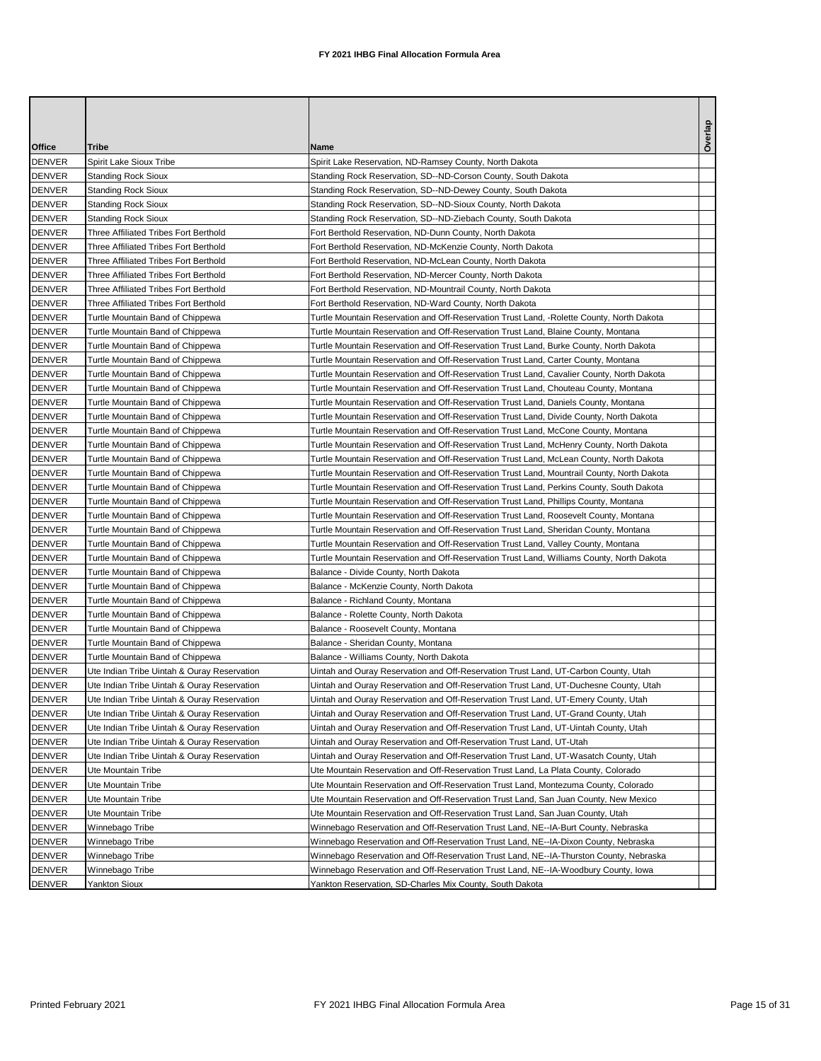| <b>Office</b>                  | Tribe                                       | Name                                                                                                                                                                      | Overlay |
|--------------------------------|---------------------------------------------|---------------------------------------------------------------------------------------------------------------------------------------------------------------------------|---------|
| <b>DENVER</b>                  | Spirit Lake Sioux Tribe                     | Spirit Lake Reservation, ND-Ramsey County, North Dakota                                                                                                                   |         |
| <b>DENVER</b>                  | <b>Standing Rock Sioux</b>                  | Standing Rock Reservation, SD--ND-Corson County, South Dakota                                                                                                             |         |
| <b>DENVER</b>                  | <b>Standing Rock Sioux</b>                  | Standing Rock Reservation, SD--ND-Dewey County, South Dakota                                                                                                              |         |
| <b>DENVER</b>                  | <b>Standing Rock Sioux</b>                  | Standing Rock Reservation, SD--ND-Sioux County, North Dakota                                                                                                              |         |
| <b>DENVER</b>                  | <b>Standing Rock Sioux</b>                  | Standing Rock Reservation, SD--ND-Ziebach County, South Dakota                                                                                                            |         |
| <b>DENVER</b>                  | Three Affiliated Tribes Fort Berthold       | Fort Berthold Reservation, ND-Dunn County, North Dakota                                                                                                                   |         |
| <b>DENVER</b>                  | Three Affiliated Tribes Fort Berthold       | Fort Berthold Reservation, ND-McKenzie County, North Dakota                                                                                                               |         |
| <b>DENVER</b>                  | Three Affiliated Tribes Fort Berthold       | Fort Berthold Reservation, ND-McLean County, North Dakota                                                                                                                 |         |
| <b>DENVER</b>                  | Three Affiliated Tribes Fort Berthold       | Fort Berthold Reservation, ND-Mercer County, North Dakota                                                                                                                 |         |
| <b>DENVER</b>                  | Three Affiliated Tribes Fort Berthold       | Fort Berthold Reservation, ND-Mountrail County, North Dakota                                                                                                              |         |
| <b>DENVER</b>                  | Three Affiliated Tribes Fort Berthold       | Fort Berthold Reservation, ND-Ward County, North Dakota                                                                                                                   |         |
| <b>DENVER</b>                  | Turtle Mountain Band of Chippewa            | Turtle Mountain Reservation and Off-Reservation Trust Land, -Rolette County, North Dakota                                                                                 |         |
| <b>DENVER</b>                  | Turtle Mountain Band of Chippewa            | Turtle Mountain Reservation and Off-Reservation Trust Land, Blaine County, Montana                                                                                        |         |
| <b>DENVER</b>                  | Turtle Mountain Band of Chippewa            | Turtle Mountain Reservation and Off-Reservation Trust Land, Burke County, North Dakota                                                                                    |         |
| <b>DENVER</b>                  | Turtle Mountain Band of Chippewa            | Turtle Mountain Reservation and Off-Reservation Trust Land, Carter County, Montana                                                                                        |         |
| <b>DENVER</b>                  | Turtle Mountain Band of Chippewa            | Turtle Mountain Reservation and Off-Reservation Trust Land, Cavalier County, North Dakota                                                                                 |         |
| <b>DENVER</b>                  | Turtle Mountain Band of Chippewa            | Turtle Mountain Reservation and Off-Reservation Trust Land, Chouteau County, Montana                                                                                      |         |
| <b>DENVER</b>                  | Turtle Mountain Band of Chippewa            | Turtle Mountain Reservation and Off-Reservation Trust Land, Daniels County, Montana                                                                                       |         |
| <b>DENVER</b>                  | Turtle Mountain Band of Chippewa            | Turtle Mountain Reservation and Off-Reservation Trust Land, Divide County, North Dakota                                                                                   |         |
| <b>DENVER</b>                  | Turtle Mountain Band of Chippewa            | Turtle Mountain Reservation and Off-Reservation Trust Land, McCone County, Montana                                                                                        |         |
| <b>DENVER</b>                  | Turtle Mountain Band of Chippewa            | Turtle Mountain Reservation and Off-Reservation Trust Land, McHenry County, North Dakota                                                                                  |         |
| <b>DENVER</b>                  | Turtle Mountain Band of Chippewa            | Turtle Mountain Reservation and Off-Reservation Trust Land, McLean County, North Dakota                                                                                   |         |
| <b>DENVER</b>                  | Turtle Mountain Band of Chippewa            | Turtle Mountain Reservation and Off-Reservation Trust Land, Mountrail County, North Dakota                                                                                |         |
| <b>DENVER</b>                  | Turtle Mountain Band of Chippewa            | Turtle Mountain Reservation and Off-Reservation Trust Land, Perkins County, South Dakota                                                                                  |         |
| <b>DENVER</b>                  | Turtle Mountain Band of Chippewa            | Turtle Mountain Reservation and Off-Reservation Trust Land, Phillips County, Montana                                                                                      |         |
| <b>DENVER</b>                  | Turtle Mountain Band of Chippewa            | Turtle Mountain Reservation and Off-Reservation Trust Land, Roosevelt County, Montana                                                                                     |         |
| <b>DENVER</b>                  | Turtle Mountain Band of Chippewa            | Turtle Mountain Reservation and Off-Reservation Trust Land, Sheridan County, Montana                                                                                      |         |
| <b>DENVER</b>                  | Turtle Mountain Band of Chippewa            | Turtle Mountain Reservation and Off-Reservation Trust Land, Valley County, Montana                                                                                        |         |
| <b>DENVER</b>                  | Turtle Mountain Band of Chippewa            | Turtle Mountain Reservation and Off-Reservation Trust Land, Williams County, North Dakota                                                                                 |         |
| <b>DENVER</b>                  | Turtle Mountain Band of Chippewa            | Balance - Divide County, North Dakota                                                                                                                                     |         |
| <b>DENVER</b>                  | Turtle Mountain Band of Chippewa            | Balance - McKenzie County, North Dakota                                                                                                                                   |         |
| <b>DENVER</b>                  | Turtle Mountain Band of Chippewa            | Balance - Richland County, Montana                                                                                                                                        |         |
| <b>DENVER</b>                  | Turtle Mountain Band of Chippewa            | Balance - Rolette County, North Dakota                                                                                                                                    |         |
| <b>DENVER</b>                  | Turtle Mountain Band of Chippewa            | Balance - Roosevelt County, Montana                                                                                                                                       |         |
| <b>DENVER</b>                  | Turtle Mountain Band of Chippewa            | Balance - Sheridan County, Montana                                                                                                                                        |         |
| <b>DENVER</b>                  | Turtle Mountain Band of Chippewa            | Balance - Williams County, North Dakota                                                                                                                                   |         |
| <b>DENVER</b>                  | Ute Indian Tribe Uintah & Ouray Reservation | Uintah and Ouray Reservation and Off-Reservation Trust Land, UT-Carbon County, Utah                                                                                       |         |
| <b>DENVER</b>                  | Ute Indian Tribe Uintah & Ouray Reservation | Uintah and Ouray Reservation and Off-Reservation Trust Land, UT-Duchesne County, Utah                                                                                     |         |
| <b>DENVER</b>                  | Ute Indian Tribe Uintah & Ouray Reservation | Uintah and Ouray Reservation and Off-Reservation Trust Land, UT-Emery County, Utah                                                                                        |         |
| <b>DENVER</b>                  | Ute Indian Tribe Uintah & Ouray Reservation | Uintah and Ouray Reservation and Off-Reservation Trust Land, UT-Grand County, Utah                                                                                        |         |
| <b>DENVER</b>                  | Ute Indian Tribe Uintah & Ouray Reservation | Uintah and Ouray Reservation and Off-Reservation Trust Land, UT-Uintah County, Utah                                                                                       |         |
| <b>DENVER</b>                  | Ute Indian Tribe Uintah & Ouray Reservation | Uintah and Ouray Reservation and Off-Reservation Trust Land, UT-Utah                                                                                                      |         |
| <b>DENVER</b>                  | Ute Indian Tribe Uintah & Ouray Reservation | Uintah and Ouray Reservation and Off-Reservation Trust Land, UT-Wasatch County, Utah                                                                                      |         |
| <b>DENVER</b><br><b>DENVER</b> | Ute Mountain Tribe                          | Ute Mountain Reservation and Off-Reservation Trust Land, La Plata County, Colorado<br>Ute Mountain Reservation and Off-Reservation Trust Land, Montezuma County, Colorado |         |
| <b>DENVER</b>                  | Ute Mountain Tribe<br>Ute Mountain Tribe    | Ute Mountain Reservation and Off-Reservation Trust Land, San Juan County, New Mexico                                                                                      |         |
| <b>DENVER</b>                  | Ute Mountain Tribe                          | Ute Mountain Reservation and Off-Reservation Trust Land, San Juan County, Utah                                                                                            |         |
| <b>DENVER</b>                  | Winnebago Tribe                             | Winnebago Reservation and Off-Reservation Trust Land, NE--IA-Burt County, Nebraska                                                                                        |         |
| <b>DENVER</b>                  | Winnebago Tribe                             | Winnebago Reservation and Off-Reservation Trust Land, NE--IA-Dixon County, Nebraska                                                                                       |         |
| <b>DENVER</b>                  | Winnebago Tribe                             | Winnebago Reservation and Off-Reservation Trust Land, NE--IA-Thurston County, Nebraska                                                                                    |         |
| <b>DENVER</b>                  | Winnebago Tribe                             | Winnebago Reservation and Off-Reservation Trust Land, NE--IA-Woodbury County, Iowa                                                                                        |         |
| <b>DENVER</b>                  | Yankton Sioux                               | Yankton Reservation, SD-Charles Mix County, South Dakota                                                                                                                  |         |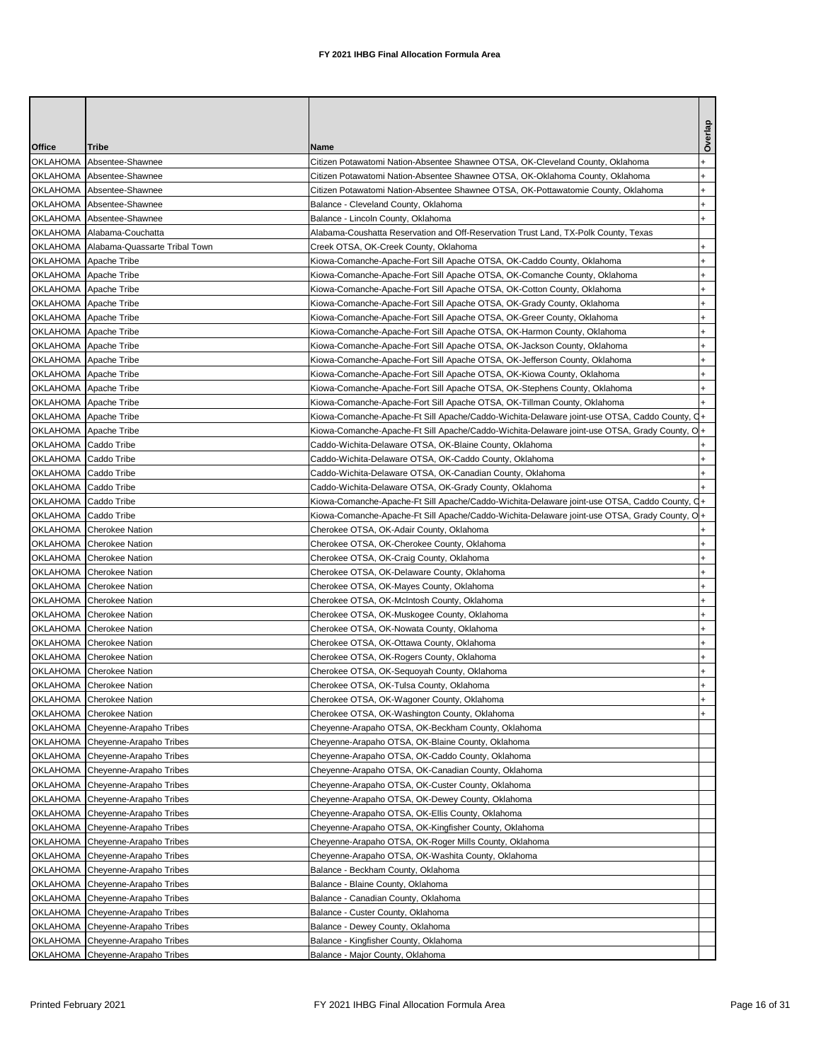|                        |                                                             |                                                                                               | Overlap   |
|------------------------|-------------------------------------------------------------|-----------------------------------------------------------------------------------------------|-----------|
| Office<br>OKLAHOMA     | Tribe<br>Absentee-Shawnee                                   | Name<br>Citizen Potawatomi Nation-Absentee Shawnee OTSA, OK-Cleveland County, Oklahoma        |           |
| OKLAHOMA               | Absentee-Shawnee                                            | Citizen Potawatomi Nation-Absentee Shawnee OTSA, OK-Oklahoma County, Oklahoma                 |           |
|                        | OKLAHOMA Absentee-Shawnee                                   | Citizen Potawatomi Nation-Absentee Shawnee OTSA, OK-Pottawatomie County, Oklahoma             |           |
|                        | OKLAHOMA Absentee-Shawnee                                   | Balance - Cleveland County, Oklahoma                                                          |           |
|                        | OKLAHOMA Absentee-Shawnee                                   | Balance - Lincoln County, Oklahoma                                                            |           |
|                        | OKLAHOMA Alabama-Couchatta                                  | Alabama-Coushatta Reservation and Off-Reservation Trust Land, TX-Polk County, Texas           |           |
|                        | OKLAHOMA Alabama-Quassarte Tribal Town                      | Creek OTSA, OK-Creek County, Oklahoma                                                         |           |
|                        | OKLAHOMA Apache Tribe                                       | Kiowa-Comanche-Apache-Fort Sill Apache OTSA, OK-Caddo County, Oklahoma                        |           |
|                        | OKLAHOMA Apache Tribe                                       | Kiowa-Comanche-Apache-Fort Sill Apache OTSA, OK-Comanche County, Oklahoma                     |           |
|                        | OKLAHOMA Apache Tribe                                       | Kiowa-Comanche-Apache-Fort Sill Apache OTSA, OK-Cotton County, Oklahoma                       |           |
|                        | OKLAHOMA Apache Tribe                                       | Kiowa-Comanche-Apache-Fort Sill Apache OTSA, OK-Grady County, Oklahoma                        |           |
|                        | OKLAHOMA Apache Tribe                                       | Kiowa-Comanche-Apache-Fort Sill Apache OTSA, OK-Greer County, Oklahoma                        |           |
|                        | OKLAHOMA Apache Tribe                                       | Kiowa-Comanche-Apache-Fort Sill Apache OTSA, OK-Harmon County, Oklahoma                       |           |
|                        | OKLAHOMA Apache Tribe                                       | Kiowa-Comanche-Apache-Fort Sill Apache OTSA, OK-Jackson County, Oklahoma                      |           |
|                        | OKLAHOMA Apache Tribe                                       | Kiowa-Comanche-Apache-Fort Sill Apache OTSA, OK-Jefferson County, Oklahoma                    |           |
|                        | OKLAHOMA Apache Tribe                                       | Kiowa-Comanche-Apache-Fort Sill Apache OTSA, OK-Kiowa County, Oklahoma                        |           |
|                        | OKLAHOMA Apache Tribe                                       | Kiowa-Comanche-Apache-Fort Sill Apache OTSA, OK-Stephens County, Oklahoma                     |           |
|                        | OKLAHOMA Apache Tribe                                       | Kiowa-Comanche-Apache-Fort Sill Apache OTSA, OK-Tillman County, Oklahoma                      |           |
|                        | OKLAHOMA Apache Tribe                                       | Kiowa-Comanche-Apache-Ft Sill Apache/Caddo-Wichita-Delaware joint-use OTSA, Caddo County, C   |           |
|                        | OKLAHOMA Apache Tribe                                       | Kiowa-Comanche-Apache-Ft Sill Apache/Caddo-Wichita-Delaware joint-use OTSA, Grady County, O   |           |
| OKLAHOMA   Caddo Tribe |                                                             | Caddo-Wichita-Delaware OTSA, OK-Blaine County, Oklahoma                                       |           |
| OKLAHOMA Caddo Tribe   |                                                             | Caddo-Wichita-Delaware OTSA, OK-Caddo County, Oklahoma                                        |           |
| OKLAHOMA Caddo Tribe   |                                                             | Caddo-Wichita-Delaware OTSA, OK-Canadian County, Oklahoma                                     |           |
| OKLAHOMA Caddo Tribe   |                                                             | Caddo-Wichita-Delaware OTSA, OK-Grady County, Oklahoma                                        |           |
| OKLAHOMA Caddo Tribe   |                                                             | Kiowa-Comanche-Apache-Ft Sill Apache/Caddo-Wichita-Delaware joint-use OTSA, Caddo County, C   |           |
| OKLAHOMA   Caddo Tribe |                                                             | Kiowa-Comanche-Apache-Ft Sill Apache/Caddo-Wichita-Delaware joint-use OTSA, Grady County, Ol+ |           |
|                        | OKLAHOMA Cherokee Nation                                    | Cherokee OTSA, OK-Adair County, Oklahoma                                                      |           |
|                        | OKLAHOMA Cherokee Nation                                    | Cherokee OTSA, OK-Cherokee County, Oklahoma                                                   |           |
|                        | OKLAHOMA Cherokee Nation                                    | Cherokee OTSA, OK-Craig County, Oklahoma                                                      |           |
|                        | OKLAHOMA Cherokee Nation                                    | Cherokee OTSA, OK-Delaware County, Oklahoma                                                   |           |
|                        | OKLAHOMA Cherokee Nation                                    | Cherokee OTSA, OK-Mayes County, Oklahoma                                                      |           |
|                        | OKLAHOMA Cherokee Nation                                    | Cherokee OTSA, OK-McIntosh County, Oklahoma                                                   |           |
|                        | OKLAHOMA Cherokee Nation                                    | Cherokee OTSA, OK-Muskogee County, Oklahoma                                                   |           |
|                        | OKLAHOMA Cherokee Nation                                    | Cherokee OTSA, OK-Nowata County, Oklahoma                                                     |           |
|                        | OKLAHOMA Cherokee Nation                                    | Cherokee OTSA, OK-Ottawa County, Oklahoma                                                     | $\ddot{}$ |
|                        | OKLAHOMA Cherokee Nation                                    | Cherokee OTSA, OK-Rogers County, Oklahoma                                                     | $\ddot{}$ |
|                        | OKLAHOMA Cherokee Nation                                    | Cherokee OTSA, OK-Sequoyah County, Oklahoma                                                   |           |
|                        | OKLAHOMA Cherokee Nation                                    | Cherokee OTSA, OK-Tulsa County, Oklahoma                                                      |           |
|                        | OKLAHOMA Cherokee Nation                                    | Cherokee OTSA, OK-Wagoner County, Oklahoma                                                    |           |
| OKLAHOMA               | <b>Cherokee Nation</b>                                      | Cherokee OTSA, OK-Washington County, Oklahoma                                                 |           |
|                        | OKLAHOMA Cheyenne-Arapaho Tribes                            | Cheyenne-Arapaho OTSA, OK-Beckham County, Oklahoma                                            |           |
|                        | OKLAHOMA Cheyenne-Arapaho Tribes                            | Cheyenne-Arapaho OTSA, OK-Blaine County, Oklahoma                                             |           |
|                        | OKLAHOMA Cheyenne-Arapaho Tribes                            | Cheyenne-Arapaho OTSA, OK-Caddo County, Oklahoma                                              |           |
| OKLAHOMA               | Cheyenne-Arapaho Tribes                                     | Cheyenne-Arapaho OTSA, OK-Canadian County, Oklahoma                                           |           |
|                        | OKLAHOMA Cheyenne-Arapaho Tribes                            | Cheyenne-Arapaho OTSA, OK-Custer County, Oklahoma                                             |           |
| <b>OKLAHOMA</b>        | Cheyenne-Arapaho Tribes                                     | Cheyenne-Arapaho OTSA, OK-Dewey County, Oklahoma                                              |           |
| OKLAHOMA               | Cheyenne-Arapaho Tribes                                     | Cheyenne-Arapaho OTSA, OK-Ellis County, Oklahoma                                              |           |
| OKLAHOMA               | Cheyenne-Arapaho Tribes                                     | Cheyenne-Arapaho OTSA, OK-Kingfisher County, Oklahoma                                         |           |
|                        | OKLAHOMA Cheyenne-Arapaho Tribes                            | Cheyenne-Arapaho OTSA, OK-Roger Mills County, Oklahoma                                        |           |
| OKLAHOMA               | Cheyenne-Arapaho Tribes                                     | Cheyenne-Arapaho OTSA, OK-Washita County, Oklahoma                                            |           |
| <b>OKLAHOMA</b>        | Cheyenne-Arapaho Tribes                                     | Balance - Beckham County, Oklahoma                                                            |           |
| OKLAHOMA               | Cheyenne-Arapaho Tribes                                     | Balance - Blaine County, Oklahoma                                                             |           |
| OKLAHOMA               |                                                             | Balance - Canadian County, Oklahoma                                                           |           |
|                        | Cheyenne-Arapaho Tribes                                     |                                                                                               |           |
| <b>OKLAHOMA</b>        | Cheyenne-Arapaho Tribes                                     | Balance - Custer County, Oklahoma                                                             |           |
| OKLAHOMA               | Cheyenne-Arapaho Tribes                                     | Balance - Dewey County, Oklahoma                                                              |           |
| <b>OKLAHOMA</b>        | Cheyenne-Arapaho Tribes<br>OKLAHOMA Cheyenne-Arapaho Tribes | Balance - Kingfisher County, Oklahoma<br>Balance - Major County, Oklahoma                     |           |
|                        |                                                             |                                                                                               |           |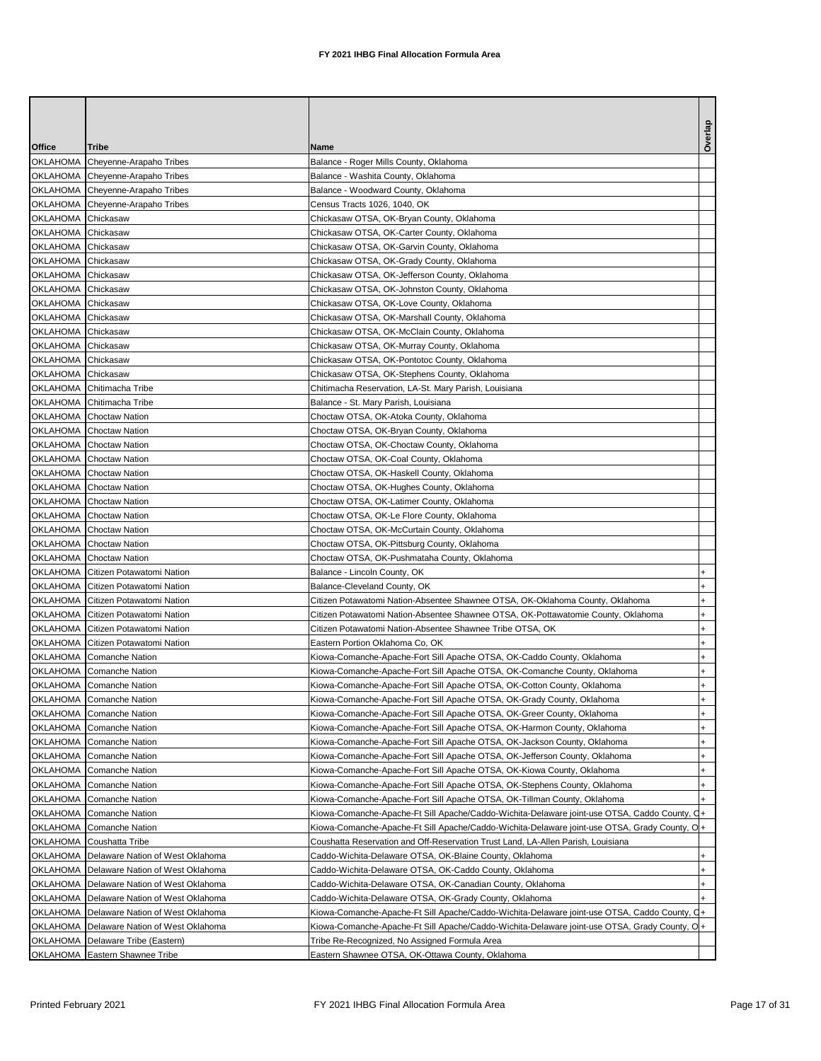| Office             | <b>Tribe</b>                                                             | Name                                                                                         |           |
|--------------------|--------------------------------------------------------------------------|----------------------------------------------------------------------------------------------|-----------|
| OKLAHOMA           | Cheyenne-Arapaho Tribes                                                  | Balance - Roger Mills County, Oklahoma                                                       |           |
|                    | OKLAHOMA Cheyenne-Arapaho Tribes                                         | Balance - Washita County, Oklahoma                                                           |           |
|                    | OKLAHOMA Cheyenne-Arapaho Tribes                                         | Balance - Woodward County, Oklahoma                                                          |           |
|                    | OKLAHOMA Cheyenne-Arapaho Tribes                                         | Census Tracts 1026, 1040, OK                                                                 |           |
| OKLAHOMA Chickasaw |                                                                          | Chickasaw OTSA, OK-Bryan County, Oklahoma                                                    |           |
| OKLAHOMA Chickasaw |                                                                          | Chickasaw OTSA, OK-Carter County, Oklahoma                                                   |           |
| OKLAHOMA Chickasaw |                                                                          | Chickasaw OTSA, OK-Garvin County, Oklahoma                                                   |           |
| OKLAHOMA Chickasaw |                                                                          | Chickasaw OTSA, OK-Grady County, Oklahoma                                                    |           |
| OKLAHOMA Chickasaw |                                                                          | Chickasaw OTSA, OK-Jefferson County, Oklahoma                                                |           |
| OKLAHOMA Chickasaw |                                                                          | Chickasaw OTSA, OK-Johnston County, Oklahoma                                                 |           |
| OKLAHOMA Chickasaw |                                                                          | Chickasaw OTSA, OK-Love County, Oklahoma                                                     |           |
| OKLAHOMA Chickasaw |                                                                          | Chickasaw OTSA, OK-Marshall County, Oklahoma                                                 |           |
| OKLAHOMA Chickasaw |                                                                          | Chickasaw OTSA, OK-McClain County, Oklahoma                                                  |           |
| OKLAHOMA Chickasaw |                                                                          | Chickasaw OTSA, OK-Murray County, Oklahoma                                                   |           |
| OKLAHOMA Chickasaw |                                                                          | Chickasaw OTSA, OK-Pontotoc County, Oklahoma                                                 |           |
| OKLAHOMA Chickasaw |                                                                          | Chickasaw OTSA, OK-Stephens County, Oklahoma                                                 |           |
|                    | OKLAHOMA Chitimacha Tribe                                                | Chitimacha Reservation, LA-St. Mary Parish, Louisiana                                        |           |
|                    | OKLAHOMA Chitimacha Tribe                                                | Balance - St. Mary Parish, Louisiana                                                         |           |
|                    | <b>OKLAHOMA</b> Choctaw Nation                                           | Choctaw OTSA, OK-Atoka County, Oklahoma                                                      |           |
|                    | <b>OKLAHOMA</b> Choctaw Nation                                           | Choctaw OTSA, OK-Bryan County, Oklahoma                                                      |           |
|                    | <b>OKLAHOMA</b> Choctaw Nation                                           | Choctaw OTSA, OK-Choctaw County, Oklahoma                                                    |           |
|                    | OKLAHOMA Choctaw Nation                                                  | Choctaw OTSA, OK-Coal County, Oklahoma                                                       |           |
|                    | <b>OKLAHOMA</b> Choctaw Nation                                           | Choctaw OTSA, OK-Haskell County, Oklahoma                                                    |           |
|                    | <b>OKLAHOMA</b> Choctaw Nation                                           | Choctaw OTSA, OK-Hughes County, Oklahoma                                                     |           |
|                    | OKLAHOMA Choctaw Nation                                                  | Choctaw OTSA, OK-Latimer County, Oklahoma                                                    |           |
|                    | OKLAHOMA Choctaw Nation                                                  | Choctaw OTSA, OK-Le Flore County, Oklahoma                                                   |           |
|                    | OKLAHOMA Choctaw Nation                                                  | Choctaw OTSA, OK-McCurtain County, Oklahoma                                                  |           |
|                    | <b>OKLAHOMA</b> Choctaw Nation                                           | Choctaw OTSA, OK-Pittsburg County, Oklahoma                                                  |           |
|                    | <b>OKLAHOMA</b> Choctaw Nation                                           | Choctaw OTSA, OK-Pushmataha County, Oklahoma                                                 |           |
|                    | OKLAHOMA Citizen Potawatomi Nation                                       | Balance - Lincoln County, OK                                                                 |           |
|                    | OKLAHOMA Citizen Potawatomi Nation                                       | Balance-Cleveland County, OK                                                                 |           |
|                    | OKLAHOMA Citizen Potawatomi Nation                                       | Citizen Potawatomi Nation-Absentee Shawnee OTSA, OK-Oklahoma County, Oklahoma                |           |
|                    |                                                                          | Citizen Potawatomi Nation-Absentee Shawnee OTSA, OK-Pottawatomie County, Oklahoma            |           |
|                    | OKLAHOMA Citizen Potawatomi Nation<br>OKLAHOMA Citizen Potawatomi Nation |                                                                                              |           |
|                    |                                                                          | Citizen Potawatomi Nation-Absentee Shawnee Tribe OTSA, OK                                    |           |
|                    | OKLAHOMA Citizen Potawatomi Nation                                       | Eastern Portion Oklahoma Co, OK                                                              |           |
|                    | OKLAHOMA Comanche Nation                                                 | Kiowa-Comanche-Apache-Fort Sill Apache OTSA, OK-Caddo County, Oklahoma                       |           |
|                    | OKLAHOMA Comanche Nation                                                 | Kiowa-Comanche-Apache-Fort Sill Apache OTSA, OK-Comanche County, Oklahoma                    |           |
|                    | OKLAHOMA Comanche Nation                                                 | Kiowa-Comanche-Apache-Fort Sill Apache OTSA, OK-Cotton County, Oklahoma                      |           |
|                    | OKLAHOMA Comanche Nation                                                 | Kiowa-Comanche-Apache-Fort Sill Apache OTSA, OK-Grady County, Oklahoma                       | $\ddot{}$ |
| OKLAHOMA           | <b>Comanche Nation</b>                                                   | Kiowa-Comanche-Apache-Fort Sill Apache OTSA, OK-Greer County, Oklahoma                       |           |
| <b>OKLAHOMA</b>    | Comanche Nation                                                          | Kiowa-Comanche-Apache-Fort Sill Apache OTSA, OK-Harmon County, Oklahoma                      | $\ddot{}$ |
| <b>OKLAHOMA</b>    | <b>Comanche Nation</b>                                                   | Kiowa-Comanche-Apache-Fort Sill Apache OTSA, OK-Jackson County, Oklahoma                     |           |
| OKLAHOMA           | <b>Comanche Nation</b>                                                   | Kiowa-Comanche-Apache-Fort Sill Apache OTSA, OK-Jefferson County, Oklahoma                   |           |
| OKLAHOMA           | Comanche Nation                                                          | Kiowa-Comanche-Apache-Fort Sill Apache OTSA, OK-Kiowa County, Oklahoma                       |           |
| OKLAHOMA           | Comanche Nation                                                          | Kiowa-Comanche-Apache-Fort Sill Apache OTSA, OK-Stephens County, Oklahoma                    |           |
| OKLAHOMA           | <b>Comanche Nation</b>                                                   | Kiowa-Comanche-Apache-Fort Sill Apache OTSA, OK-Tillman County, Oklahoma                     |           |
| <b>OKLAHOMA</b>    | <b>Comanche Nation</b>                                                   | Kiowa-Comanche-Apache-Ft Sill Apache/Caddo-Wichita-Delaware joint-use OTSA, Caddo County, C  |           |
| OKLAHOMA           | <b>Comanche Nation</b>                                                   | Kiowa-Comanche-Apache-Ft Sill Apache/Caddo-Wichita-Delaware joint-use OTSA, Grady County, O+ |           |
| OKLAHOMA           | Coushatta Tribe                                                          | Coushatta Reservation and Off-Reservation Trust Land, LA-Allen Parish, Louisiana             |           |
| OKLAHOMA           | Delaware Nation of West Oklahoma                                         | Caddo-Wichita-Delaware OTSA, OK-Blaine County, Oklahoma                                      |           |
| OKLAHOMA           | Delaware Nation of West Oklahoma                                         | Caddo-Wichita-Delaware OTSA, OK-Caddo County, Oklahoma                                       |           |
| OKLAHOMA           | Delaware Nation of West Oklahoma                                         | Caddo-Wichita-Delaware OTSA, OK-Canadian County, Oklahoma                                    |           |
| OKLAHOMA           | Delaware Nation of West Oklahoma                                         | Caddo-Wichita-Delaware OTSA, OK-Grady County, Oklahoma                                       |           |
| OKLAHOMA           | Delaware Nation of West Oklahoma                                         | Kiowa-Comanche-Apache-Ft Sill Apache/Caddo-Wichita-Delaware joint-use OTSA, Caddo County, O  | $+$       |
| OKLAHOMA           | Delaware Nation of West Oklahoma                                         | Kiowa-Comanche-Apache-Ft Sill Apache/Caddo-Wichita-Delaware joint-use OTSA, Grady County, O+ |           |
| OKLAHOMA           | Delaware Tribe (Eastern)                                                 | Tribe Re-Recognized, No Assigned Formula Area                                                |           |
| <b>OKLAHOMA</b>    | Eastern Shawnee Tribe                                                    | Eastern Shawnee OTSA, OK-Ottawa County, Oklahoma                                             |           |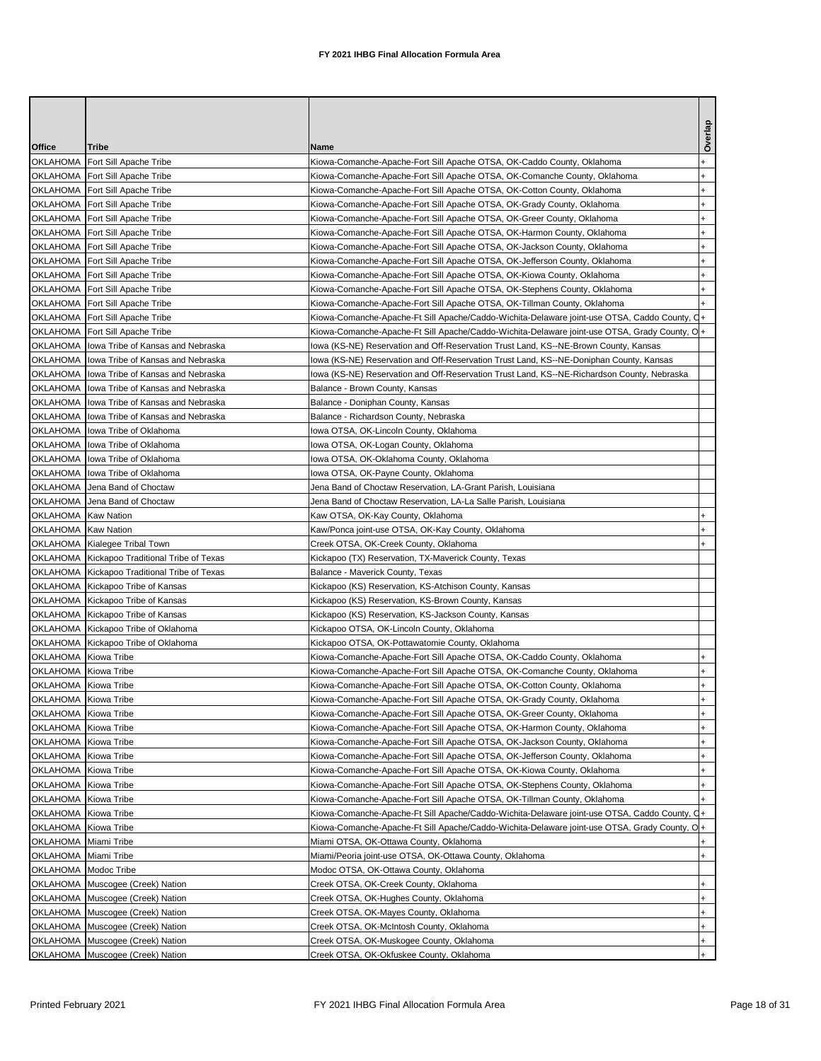|               |                                              |                                                                                              | Overlap   |
|---------------|----------------------------------------------|----------------------------------------------------------------------------------------------|-----------|
| <b>Office</b> | Tribe                                        | Name                                                                                         |           |
| OKLAHOMA      | Fort Sill Apache Tribe                       | Kiowa-Comanche-Apache-Fort Sill Apache OTSA, OK-Caddo County, Oklahoma                       |           |
|               | OKLAHOMA   Fort Sill Apache Tribe            | Kiowa-Comanche-Apache-Fort Sill Apache OTSA, OK-Comanche County, Oklahoma                    | $\ddot{}$ |
|               | OKLAHOMA Fort Sill Apache Tribe              | Kiowa-Comanche-Apache-Fort Sill Apache OTSA, OK-Cotton County, Oklahoma                      |           |
|               | OKLAHOMA   Fort Sill Apache Tribe            | Kiowa-Comanche-Apache-Fort Sill Apache OTSA, OK-Grady County, Oklahoma                       |           |
|               | OKLAHOMA   Fort Sill Apache Tribe            | Kiowa-Comanche-Apache-Fort Sill Apache OTSA, OK-Greer County, Oklahoma                       |           |
|               | OKLAHOMA   Fort Sill Apache Tribe            | Kiowa-Comanche-Apache-Fort Sill Apache OTSA, OK-Harmon County, Oklahoma                      |           |
|               | OKLAHOMA   Fort Sill Apache Tribe            | Kiowa-Comanche-Apache-Fort Sill Apache OTSA, OK-Jackson County, Oklahoma                     |           |
|               | OKLAHOMA   Fort Sill Apache Tribe            | Kiowa-Comanche-Apache-Fort Sill Apache OTSA, OK-Jefferson County, Oklahoma                   |           |
|               | OKLAHOMA   Fort Sill Apache Tribe            | Kiowa-Comanche-Apache-Fort Sill Apache OTSA, OK-Kiowa County, Oklahoma                       |           |
|               | OKLAHOMA   Fort Sill Apache Tribe            | Kiowa-Comanche-Apache-Fort Sill Apache OTSA, OK-Stephens County, Oklahoma                    |           |
|               | OKLAHOMA   Fort Sill Apache Tribe            | Kiowa-Comanche-Apache-Fort Sill Apache OTSA, OK-Tillman County, Oklahoma                     |           |
|               | OKLAHOMA   Fort Sill Apache Tribe            | Kiowa-Comanche-Apache-Ft Sill Apache/Caddo-Wichita-Delaware joint-use OTSA, Caddo County, C  |           |
|               | OKLAHOMA   Fort Sill Apache Tribe            | Kiowa-Comanche-Apache-Ft Sill Apache/Caddo-Wichita-Delaware joint-use OTSA, Grady County, O  |           |
|               | OKLAHOMA   lowa Tribe of Kansas and Nebraska | lowa (KS-NE) Reservation and Off-Reservation Trust Land, KS--NE-Brown County, Kansas         |           |
|               | OKLAHOMA   lowa Tribe of Kansas and Nebraska | lowa (KS-NE) Reservation and Off-Reservation Trust Land, KS--NE-Doniphan County, Kansas      |           |
|               | OKLAHOMA   lowa Tribe of Kansas and Nebraska | lowa (KS-NE) Reservation and Off-Reservation Trust Land, KS--NE-Richardson County, Nebraska  |           |
|               | OKLAHOMA   lowa Tribe of Kansas and Nebraska | Balance - Brown County, Kansas                                                               |           |
|               | OKLAHOMA Iowa Tribe of Kansas and Nebraska   | Balance - Doniphan County, Kansas                                                            |           |
|               | OKLAHOMA   lowa Tribe of Kansas and Nebraska | Balance - Richardson County, Nebraska                                                        |           |
|               | OKLAHOMA Ilowa Tribe of Oklahoma             | lowa OTSA, OK-Lincoln County, Oklahoma                                                       |           |
|               | OKLAHOMA Iowa Tribe of Oklahoma              |                                                                                              |           |
|               |                                              | lowa OTSA, OK-Logan County, Oklahoma<br>Iowa OTSA, OK-Oklahoma County, Oklahoma              |           |
|               | OKLAHOMA   lowa Tribe of Oklahoma            |                                                                                              |           |
|               | OKLAHOMA lowa Tribe of Oklahoma              | Iowa OTSA, OK-Payne County, Oklahoma                                                         |           |
|               | OKLAHOMA Jena Band of Choctaw                | Jena Band of Choctaw Reservation, LA-Grant Parish, Louisiana                                 |           |
| OKLAHOMA      | Jena Band of Choctaw                         | Jena Band of Choctaw Reservation, LA-La Salle Parish, Louisiana                              |           |
|               | OKLAHOMA Kaw Nation                          | Kaw OTSA, OK-Kay County, Oklahoma                                                            |           |
|               | OKLAHOMA Kaw Nation                          | Kaw/Ponca joint-use OTSA, OK-Kay County, Oklahoma                                            |           |
|               | OKLAHOMA Kialegee Tribal Town                | Creek OTSA, OK-Creek County, Oklahoma                                                        |           |
|               | OKLAHOMA Kickapoo Traditional Tribe of Texas | Kickapoo (TX) Reservation, TX-Maverick County, Texas                                         |           |
|               | OKLAHOMA Kickapoo Traditional Tribe of Texas | Balance - Maverick County, Texas                                                             |           |
|               | OKLAHOMA Kickapoo Tribe of Kansas            | Kickapoo (KS) Reservation, KS-Atchison County, Kansas                                        |           |
|               | OKLAHOMA Kickapoo Tribe of Kansas            | Kickapoo (KS) Reservation, KS-Brown County, Kansas                                           |           |
|               | OKLAHOMA Kickapoo Tribe of Kansas            | Kickapoo (KS) Reservation, KS-Jackson County, Kansas                                         |           |
|               | OKLAHOMA Kickapoo Tribe of Oklahoma          | Kickapoo OTSA, OK-Lincoln County, Oklahoma                                                   |           |
|               | OKLAHOMA Kickapoo Tribe of Oklahoma          | Kickapoo OTSA, OK-Pottawatomie County, Oklahoma                                              |           |
|               | OKLAHOMA Kiowa Tribe                         | Kiowa-Comanche-Apache-Fort Sill Apache OTSA, OK-Caddo County, Oklahoma                       |           |
|               | OKLAHOMA Kiowa Tribe                         | Kiowa-Comanche-Apache-Fort Sill Apache OTSA, OK-Comanche County, Oklahoma                    |           |
|               | OKLAHOMA Kiowa Tribe                         | Kiowa-Comanche-Apache-Fort Sill Apache OTSA, OK-Cotton County, Oklahoma                      |           |
|               | OKLAHOMA Kiowa Tribe                         | Kiowa-Comanche-Apache-Fort Sill Apache OTSA, OK-Grady County, Oklahoma                       | $\ddot{}$ |
|               | OKLAHOMA Kiowa Tribe                         | Kiowa-Comanche-Apache-Fort Sill Apache OTSA, OK-Greer County, Oklahoma                       | $\ddot{}$ |
|               | OKLAHOMA Kiowa Tribe                         | Kiowa-Comanche-Apache-Fort Sill Apache OTSA, OK-Harmon County, Oklahoma                      |           |
|               | OKLAHOMA Kiowa Tribe                         | Kiowa-Comanche-Apache-Fort Sill Apache OTSA, OK-Jackson County, Oklahoma                     |           |
|               | OKLAHOMA Kiowa Tribe                         | Kiowa-Comanche-Apache-Fort Sill Apache OTSA, OK-Jefferson County, Oklahoma                   |           |
| OKLAHOMA      | Kiowa Tribe                                  | Kiowa-Comanche-Apache-Fort Sill Apache OTSA, OK-Kiowa County, Oklahoma                       |           |
|               | OKLAHOMA Kiowa Tribe                         | Kiowa-Comanche-Apache-Fort Sill Apache OTSA, OK-Stephens County, Oklahoma                    |           |
| OKLAHOMA      | Kiowa Tribe                                  | Kiowa-Comanche-Apache-Fort Sill Apache OTSA, OK-Tillman County, Oklahoma                     |           |
|               | OKLAHOMA Kiowa Tribe                         | Kiowa-Comanche-Apache-Ft Sill Apache/Caddo-Wichita-Delaware joint-use OTSA, Caddo County, C  |           |
| OKLAHOMA      | Kiowa Tribe                                  | Kiowa-Comanche-Apache-Ft Sill Apache/Caddo-Wichita-Delaware joint-use OTSA, Grady County, O+ |           |
|               | OKLAHOMA Miami Tribe                         | Miami OTSA, OK-Ottawa County, Oklahoma                                                       |           |
|               | OKLAHOMA Miami Tribe                         | Miami/Peoria joint-use OTSA, OK-Ottawa County, Oklahoma                                      |           |
|               | OKLAHOMA   Modoc Tribe                       | Modoc OTSA, OK-Ottawa County, Oklahoma                                                       |           |
|               | OKLAHOMA Muscogee (Creek) Nation             | Creek OTSA, OK-Creek County, Oklahoma                                                        |           |
|               | OKLAHOMA Muscogee (Creek) Nation             | Creek OTSA, OK-Hughes County, Oklahoma                                                       |           |
|               | OKLAHOMA Muscogee (Creek) Nation             | Creek OTSA, OK-Mayes County, Oklahoma                                                        |           |
|               | OKLAHOMA Muscogee (Creek) Nation             | Creek OTSA, OK-McIntosh County, Oklahoma                                                     |           |
|               | OKLAHOMA Muscogee (Creek) Nation             | Creek OTSA, OK-Muskogee County, Oklahoma                                                     |           |
|               | OKLAHOMA Muscogee (Creek) Nation             | Creek OTSA, OK-Okfuskee County, Oklahoma                                                     |           |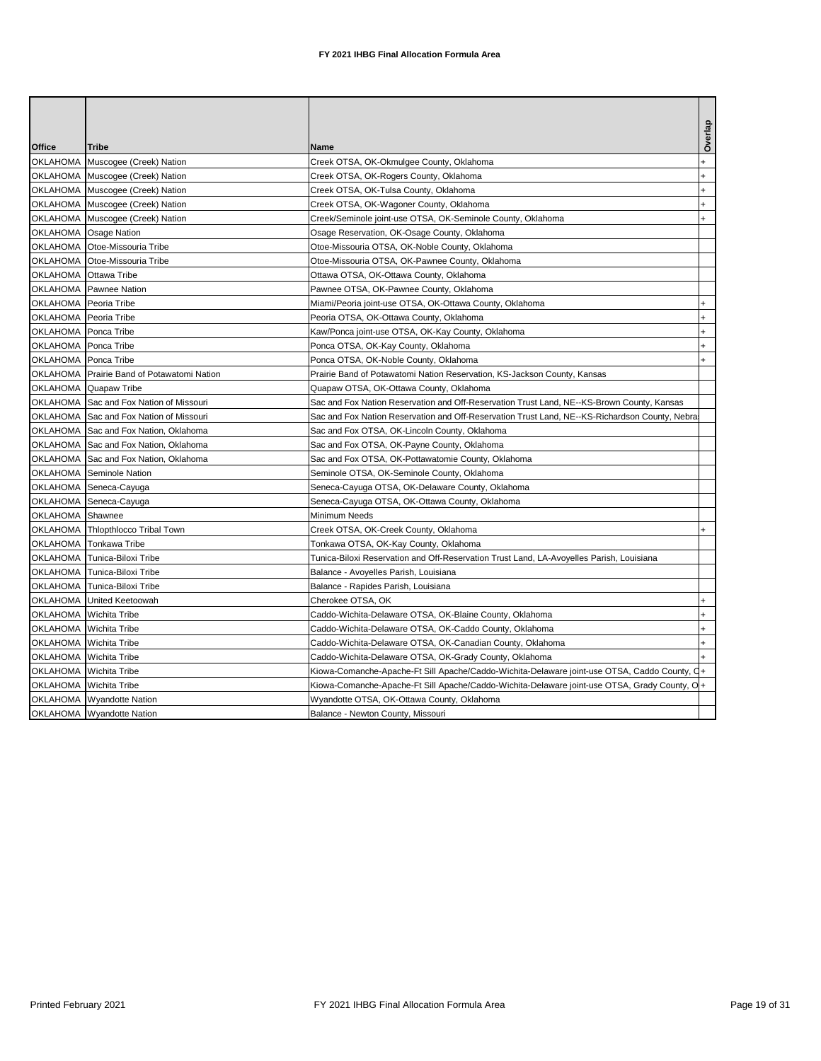| Office<br><b>Tribe</b><br>Name<br>OKLAHOMA Muscogee (Creek) Nation<br>Creek OTSA, OK-Okmulgee County, Oklahoma<br>OKLAHOMA Muscogee (Creek) Nation<br>Creek OTSA, OK-Rogers County, Oklahoma<br>OKLAHOMA Muscogee (Creek) Nation<br>Creek OTSA, OK-Tulsa County, Oklahoma |  |
|---------------------------------------------------------------------------------------------------------------------------------------------------------------------------------------------------------------------------------------------------------------------------|--|
|                                                                                                                                                                                                                                                                           |  |
|                                                                                                                                                                                                                                                                           |  |
|                                                                                                                                                                                                                                                                           |  |
|                                                                                                                                                                                                                                                                           |  |
|                                                                                                                                                                                                                                                                           |  |
| OKLAHOMA Muscogee (Creek) Nation<br>Creek OTSA, OK-Wagoner County, Oklahoma                                                                                                                                                                                               |  |
| OKLAHOMA Muscogee (Creek) Nation<br>Creek/Seminole joint-use OTSA, OK-Seminole County, Oklahoma                                                                                                                                                                           |  |
| OKLAHOMA Osage Nation<br>Osage Reservation, OK-Osage County, Oklahoma                                                                                                                                                                                                     |  |
| OKLAHOMA Otoe-Missouria Tribe<br>Otoe-Missouria OTSA, OK-Noble County, Oklahoma                                                                                                                                                                                           |  |
| OKLAHOMA Otoe-Missouria Tribe<br>Otoe-Missouria OTSA, OK-Pawnee County, Oklahoma                                                                                                                                                                                          |  |
| OKLAHOMA Ottawa Tribe<br>Ottawa OTSA, OK-Ottawa County, Oklahoma                                                                                                                                                                                                          |  |
| OKLAHOMA Pawnee Nation<br>Pawnee OTSA, OK-Pawnee County, Oklahoma                                                                                                                                                                                                         |  |
| OKLAHOMA Peoria Tribe<br>Miami/Peoria joint-use OTSA, OK-Ottawa County, Oklahoma                                                                                                                                                                                          |  |
| OKLAHOMA Peoria Tribe<br>Peoria OTSA, OK-Ottawa County, Oklahoma                                                                                                                                                                                                          |  |
| OKLAHOMA Ponca Tribe<br>Kaw/Ponca joint-use OTSA, OK-Kay County, Oklahoma                                                                                                                                                                                                 |  |
| OKLAHOMA Ponca Tribe<br>Ponca OTSA, OK-Kay County, Oklahoma                                                                                                                                                                                                               |  |
| OKLAHOMA Ponca Tribe<br>Ponca OTSA, OK-Noble County, Oklahoma                                                                                                                                                                                                             |  |
| OKLAHOMA Prairie Band of Potawatomi Nation<br>Prairie Band of Potawatomi Nation Reservation, KS-Jackson County, Kansas                                                                                                                                                    |  |
| OKLAHOMA Quapaw Tribe<br>Quapaw OTSA, OK-Ottawa County, Oklahoma                                                                                                                                                                                                          |  |
| OKLAHOMA Sac and Fox Nation of Missouri<br>Sac and Fox Nation Reservation and Off-Reservation Trust Land, NE--KS-Brown County, Kansas                                                                                                                                     |  |
| OKLAHOMA Sac and Fox Nation of Missouri<br>Sac and Fox Nation Reservation and Off-Reservation Trust Land, NE--KS-Richardson County, Nebra                                                                                                                                 |  |
| OKLAHOMA Sac and Fox Nation, Oklahoma<br>Sac and Fox OTSA, OK-Lincoln County, Oklahoma                                                                                                                                                                                    |  |
| OKLAHOMA Sac and Fox Nation, Oklahoma<br>Sac and Fox OTSA, OK-Payne County, Oklahoma                                                                                                                                                                                      |  |
| OKLAHOMA Sac and Fox Nation, Oklahoma<br>Sac and Fox OTSA, OK-Pottawatomie County, Oklahoma                                                                                                                                                                               |  |
| OKLAHOMA Seminole Nation<br>Seminole OTSA, OK-Seminole County, Oklahoma                                                                                                                                                                                                   |  |
| OKLAHOMA Seneca-Cayuga<br>Seneca-Cayuga OTSA, OK-Delaware County, Oklahoma                                                                                                                                                                                                |  |
| OKLAHOMA Seneca-Cayuga<br>Seneca-Cayuga OTSA, OK-Ottawa County, Oklahoma                                                                                                                                                                                                  |  |
| OKLAHOMA Shawnee<br>Minimum Needs                                                                                                                                                                                                                                         |  |
| OKLAHOMA Thlopthlocco Tribal Town<br>Creek OTSA, OK-Creek County, Oklahoma                                                                                                                                                                                                |  |
| OKLAHOMA Tonkawa Tribe<br>Tonkawa OTSA, OK-Kay County, Oklahoma                                                                                                                                                                                                           |  |
| OKLAHOMA Tunica-Biloxi Tribe<br>Tunica-Biloxi Reservation and Off-Reservation Trust Land, LA-Avoyelles Parish, Louisiana                                                                                                                                                  |  |
| OKLAHOMA Tunica-Biloxi Tribe<br>Balance - Avoyelles Parish, Louisiana                                                                                                                                                                                                     |  |
| OKLAHOMA Tunica-Biloxi Tribe<br>Balance - Rapides Parish, Louisiana                                                                                                                                                                                                       |  |
| OKLAHOMA United Keetoowah<br>Cherokee OTSA, OK                                                                                                                                                                                                                            |  |
| OKLAHOMA Wichita Tribe<br>Caddo-Wichita-Delaware OTSA, OK-Blaine County, Oklahoma                                                                                                                                                                                         |  |
| OKLAHOMA Wichita Tribe<br>Caddo-Wichita-Delaware OTSA, OK-Caddo County, Oklahoma                                                                                                                                                                                          |  |
| OKLAHOMA Wichita Tribe<br>Caddo-Wichita-Delaware OTSA, OK-Canadian County, Oklahoma                                                                                                                                                                                       |  |
| OKLAHOMA Wichita Tribe<br>Caddo-Wichita-Delaware OTSA, OK-Grady County, Oklahoma                                                                                                                                                                                          |  |
| OKLAHOMA Wichita Tribe<br>Kiowa-Comanche-Apache-Ft Sill Apache/Caddo-Wichita-Delaware joint-use OTSA, Caddo County, C                                                                                                                                                     |  |
| OKLAHOMA Wichita Tribe<br>Kiowa-Comanche-Apache-Ft Sill Apache/Caddo-Wichita-Delaware joint-use OTSA, Grady County, O+                                                                                                                                                    |  |
| OKLAHOMA Wyandotte Nation<br>Wyandotte OTSA, OK-Ottawa County, Oklahoma                                                                                                                                                                                                   |  |
| OKLAHOMA Wyandotte Nation<br>Balance - Newton County, Missouri                                                                                                                                                                                                            |  |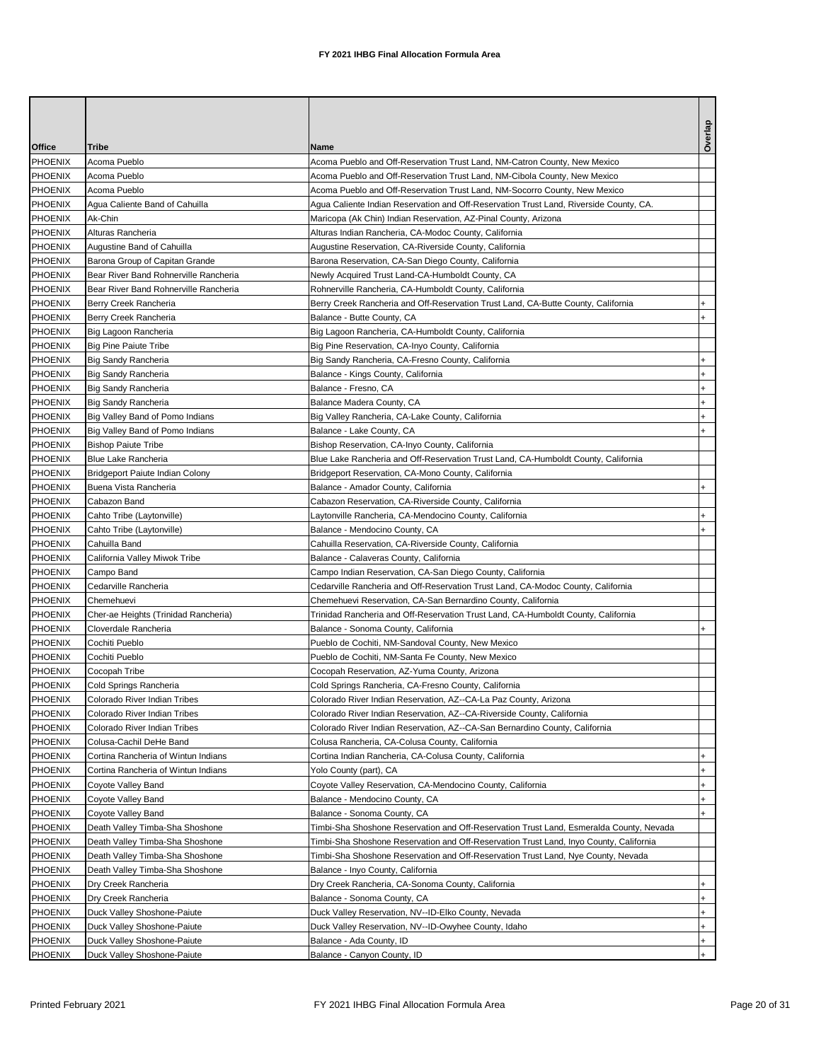| Office                    | <b>Tribe</b>                             | Name                                                                                         | Overlay   |
|---------------------------|------------------------------------------|----------------------------------------------------------------------------------------------|-----------|
| PHOENIX                   | Acoma Pueblo                             | Acoma Pueblo and Off-Reservation Trust Land, NM-Catron County, New Mexico                    |           |
| PHOENIX                   | Acoma Pueblo                             | Acoma Pueblo and Off-Reservation Trust Land, NM-Cibola County, New Mexico                    |           |
| <b>PHOENIX</b>            | Acoma Pueblo                             | Acoma Pueblo and Off-Reservation Trust Land, NM-Socorro County, New Mexico                   |           |
| <b>PHOENIX</b>            | Agua Caliente Band of Cahuilla           | Agua Caliente Indian Reservation and Off-Reservation Trust Land, Riverside County, CA.       |           |
| PHOENIX                   | Ak-Chin                                  | Maricopa (Ak Chin) Indian Reservation, AZ-Pinal County, Arizona                              |           |
| <b>PHOENIX</b>            | Alturas Rancheria                        | Alturas Indian Rancheria, CA-Modoc County, California                                        |           |
| <b>PHOENIX</b>            | Augustine Band of Cahuilla               | Augustine Reservation, CA-Riverside County, California                                       |           |
| <b>PHOENIX</b>            | Barona Group of Capitan Grande           | Barona Reservation, CA-San Diego County, California                                          |           |
| <b>PHOENIX</b>            | Bear River Band Rohnerville Rancheria    | Newly Acquired Trust Land-CA-Humboldt County, CA                                             |           |
| <b>PHOENIX</b>            | Bear River Band Rohnerville Rancheria    | Rohnerville Rancheria, CA-Humboldt County, California                                        |           |
| <b>PHOENIX</b>            | Berry Creek Rancheria                    | Berry Creek Rancheria and Off-Reservation Trust Land, CA-Butte County, California            |           |
| <b>PHOENIX</b>            | Berry Creek Rancheria                    | Balance - Butte County, CA                                                                   |           |
| <b>PHOENIX</b>            | Big Lagoon Rancheria                     | Big Lagoon Rancheria, CA-Humboldt County, California                                         |           |
| <b>PHOENIX</b>            | <b>Big Pine Paiute Tribe</b>             | Big Pine Reservation, CA-Inyo County, California                                             |           |
| PHOENIX                   | <b>Big Sandy Rancheria</b>               | Big Sandy Rancheria, CA-Fresno County, California                                            |           |
| <b>PHOENIX</b>            | Big Sandy Rancheria                      | Balance - Kings County, California                                                           |           |
| <b>PHOENIX</b>            | <b>Big Sandy Rancheria</b>               | Balance - Fresno, CA                                                                         |           |
| PHOENIX                   | <b>Big Sandy Rancheria</b>               | Balance Madera County, CA                                                                    |           |
| <b>PHOENIX</b>            | Big Valley Band of Pomo Indians          | Big Valley Rancheria, CA-Lake County, California                                             |           |
| PHOENIX                   | Big Valley Band of Pomo Indians          | Balance - Lake County, CA                                                                    |           |
| <b>PHOENIX</b>            | <b>Bishop Paiute Tribe</b>               | Bishop Reservation, CA-Inyo County, California                                               |           |
| <b>PHOENIX</b>            | Blue Lake Rancheria                      | Blue Lake Rancheria and Off-Reservation Trust Land, CA-Humboldt County, California           |           |
| <b>PHOENIX</b>            | <b>Bridgeport Paiute Indian Colony</b>   | Bridgeport Reservation, CA-Mono County, California                                           |           |
| <b>PHOENIX</b>            | Buena Vista Rancheria                    | Balance - Amador County, California                                                          |           |
| <b>PHOENIX</b>            | Cabazon Band                             | Cabazon Reservation, CA-Riverside County, California                                         |           |
| PHOENIX                   | Cahto Tribe (Laytonville)                | Laytonville Rancheria, CA-Mendocino County, California                                       |           |
| PHOENIX                   | Cahto Tribe (Laytonville)                | Balance - Mendocino County, CA                                                               |           |
| <b>PHOENIX</b>            | Cahuilla Band                            | Cahuilla Reservation, CA-Riverside County, California                                        |           |
| <b>PHOENIX</b>            | California Valley Miwok Tribe            | Balance - Calaveras County, California                                                       |           |
| <b>PHOENIX</b>            | Campo Band                               | Campo Indian Reservation, CA-San Diego County, California                                    |           |
| <b>PHOENIX</b>            | Cedarville Rancheria                     | Cedarville Rancheria and Off-Reservation Trust Land, CA-Modoc County, California             |           |
| <b>PHOENIX</b>            | Chemehuevi                               | Chemehuevi Reservation, CA-San Bernardino County, California                                 |           |
| <b>PHOENIX</b>            | Cher-ae Heights (Trinidad Rancheria)     | Trinidad Rancheria and Off-Reservation Trust Land, CA-Humboldt County, California            |           |
| <b>PHOENIX</b>            | Cloverdale Rancheria                     | Balance - Sonoma County, California                                                          |           |
| <b>PHOENIX</b>            | Cochiti Pueblo                           | Pueblo de Cochiti, NM-Sandoval County, New Mexico                                            |           |
| <b>PHOENIX</b>            | Cochiti Pueblo                           | Pueblo de Cochiti, NM-Santa Fe County, New Mexico                                            |           |
| <b>PHOENIX</b>            | Cocopah Tribe                            | Cocopah Reservation, AZ-Yuma County, Arizona                                                 |           |
| <b>PHOENIX</b>            | Cold Springs Rancheria                   | Cold Springs Rancheria, CA-Fresno County, California                                         |           |
| PHOENIX                   | Colorado River Indian Tribes             | Colorado River Indian Reservation, AZ--CA-La Paz County, Arizona                             |           |
| PHOENIX                   | Colorado River Indian Tribes             | Colorado River Indian Reservation, AZ--CA-Riverside County, California                       |           |
| PHOENIX                   | Colorado River Indian Tribes             | Colorado River Indian Reservation, AZ--CA-San Bernardino County, California                  |           |
| PHOENIX                   | Colusa-Cachil DeHe Band                  | Colusa Rancheria, CA-Colusa County, California                                               |           |
| PHOENIX                   | Cortina Rancheria of Wintun Indians      | Cortina Indian Rancheria, CA-Colusa County, California                                       | $\ddot{}$ |
| <b>PHOENIX</b><br>PHOENIX | Cortina Rancheria of Wintun Indians      | Yolo County (part), CA                                                                       | $+$       |
| PHOENIX                   | Coyote Valley Band<br>Coyote Valley Band | Coyote Valley Reservation, CA-Mendocino County, California<br>Balance - Mendocino County, CA | $\ddot{}$ |
| PHOENIX                   | Coyote Valley Band                       | Balance - Sonoma County, CA                                                                  |           |
| PHOENIX                   | Death Valley Timba-Sha Shoshone          | Timbi-Sha Shoshone Reservation and Off-Reservation Trust Land, Esmeralda County, Nevada      |           |
| PHOENIX                   | Death Valley Timba-Sha Shoshone          | Timbi-Sha Shoshone Reservation and Off-Reservation Trust Land, Inyo County, California       |           |
| PHOENIX                   | Death Valley Timba-Sha Shoshone          | Timbi-Sha Shoshone Reservation and Off-Reservation Trust Land, Nye County, Nevada            |           |
| PHOENIX                   | Death Valley Timba-Sha Shoshone          | Balance - Inyo County, California                                                            |           |
| PHOENIX                   | Dry Creek Rancheria                      | Dry Creek Rancheria, CA-Sonoma County, California                                            |           |
| PHOENIX                   | Dry Creek Rancheria                      | Balance - Sonoma County, CA                                                                  | $\ddot{}$ |
| PHOENIX                   | Duck Valley Shoshone-Paiute              | Duck Valley Reservation, NV--ID-Elko County, Nevada                                          | $\ddot{}$ |
| PHOENIX                   | Duck Valley Shoshone-Paiute              | Duck Valley Reservation, NV--ID-Owyhee County, Idaho                                         | $+$       |
| PHOENIX                   | Duck Valley Shoshone-Paiute              | Balance - Ada County, ID                                                                     | $+$       |
| PHOENIX                   | Duck Valley Shoshone-Paiute              | Balance - Canyon County, ID                                                                  | $+$       |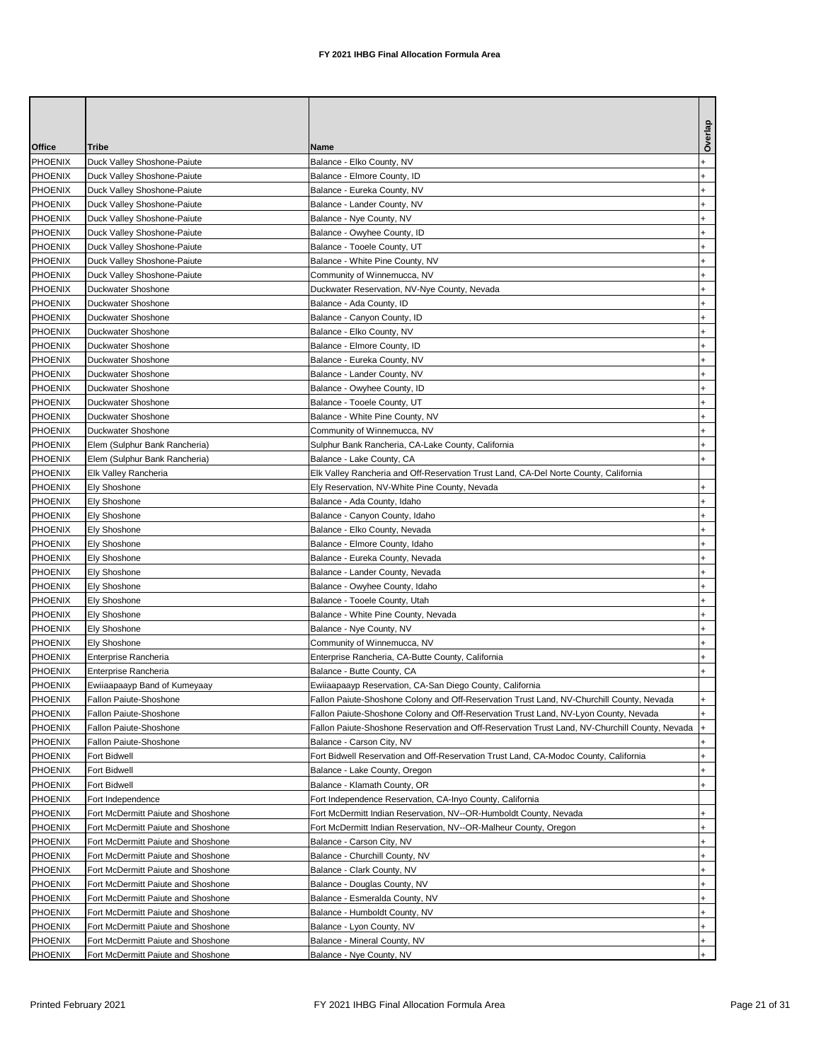|                           |                                    |                                                                                                | Overla    |
|---------------------------|------------------------------------|------------------------------------------------------------------------------------------------|-----------|
| Office                    | <b>Tribe</b>                       | Name                                                                                           |           |
| <b>PHOENIX</b>            | Duck Valley Shoshone-Paiute        | Balance - Elko County, NV                                                                      |           |
| <b>PHOENIX</b>            | Duck Valley Shoshone-Paiute        | Balance - Elmore County, ID                                                                    |           |
| <b>PHOENIX</b>            | Duck Valley Shoshone-Paiute        | Balance - Eureka County, NV                                                                    |           |
| PHOENIX                   | Duck Valley Shoshone-Paiute        | Balance - Lander County, NV                                                                    |           |
| <b>PHOENIX</b>            | Duck Valley Shoshone-Paiute        | Balance - Nye County, NV                                                                       |           |
| <b>PHOENIX</b>            | Duck Valley Shoshone-Paiute        | Balance - Owyhee County, ID                                                                    |           |
| <b>PHOENIX</b>            | Duck Valley Shoshone-Paiute        | Balance - Tooele County, UT                                                                    |           |
| <b>PHOENIX</b>            | Duck Valley Shoshone-Paiute        | Balance - White Pine County, NV                                                                |           |
| <b>PHOENIX</b>            | Duck Valley Shoshone-Paiute        | Community of Winnemucca, NV                                                                    |           |
| <b>PHOENIX</b>            | Duckwater Shoshone                 | Duckwater Reservation, NV-Nye County, Nevada                                                   |           |
| <b>PHOENIX</b>            | Duckwater Shoshone                 | Balance - Ada County, ID                                                                       |           |
| <b>PHOENIX</b>            | Duckwater Shoshone                 | Balance - Canyon County, ID                                                                    |           |
| <b>PHOENIX</b>            | Duckwater Shoshone                 | Balance - Elko County, NV                                                                      |           |
| <b>PHOENIX</b>            | Duckwater Shoshone                 | Balance - Elmore County, ID                                                                    |           |
| <b>PHOENIX</b>            | Duckwater Shoshone                 | Balance - Eureka County, NV                                                                    |           |
| <b>PHOENIX</b>            | Duckwater Shoshone                 | Balance - Lander County, NV                                                                    |           |
| <b>PHOENIX</b>            | Duckwater Shoshone                 | Balance - Owyhee County, ID                                                                    |           |
| <b>PHOENIX</b>            | Duckwater Shoshone                 | Balance - Tooele County, UT                                                                    |           |
| <b>PHOENIX</b>            | Duckwater Shoshone                 | Balance - White Pine County, NV                                                                |           |
| <b>PHOENIX</b>            | Duckwater Shoshone                 | Community of Winnemucca, NV                                                                    |           |
| <b>PHOENIX</b>            | Elem (Sulphur Bank Rancheria)      | Sulphur Bank Rancheria, CA-Lake County, California                                             |           |
| <b>PHOENIX</b>            | Elem (Sulphur Bank Rancheria)      | Balance - Lake County, CA                                                                      |           |
| <b>PHOENIX</b>            | Elk Valley Rancheria               | Elk Valley Rancheria and Off-Reservation Trust Land, CA-Del Norte County, California           |           |
| <b>PHOENIX</b><br>PHOENIX | <b>Ely Shoshone</b>                | Ely Reservation, NV-White Pine County, Nevada                                                  |           |
| <b>PHOENIX</b>            | Ely Shoshone<br>Ely Shoshone       | Balance - Ada County, Idaho<br>Balance - Canyon County, Idaho                                  |           |
| <b>PHOENIX</b>            | <b>Ely Shoshone</b>                | Balance - Elko County, Nevada                                                                  |           |
| <b>PHOENIX</b>            | Ely Shoshone                       | Balance - Elmore County, Idaho                                                                 |           |
| PHOENIX                   | Ely Shoshone                       | Balance - Eureka County, Nevada                                                                |           |
| <b>PHOENIX</b>            | Ely Shoshone                       | Balance - Lander County, Nevada                                                                |           |
| <b>PHOENIX</b>            | <b>Ely Shoshone</b>                | Balance - Owyhee County, Idaho                                                                 |           |
| <b>PHOENIX</b>            | <b>Ely Shoshone</b>                | Balance - Tooele County, Utah                                                                  |           |
| <b>PHOENIX</b>            | <b>Ely Shoshone</b>                | Balance - White Pine County, Nevada                                                            |           |
| <b>PHOENIX</b>            | Ely Shoshone                       | Balance - Nye County, NV                                                                       |           |
| <b>PHOENIX</b>            | <b>Ely Shoshone</b>                | Community of Winnemucca, NV                                                                    |           |
| <b>PHOENIX</b>            | Enterprise Rancheria               | Enterprise Rancheria, CA-Butte County, California                                              |           |
| <b>PHOENIX</b>            | Enterprise Rancheria               | Balance - Butte County, CA                                                                     |           |
| <b>PHOENIX</b>            | Ewiiaapaayp Band of Kumeyaay       | Ewiiaapaayp Reservation, CA-San Diego County, California                                       |           |
| PHOENIX                   | Fallon Paiute-Shoshone             | Fallon Paiute-Shoshone Colony and Off-Reservation Trust Land, NV-Churchill County, Nevada      |           |
| <b>PHOENIX</b>            | Fallon Paiute-Shoshone             | Fallon Paiute-Shoshone Colony and Off-Reservation Trust Land, NV-Lyon County, Nevada           |           |
| PHOENIX                   | Fallon Paiute-Shoshone             | Fallon Paiute-Shoshone Reservation and Off-Reservation Trust Land, NV-Churchill County, Nevada |           |
| PHOENIX                   | Fallon Paiute-Shoshone             | Balance - Carson City, NV                                                                      |           |
| PHOENIX                   | Fort Bidwell                       | Fort Bidwell Reservation and Off-Reservation Trust Land, CA-Modoc County, California           | $+$       |
| <b>PHOENIX</b>            | Fort Bidwell                       | Balance - Lake County, Oregon                                                                  |           |
| PHOENIX                   | Fort Bidwell                       | Balance - Klamath County, OR                                                                   |           |
| PHOENIX                   | Fort Independence                  | Fort Independence Reservation, CA-Inyo County, California                                      |           |
| <b>PHOENIX</b>            | Fort McDermitt Paiute and Shoshone | Fort McDermitt Indian Reservation, NV--OR-Humboldt County, Nevada                              |           |
| PHOENIX                   | Fort McDermitt Paiute and Shoshone | Fort McDermitt Indian Reservation, NV--OR-Malheur County, Oregon                               |           |
| PHOENIX                   | Fort McDermitt Paiute and Shoshone | Balance - Carson City, NV                                                                      | $\ddot{}$ |
| PHOENIX                   | Fort McDermitt Paiute and Shoshone | Balance - Churchill County, NV                                                                 | $\ddot{}$ |
| PHOENIX                   | Fort McDermitt Paiute and Shoshone | Balance - Clark County, NV                                                                     | $\ddot{}$ |
| <b>PHOENIX</b>            | Fort McDermitt Paiute and Shoshone | Balance - Douglas County, NV                                                                   |           |
| <b>PHOENIX</b>            | Fort McDermitt Paiute and Shoshone | Balance - Esmeralda County, NV                                                                 | $\ddot{}$ |
| <b>PHOENIX</b>            | Fort McDermitt Paiute and Shoshone | Balance - Humboldt County, NV                                                                  | $\ddot{}$ |
| PHOENIX                   | Fort McDermitt Paiute and Shoshone | Balance - Lyon County, NV                                                                      | $+$       |
| PHOENIX                   | Fort McDermitt Paiute and Shoshone | Balance - Mineral County, NV                                                                   | $+$       |
| <b>PHOENIX</b>            | Fort McDermitt Paiute and Shoshone | Balance - Nye County, NV                                                                       | $+$       |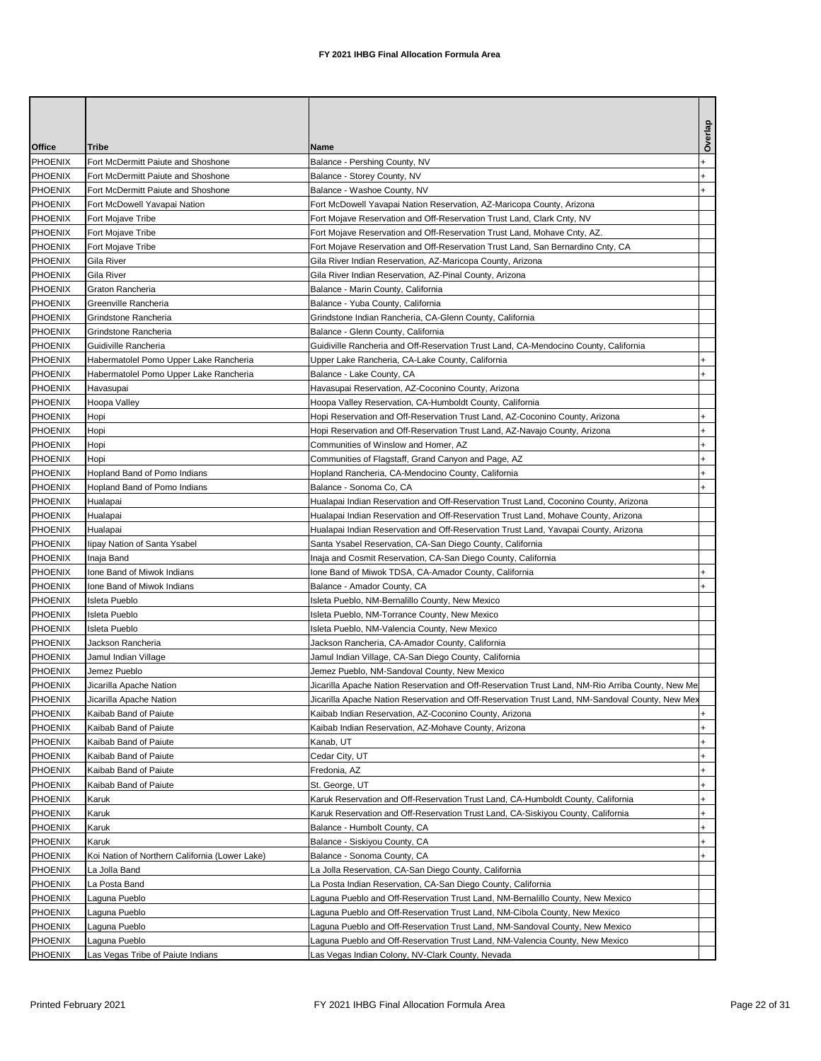|                   |                                                                          |                                                                                                  | Overla                           |
|-------------------|--------------------------------------------------------------------------|--------------------------------------------------------------------------------------------------|----------------------------------|
| Office<br>PHOENIX | Tribe                                                                    | Name                                                                                             |                                  |
| <b>PHOENIX</b>    | Fort McDermitt Paiute and Shoshone<br>Fort McDermitt Paiute and Shoshone | Balance - Pershing County, NV<br>Balance - Storey County, NV                                     |                                  |
| <b>PHOENIX</b>    | Fort McDermitt Paiute and Shoshone                                       | Balance - Washoe County, NV                                                                      |                                  |
| PHOENIX           | Fort McDowell Yavapai Nation                                             | Fort McDowell Yavapai Nation Reservation, AZ-Maricopa County, Arizona                            |                                  |
| PHOENIX           | Fort Mojave Tribe                                                        | Fort Mojave Reservation and Off-Reservation Trust Land, Clark Cnty, NV                           |                                  |
| PHOENIX           | Fort Mojave Tribe                                                        | Fort Mojave Reservation and Off-Reservation Trust Land, Mohave Cnty, AZ.                         |                                  |
| <b>PHOENIX</b>    | Fort Mojave Tribe                                                        | Fort Mojave Reservation and Off-Reservation Trust Land, San Bernardino Cnty, CA                  |                                  |
| PHOENIX           | Gila River                                                               | Gila River Indian Reservation, AZ-Maricopa County, Arizona                                       |                                  |
| PHOENIX           | <b>Gila River</b>                                                        | Gila River Indian Reservation, AZ-Pinal County, Arizona                                          |                                  |
| PHOENIX           | Graton Rancheria                                                         | Balance - Marin County, California                                                               |                                  |
| <b>PHOENIX</b>    | Greenville Rancheria                                                     | Balance - Yuba County, California                                                                |                                  |
| <b>PHOENIX</b>    | Grindstone Rancheria                                                     | Grindstone Indian Rancheria, CA-Glenn County, California                                         |                                  |
| <b>PHOENIX</b>    | Grindstone Rancheria                                                     | Balance - Glenn County, California                                                               |                                  |
| <b>PHOENIX</b>    | Guidiville Rancheria                                                     | Guidiville Rancheria and Off-Reservation Trust Land, CA-Mendocino County, California             |                                  |
| PHOENIX           | Habermatolel Pomo Upper Lake Rancheria                                   | Upper Lake Rancheria, CA-Lake County, California                                                 |                                  |
| <b>PHOENIX</b>    | Habermatolel Pomo Upper Lake Rancheria                                   | Balance - Lake County, CA                                                                        |                                  |
| <b>PHOENIX</b>    | Havasupai                                                                | Havasupai Reservation, AZ-Coconino County, Arizona                                               |                                  |
| PHOENIX           | Hoopa Valley                                                             | Hoopa Valley Reservation, CA-Humboldt County, California                                         |                                  |
| <b>PHOENIX</b>    | Hopi                                                                     | Hopi Reservation and Off-Reservation Trust Land, AZ-Coconino County, Arizona                     |                                  |
| <b>PHOENIX</b>    | Hopi                                                                     | Hopi Reservation and Off-Reservation Trust Land, AZ-Navajo County, Arizona                       |                                  |
| PHOENIX           | Hopi                                                                     | Communities of Winslow and Homer, AZ                                                             |                                  |
| <b>PHOENIX</b>    | Hopi                                                                     | Communities of Flagstaff, Grand Canyon and Page, AZ                                              |                                  |
| <b>PHOENIX</b>    | Hopland Band of Pomo Indians                                             | Hopland Rancheria, CA-Mendocino County, California                                               |                                  |
| <b>PHOENIX</b>    | Hopland Band of Pomo Indians                                             | Balance - Sonoma Co, CA                                                                          |                                  |
| PHOENIX           | Hualapai                                                                 | Hualapai Indian Reservation and Off-Reservation Trust Land, Coconino County, Arizona             |                                  |
| PHOENIX           | Hualapai                                                                 | Hualapai Indian Reservation and Off-Reservation Trust Land, Mohave County, Arizona               |                                  |
| PHOENIX           | Hualapai                                                                 | Hualapai Indian Reservation and Off-Reservation Trust Land, Yavapai County, Arizona              |                                  |
| <b>PHOENIX</b>    | lipay Nation of Santa Ysabel                                             | Santa Ysabel Reservation, CA-San Diego County, California                                        |                                  |
| <b>PHOENIX</b>    | Inaja Band                                                               | Inaja and Cosmit Reservation, CA-San Diego County, California                                    |                                  |
| PHOENIX           | Ione Band of Miwok Indians                                               | Ione Band of Miwok TDSA, CA-Amador County, California                                            |                                  |
| <b>PHOENIX</b>    | Ione Band of Miwok Indians                                               | Balance - Amador County, CA                                                                      |                                  |
| <b>PHOENIX</b>    | Isleta Pueblo                                                            | Isleta Pueblo, NM-Bernalillo County, New Mexico                                                  |                                  |
| <b>PHOENIX</b>    | Isleta Pueblo                                                            | Isleta Pueblo, NM-Torrance County, New Mexico                                                    |                                  |
| <b>PHOENIX</b>    | <b>Isleta Pueblo</b>                                                     | Isleta Pueblo, NM-Valencia County, New Mexico                                                    |                                  |
| <b>PHOENIX</b>    | Jackson Rancheria                                                        | Jackson Rancheria, CA-Amador County, California                                                  |                                  |
| <b>PHOENIX</b>    | Jamul Indian Village                                                     | Jamul Indian Village, CA-San Diego County, California                                            |                                  |
| <b>PHOENIX</b>    | Jemez Pueblo                                                             | Jemez Pueblo, NM-Sandoval County, New Mexico                                                     |                                  |
| PHOENIX           | Jicarilla Apache Nation                                                  | Jicarilla Apache Nation Reservation and Off-Reservation Trust Land, NM-Rio Arriba County, New Me |                                  |
| <b>PHOENIX</b>    | Jicarilla Apache Nation                                                  | Jicarilla Apache Nation Reservation and Off-Reservation Trust Land, NM-Sandoval County, New Mex  |                                  |
| <b>PHOENIX</b>    | Kaibab Band of Paiute                                                    | Kaibab Indian Reservation, AZ-Coconino County, Arizona                                           | $\ddot{}$                        |
| PHOENIX           | Kaibab Band of Paiute                                                    | Kaibab Indian Reservation, AZ-Mohave County, Arizona                                             | $\begin{array}{c} + \end{array}$ |
| PHOENIX           | Kaibab Band of Paiute                                                    | Kanab, UT                                                                                        | $\ddot{}$                        |
| PHOENIX           | Kaibab Band of Paiute                                                    | Cedar City, UT                                                                                   |                                  |
| PHOENIX           | Kaibab Band of Paiute                                                    | Fredonia, AZ                                                                                     | $\overline{1}$                   |
| PHOENIX           | Kaibab Band of Paiute                                                    | St. George, UT                                                                                   |                                  |
| PHOENIX           | Karuk                                                                    | Karuk Reservation and Off-Reservation Trust Land, CA-Humboldt County, California                 | $\ddot{}$                        |
| <b>PHOENIX</b>    | Karuk                                                                    | Karuk Reservation and Off-Reservation Trust Land, CA-Siskiyou County, California                 |                                  |
| PHOENIX           | Karuk                                                                    | Balance - Humbolt County, CA                                                                     |                                  |
| PHOENIX           | Karuk                                                                    | Balance - Siskiyou County, CA                                                                    | ÷.                               |
| PHOENIX           | Koi Nation of Northern California (Lower Lake)                           | Balance - Sonoma County, CA                                                                      |                                  |
| PHOENIX           | La Jolla Band                                                            | La Jolla Reservation, CA-San Diego County, California                                            |                                  |
| PHOENIX           | La Posta Band                                                            | La Posta Indian Reservation, CA-San Diego County, California                                     |                                  |
| PHOENIX           | Laguna Pueblo                                                            | Laguna Pueblo and Off-Reservation Trust Land, NM-Bernalillo County, New Mexico                   |                                  |
| PHOENIX           | Laguna Pueblo                                                            | Laguna Pueblo and Off-Reservation Trust Land, NM-Cibola County, New Mexico                       |                                  |
| PHOENIX           | Laguna Pueblo                                                            | Laguna Pueblo and Off-Reservation Trust Land, NM-Sandoval County, New Mexico                     |                                  |
| PHOENIX           | Laguna Pueblo                                                            | Laguna Pueblo and Off-Reservation Trust Land, NM-Valencia County, New Mexico                     |                                  |
| <b>PHOENIX</b>    | Las Vegas Tribe of Paiute Indians                                        | Las Vegas Indian Colony, NV-Clark County, Nevada                                                 |                                  |
|                   |                                                                          |                                                                                                  |                                  |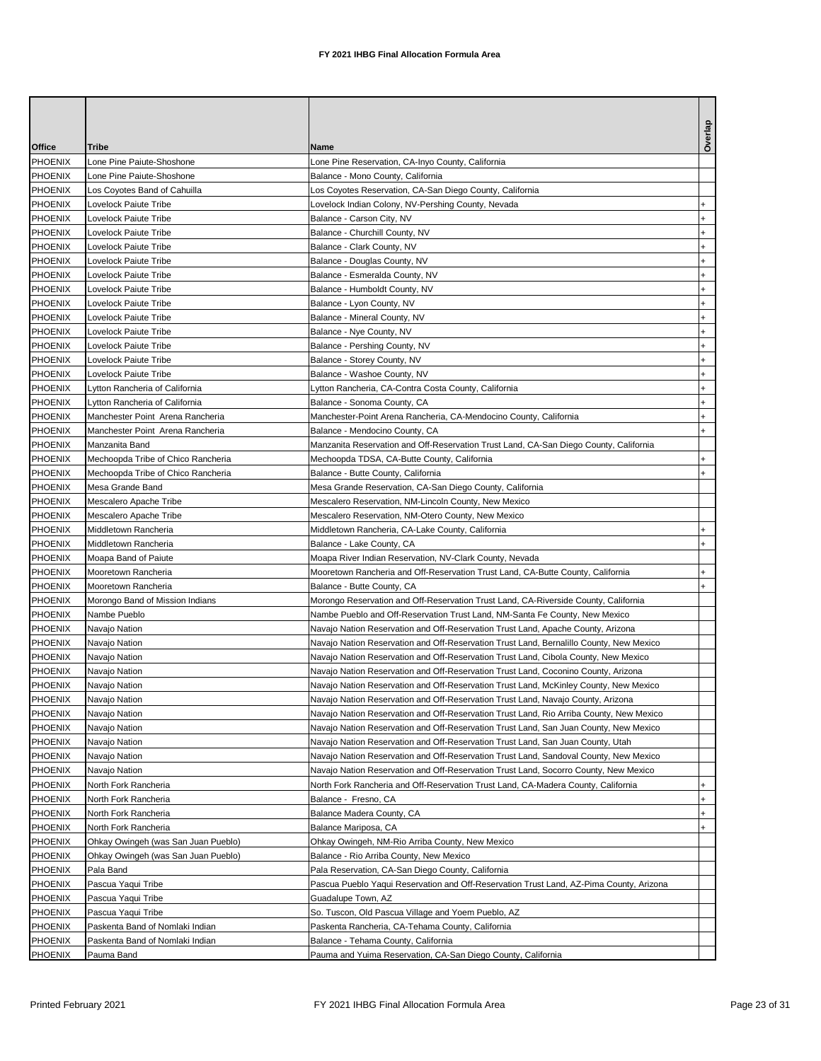| Office                    | Tribe                               | Name                                                                                                                                                                             | Overlap      |
|---------------------------|-------------------------------------|----------------------------------------------------------------------------------------------------------------------------------------------------------------------------------|--------------|
| <b>PHOENIX</b>            | Lone Pine Paiute-Shoshone           | Lone Pine Reservation, CA-Inyo County, California                                                                                                                                |              |
| <b>PHOENIX</b>            | Lone Pine Paiute-Shoshone           | Balance - Mono County, California                                                                                                                                                |              |
| <b>PHOENIX</b>            | Los Coyotes Band of Cahuilla        | Los Coyotes Reservation, CA-San Diego County, California                                                                                                                         |              |
| PHOENIX                   | Lovelock Paiute Tribe               | Lovelock Indian Colony, NV-Pershing County, Nevada                                                                                                                               |              |
| <b>PHOENIX</b>            | Lovelock Paiute Tribe               | Balance - Carson City, NV                                                                                                                                                        |              |
| <b>PHOENIX</b>            | Lovelock Paiute Tribe               | Balance - Churchill County, NV                                                                                                                                                   | +            |
| <b>PHOENIX</b>            | Lovelock Paiute Tribe               | Balance - Clark County, NV                                                                                                                                                       | $\ddot{}$    |
| <b>PHOENIX</b>            | Lovelock Paiute Tribe               | Balance - Douglas County, NV                                                                                                                                                     | $\ddot{}$    |
| <b>PHOENIX</b>            | Lovelock Paiute Tribe               | Balance - Esmeralda County, NV                                                                                                                                                   | $\ddot{}$    |
| <b>PHOENIX</b>            | Lovelock Paiute Tribe               | Balance - Humboldt County, NV                                                                                                                                                    | $\ddot{}$    |
| <b>PHOENIX</b>            | Lovelock Paiute Tribe               | Balance - Lyon County, NV                                                                                                                                                        | <sup>+</sup> |
| <b>PHOENIX</b>            | Lovelock Paiute Tribe               | Balance - Mineral County, NV                                                                                                                                                     | $\ddot{}$    |
| <b>PHOENIX</b>            | Lovelock Paiute Tribe               | Balance - Nye County, NV                                                                                                                                                         | $\ddot{}$    |
| <b>PHOENIX</b>            | Lovelock Paiute Tribe               | Balance - Pershing County, NV                                                                                                                                                    | $\ddot{}$    |
| PHOENIX                   | Lovelock Paiute Tribe               | Balance - Storey County, NV                                                                                                                                                      | +            |
| PHOENIX                   | Lovelock Paiute Tribe               | Balance - Washoe County, NV                                                                                                                                                      | $\ddot{}$    |
| <b>PHOENIX</b>            | Lytton Rancheria of California      | Lytton Rancheria, CA-Contra Costa County, California                                                                                                                             | +            |
| <b>PHOENIX</b>            | Lytton Rancheria of California      | Balance - Sonoma County, CA                                                                                                                                                      | $\ddot{}$    |
| PHOENIX                   | Manchester Point Arena Rancheria    | Manchester-Point Arena Rancheria, CA-Mendocino County, California                                                                                                                | +            |
| PHOENIX                   | Manchester Point Arena Rancheria    | Balance - Mendocino County, CA                                                                                                                                                   | $\ddot{}$    |
| <b>PHOENIX</b>            | Manzanita Band                      | Manzanita Reservation and Off-Reservation Trust Land, CA-San Diego County, California                                                                                            |              |
| PHOENIX                   | Mechoopda Tribe of Chico Rancheria  | Mechoopda TDSA, CA-Butte County, California                                                                                                                                      | $\ddot{}$    |
| <b>PHOENIX</b>            | Mechoopda Tribe of Chico Rancheria  | Balance - Butte County, California                                                                                                                                               | $\ddot{}$    |
| <b>PHOENIX</b>            | Mesa Grande Band                    | Mesa Grande Reservation, CA-San Diego County, California                                                                                                                         |              |
| <b>PHOENIX</b>            | Mescalero Apache Tribe              | Mescalero Reservation, NM-Lincoln County, New Mexico                                                                                                                             |              |
| <b>PHOENIX</b>            | Mescalero Apache Tribe              | Mescalero Reservation, NM-Otero County, New Mexico                                                                                                                               |              |
| <b>PHOENIX</b>            | Middletown Rancheria                | Middletown Rancheria, CA-Lake County, California                                                                                                                                 | $\ddot{}$    |
| <b>PHOENIX</b>            | Middletown Rancheria                | Balance - Lake County, CA                                                                                                                                                        |              |
| <b>PHOENIX</b>            | Moapa Band of Paiute                | Moapa River Indian Reservation, NV-Clark County, Nevada                                                                                                                          |              |
| <b>PHOENIX</b>            | Mooretown Rancheria                 | Mooretown Rancheria and Off-Reservation Trust Land, CA-Butte County, California                                                                                                  |              |
| <b>PHOENIX</b>            | Mooretown Rancheria                 | Balance - Butte County, CA                                                                                                                                                       | $\ddot{}$    |
| <b>PHOENIX</b>            | Morongo Band of Mission Indians     | Morongo Reservation and Off-Reservation Trust Land, CA-Riverside County, California                                                                                              |              |
| <b>PHOENIX</b>            | Nambe Pueblo                        | Nambe Pueblo and Off-Reservation Trust Land, NM-Santa Fe County, New Mexico                                                                                                      |              |
| PHOENIX                   | Navajo Nation                       | Navajo Nation Reservation and Off-Reservation Trust Land, Apache County, Arizona                                                                                                 |              |
| <b>PHOENIX</b>            | Navajo Nation                       | Navajo Nation Reservation and Off-Reservation Trust Land, Bernalillo County, New Mexico                                                                                          |              |
| <b>PHOENIX</b><br>PHOENIX | Navajo Nation                       | Navajo Nation Reservation and Off-Reservation Trust Land, Cibola County, New Mexico                                                                                              |              |
| <b>PHOENIX</b>            | Navajo Nation                       | Navajo Nation Reservation and Off-Reservation Trust Land, Coconino County, Arizona                                                                                               |              |
|                           | Navajo Nation                       | Navajo Nation Reservation and Off-Reservation Trust Land, McKinley County, New Mexico                                                                                            |              |
| <b>PHOENIX</b><br>PHOENIX | Navajo Nation                       | Navajo Nation Reservation and Off-Reservation Trust Land, Navajo County, Arizona                                                                                                 |              |
| <b>PHOENIX</b>            | Navajo Nation<br>Navajo Nation      | Navajo Nation Reservation and Off-Reservation Trust Land, Rio Arriba County, New Mexico<br>Navajo Nation Reservation and Off-Reservation Trust Land, San Juan County, New Mexico |              |
| PHOENIX                   | Navajo Nation                       | Navajo Nation Reservation and Off-Reservation Trust Land, San Juan County, Utah                                                                                                  |              |
| <b>PHOENIX</b>            | Navajo Nation                       | Navajo Nation Reservation and Off-Reservation Trust Land, Sandoval County, New Mexico                                                                                            |              |
| <b>PHOENIX</b>            | Navajo Nation                       | Navajo Nation Reservation and Off-Reservation Trust Land, Socorro County, New Mexico                                                                                             |              |
| <b>PHOENIX</b>            | North Fork Rancheria                | North Fork Rancheria and Off-Reservation Trust Land, CA-Madera County, California                                                                                                |              |
| <b>PHOENIX</b>            | North Fork Rancheria                | Balance - Fresno, CA                                                                                                                                                             | $\ddot{}$    |
| PHOENIX                   | North Fork Rancheria                | Balance Madera County, CA                                                                                                                                                        | $\ddot{}$    |
| PHOENIX                   | North Fork Rancheria                | Balance Mariposa, CA                                                                                                                                                             | $+$          |
| PHOENIX                   | Ohkay Owingeh (was San Juan Pueblo) | Ohkay Owingeh, NM-Rio Arriba County, New Mexico                                                                                                                                  |              |
| PHOENIX                   | Ohkay Owingeh (was San Juan Pueblo) | Balance - Rio Arriba County, New Mexico                                                                                                                                          |              |
| <b>PHOENIX</b>            | Pala Band                           | Pala Reservation, CA-San Diego County, California                                                                                                                                |              |
| PHOENIX                   | Pascua Yaqui Tribe                  | Pascua Pueblo Yaqui Reservation and Off-Reservation Trust Land, AZ-Pima County, Arizona                                                                                          |              |
| <b>PHOENIX</b>            | Pascua Yaqui Tribe                  | Guadalupe Town, AZ                                                                                                                                                               |              |
| <b>PHOENIX</b>            | Pascua Yaqui Tribe                  | So. Tuscon, Old Pascua Village and Yoem Pueblo, AZ                                                                                                                               |              |
| <b>PHOENIX</b>            | Paskenta Band of Nomlaki Indian     | Paskenta Rancheria, CA-Tehama County, California                                                                                                                                 |              |
| <b>PHOENIX</b>            | Paskenta Band of Nomlaki Indian     | Balance - Tehama County, California                                                                                                                                              |              |
| <b>PHOENIX</b>            | Pauma Band                          | Pauma and Yuima Reservation, CA-San Diego County, California                                                                                                                     |              |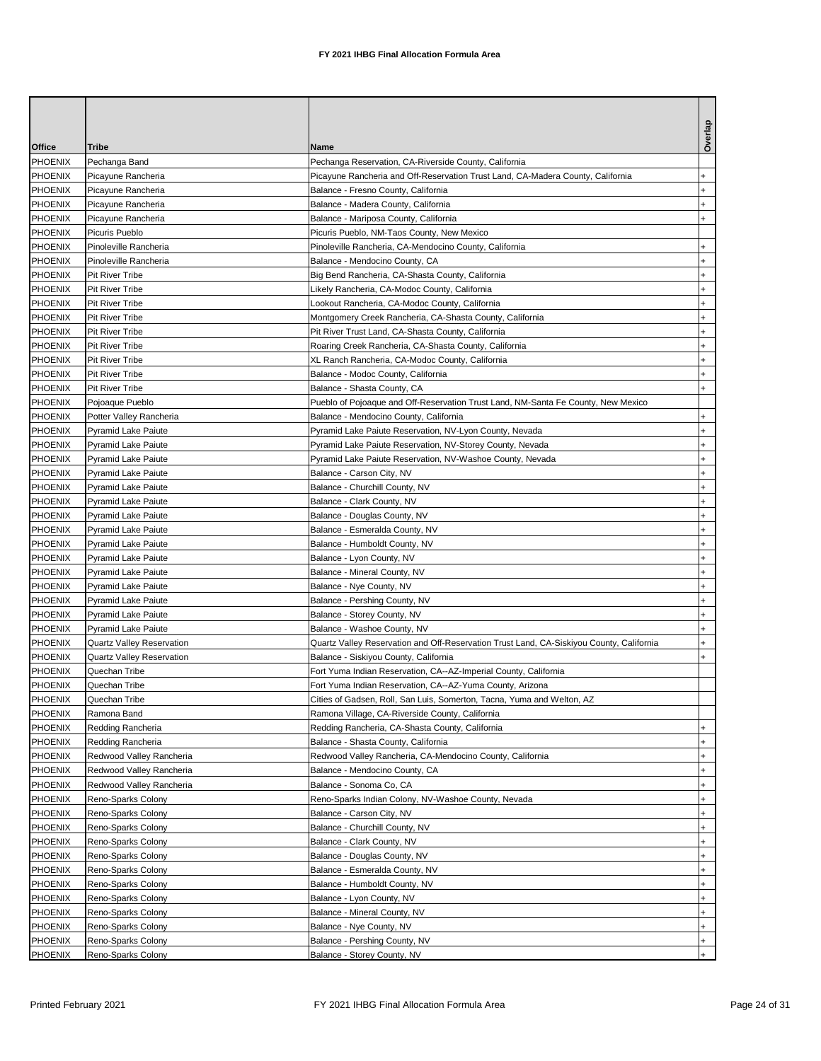|                           |                                                        |                                                                                                                                   | Overla     |
|---------------------------|--------------------------------------------------------|-----------------------------------------------------------------------------------------------------------------------------------|------------|
| Office                    | <b>Tribe</b>                                           | Name                                                                                                                              |            |
| PHOENIX                   | Pechanga Band                                          | Pechanga Reservation, CA-Riverside County, California                                                                             |            |
| PHOENIX                   | Picayune Rancheria                                     | Picayune Rancheria and Off-Reservation Trust Land, CA-Madera County, California                                                   |            |
| <b>PHOENIX</b>            | Picayune Rancheria                                     | Balance - Fresno County, California                                                                                               |            |
| PHOENIX<br>PHOENIX        | Picayune Rancheria<br>Picayune Rancheria               | Balance - Madera County, California<br>Balance - Mariposa County, California                                                      |            |
| PHOENIX                   | Picuris Pueblo                                         | Picuris Pueblo, NM-Taos County, New Mexico                                                                                        |            |
| <b>PHOENIX</b>            | Pinoleville Rancheria                                  | Pinoleville Rancheria, CA-Mendocino County, California                                                                            |            |
| PHOENIX                   | Pinoleville Rancheria                                  | Balance - Mendocino County, CA                                                                                                    | $\ddot{}$  |
| PHOENIX                   | Pit River Tribe                                        | Big Bend Rancheria, CA-Shasta County, California                                                                                  |            |
| <b>PHOENIX</b>            | Pit River Tribe                                        | Likely Rancheria, CA-Modoc County, California                                                                                     |            |
| <b>PHOENIX</b>            | Pit River Tribe                                        | Lookout Rancheria, CA-Modoc County, California                                                                                    |            |
| <b>PHOENIX</b>            | Pit River Tribe                                        | Montgomery Creek Rancheria, CA-Shasta County, California                                                                          |            |
| <b>PHOENIX</b>            | Pit River Tribe                                        | Pit River Trust Land, CA-Shasta County, California                                                                                |            |
| <b>PHOENIX</b>            | Pit River Tribe                                        | Roaring Creek Rancheria, CA-Shasta County, California                                                                             |            |
| <b>PHOENIX</b>            | Pit River Tribe                                        | XL Ranch Rancheria, CA-Modoc County, California                                                                                   |            |
| PHOENIX                   | Pit River Tribe                                        | Balance - Modoc County, California                                                                                                |            |
| <b>PHOENIX</b>            | Pit River Tribe                                        | Balance - Shasta County, CA                                                                                                       |            |
| PHOENIX                   | Pojoaque Pueblo                                        | Pueblo of Pojoaque and Off-Reservation Trust Land, NM-Santa Fe County, New Mexico                                                 |            |
| <b>PHOENIX</b>            | Potter Valley Rancheria                                | Balance - Mendocino County, California                                                                                            |            |
| <b>PHOENIX</b>            | <b>Pyramid Lake Paiute</b>                             | Pyramid Lake Paiute Reservation, NV-Lyon County, Nevada                                                                           |            |
| PHOENIX                   | Pyramid Lake Paiute                                    | Pyramid Lake Paiute Reservation, NV-Storey County, Nevada                                                                         |            |
| <b>PHOENIX</b>            | <b>Pyramid Lake Paiute</b>                             | Pyramid Lake Paiute Reservation, NV-Washoe County, Nevada                                                                         |            |
| <b>PHOENIX</b>            | Pyramid Lake Paiute                                    | Balance - Carson City, NV                                                                                                         |            |
| <b>PHOENIX</b>            | <b>Pyramid Lake Paiute</b>                             | Balance - Churchill County, NV                                                                                                    |            |
| PHOENIX                   | <b>Pyramid Lake Paiute</b>                             | Balance - Clark County, NV                                                                                                        |            |
| PHOENIX                   | <b>Pyramid Lake Paiute</b>                             | Balance - Douglas County, NV                                                                                                      |            |
| PHOENIX                   | <b>Pyramid Lake Paiute</b>                             | Balance - Esmeralda County, NV                                                                                                    |            |
| <b>PHOENIX</b>            | <b>Pyramid Lake Paiute</b>                             | Balance - Humboldt County, NV                                                                                                     |            |
| PHOENIX                   | <b>Pyramid Lake Paiute</b>                             | Balance - Lyon County, NV                                                                                                         |            |
| PHOENIX                   | Pyramid Lake Paiute                                    | Balance - Mineral County, NV                                                                                                      |            |
| <b>PHOENIX</b>            | <b>Pyramid Lake Paiute</b>                             | Balance - Nye County, NV                                                                                                          |            |
| <b>PHOENIX</b>            | <b>Pyramid Lake Paiute</b>                             | Balance - Pershing County, NV                                                                                                     |            |
| <b>PHOENIX</b><br>PHOENIX | <b>Pyramid Lake Paiute</b>                             | Balance - Storey County, NV                                                                                                       | $+$        |
| <b>PHOENIX</b>            | <b>Pyramid Lake Paiute</b>                             | Balance - Washoe County, NV                                                                                                       | $\ddot{}$  |
| <b>PHOENIX</b>            | Quartz Valley Reservation<br>Quartz Valley Reservation | Quartz Valley Reservation and Off-Reservation Trust Land, CA-Siskiyou County, California<br>Balance - Siskiyou County, California |            |
| PHOENIX                   | Quechan Tribe                                          | Fort Yuma Indian Reservation, CA--AZ-Imperial County, California                                                                  |            |
| <b>PHOENIX</b>            | Quechan Tribe                                          | Fort Yuma Indian Reservation, CA--AZ-Yuma County, Arizona                                                                         |            |
| PHOENIX                   | Quechan Tribe                                          | Cities of Gadsen, Roll, San Luis, Somerton, Tacna, Yuma and Welton, AZ                                                            |            |
| PHOENIX                   | Ramona Band                                            | Ramona Village, CA-Riverside County, California                                                                                   |            |
| PHOENIX                   | Redding Rancheria                                      | Redding Rancheria, CA-Shasta County, California                                                                                   |            |
| PHOENIX                   | Redding Rancheria                                      | Balance - Shasta County, California                                                                                               |            |
| PHOENIX                   | Redwood Valley Rancheria                               | Redwood Valley Rancheria, CA-Mendocino County, California                                                                         |            |
| <b>PHOENIX</b>            | Redwood Valley Rancheria                               | Balance - Mendocino County, CA                                                                                                    |            |
| PHOENIX                   | Redwood Valley Rancheria                               | Balance - Sonoma Co, CA                                                                                                           |            |
| PHOENIX                   | Reno-Sparks Colony                                     | Reno-Sparks Indian Colony, NV-Washoe County, Nevada                                                                               |            |
| PHOENIX                   | Reno-Sparks Colony                                     | Balance - Carson City, NV                                                                                                         |            |
| PHOENIX                   | Reno-Sparks Colony                                     | Balance - Churchill County, NV                                                                                                    |            |
| PHOENIX                   | Reno-Sparks Colony                                     | Balance - Clark County, NV                                                                                                        | $\ddot{}$  |
| PHOENIX                   | Reno-Sparks Colony                                     | Balance - Douglas County, NV                                                                                                      |            |
| PHOENIX                   | Reno-Sparks Colony                                     | Balance - Esmeralda County, NV                                                                                                    |            |
| PHOENIX                   | Reno-Sparks Colony                                     | Balance - Humboldt County, NV                                                                                                     |            |
| <b>PHOENIX</b>            | Reno-Sparks Colony                                     | Balance - Lyon County, NV                                                                                                         | $\ddot{}$  |
| PHOENIX                   | Reno-Sparks Colony                                     | Balance - Mineral County, NV                                                                                                      | $\ddot{}$  |
| PHOENIX                   | Reno-Sparks Colony                                     | Balance - Nye County, NV                                                                                                          | $+$        |
| PHOENIX                   | Reno-Sparks Colony                                     | Balance - Pershing County, NV                                                                                                     | $+$        |
| PHOENIX                   | Reno-Sparks Colony                                     | Balance - Storey County, NV                                                                                                       | $\ddot{+}$ |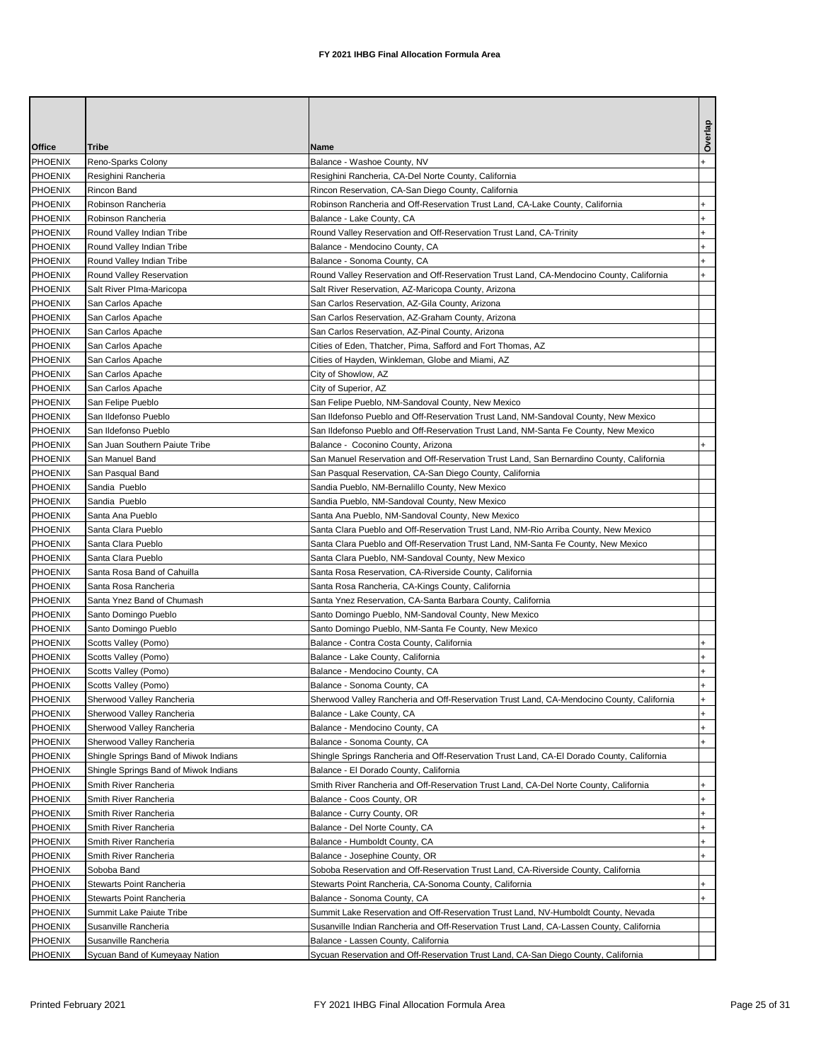| Office                           | Tribe                                                  | Name                                                                                      | Overlap          |
|----------------------------------|--------------------------------------------------------|-------------------------------------------------------------------------------------------|------------------|
| <b>PHOENIX</b>                   | Reno-Sparks Colony                                     | Balance - Washoe County, NV                                                               | $\ddot{}$        |
| <b>PHOENIX</b>                   | Resighini Rancheria                                    | Resighini Rancheria, CA-Del Norte County, California                                      |                  |
| <b>PHOENIX</b>                   | Rincon Band                                            | Rincon Reservation, CA-San Diego County, California                                       |                  |
| PHOENIX                          | Robinson Rancheria                                     | Robinson Rancheria and Off-Reservation Trust Land, CA-Lake County, California             |                  |
| <b>PHOENIX</b>                   | Robinson Rancheria                                     | Balance - Lake County, CA                                                                 | $\ddot{}$        |
| PHOENIX                          | Round Valley Indian Tribe                              | Round Valley Reservation and Off-Reservation Trust Land, CA-Trinity                       | $\ddot{}$        |
| <b>PHOENIX</b>                   | Round Valley Indian Tribe                              | Balance - Mendocino County, CA                                                            | $\ddot{}$        |
| <b>PHOENIX</b>                   | Round Valley Indian Tribe                              | Balance - Sonoma County, CA                                                               |                  |
| PHOENIX                          | Round Valley Reservation                               | Round Valley Reservation and Off-Reservation Trust Land, CA-Mendocino County, California  | $\ddot{}$        |
| <b>PHOENIX</b>                   | Salt River PIma-Maricopa                               | Salt River Reservation, AZ-Maricopa County, Arizona                                       |                  |
| <b>PHOENIX</b>                   | San Carlos Apache                                      | San Carlos Reservation, AZ-Gila County, Arizona                                           |                  |
| <b>PHOENIX</b>                   | San Carlos Apache                                      | San Carlos Reservation, AZ-Graham County, Arizona                                         |                  |
| PHOENIX                          | San Carlos Apache                                      | San Carlos Reservation, AZ-Pinal County, Arizona                                          |                  |
| <b>PHOENIX</b>                   | San Carlos Apache                                      | Cities of Eden, Thatcher, Pima, Safford and Fort Thomas, AZ                               |                  |
| <b>PHOENIX</b>                   | San Carlos Apache                                      | Cities of Hayden, Winkleman, Globe and Miami, AZ                                          |                  |
| PHOENIX                          | San Carlos Apache                                      | City of Showlow, AZ                                                                       |                  |
| PHOENIX                          | San Carlos Apache                                      | City of Superior, AZ                                                                      |                  |
| <b>PHOENIX</b>                   | San Felipe Pueblo                                      | San Felipe Pueblo, NM-Sandoval County, New Mexico                                         |                  |
| <b>PHOENIX</b>                   | San Ildefonso Pueblo                                   | San Ildefonso Pueblo and Off-Reservation Trust Land, NM-Sandoval County, New Mexico       |                  |
| <b>PHOENIX</b>                   | San Ildefonso Pueblo                                   | San Ildefonso Pueblo and Off-Reservation Trust Land, NM-Santa Fe County, New Mexico       |                  |
| PHOENIX                          | San Juan Southern Paiute Tribe                         | Balance - Coconino County, Arizona                                                        |                  |
| <b>PHOENIX</b>                   | San Manuel Band                                        | San Manuel Reservation and Off-Reservation Trust Land, San Bernardino County, California  |                  |
| <b>PHOENIX</b>                   | San Pasqual Band                                       | San Pasqual Reservation, CA-San Diego County, California                                  |                  |
| <b>PHOENIX</b>                   | Sandia Pueblo                                          | Sandia Pueblo, NM-Bernalillo County, New Mexico                                           |                  |
| <b>PHOENIX</b>                   | Sandia Pueblo                                          | Sandia Pueblo, NM-Sandoval County, New Mexico                                             |                  |
| <b>PHOENIX</b>                   | Santa Ana Pueblo                                       | Santa Ana Pueblo, NM-Sandoval County, New Mexico                                          |                  |
| <b>PHOENIX</b>                   | Santa Clara Pueblo                                     | Santa Clara Pueblo and Off-Reservation Trust Land, NM-Rio Arriba County, New Mexico       |                  |
| <b>PHOENIX</b>                   | Santa Clara Pueblo                                     | Santa Clara Pueblo and Off-Reservation Trust Land, NM-Santa Fe County, New Mexico         |                  |
| <b>PHOENIX</b>                   | Santa Clara Pueblo                                     | Santa Clara Pueblo, NM-Sandoval County, New Mexico                                        |                  |
| <b>PHOENIX</b>                   | Santa Rosa Band of Cahuilla                            | Santa Rosa Reservation, CA-Riverside County, California                                   |                  |
| <b>PHOENIX</b>                   | Santa Rosa Rancheria                                   | Santa Rosa Rancheria, CA-Kings County, California                                         |                  |
| <b>PHOENIX</b>                   | Santa Ynez Band of Chumash                             | Santa Ynez Reservation, CA-Santa Barbara County, California                               |                  |
| <b>PHOENIX</b>                   | Santo Domingo Pueblo                                   | Santo Domingo Pueblo, NM-Sandoval County, New Mexico                                      |                  |
| <b>PHOENIX</b>                   | Santo Domingo Pueblo                                   | Santo Domingo Pueblo, NM-Santa Fe County, New Mexico                                      |                  |
| <b>PHOENIX</b>                   | Scotts Valley (Pomo)                                   | Balance - Contra Costa County, California<br>Balance - Lake County, California            | $\ddot{}$        |
| <b>PHOENIX</b><br><b>PHOENIX</b> | Scotts Valley (Pomo)                                   |                                                                                           | +                |
| <b>PHOENIX</b>                   | Scotts Valley (Pomo)                                   | Balance - Mendocino County, CA<br>Balance - Sonoma County, CA                             |                  |
|                                  | Scotts Valley (Pomo)                                   | Sherwood Valley Rancheria and Off-Reservation Trust Land, CA-Mendocino County, California |                  |
| PHOENIX<br><b>PHOENIX</b>        | Sherwood Valley Rancheria<br>Sherwood Valley Rancheria | Balance - Lake County, CA                                                                 | $+$<br>$\ddot{}$ |
| PHOENIX                          | Sherwood Valley Rancheria                              | Balance - Mendocino County, CA                                                            | $\ddot{}$        |
| PHOENIX                          | Sherwood Valley Rancheria                              | Balance - Sonoma County, CA                                                               | $+$              |
| PHOENIX                          | Shingle Springs Band of Miwok Indians                  | Shingle Springs Rancheria and Off-Reservation Trust Land, CA-El Dorado County, California |                  |
| <b>PHOENIX</b>                   | Shingle Springs Band of Miwok Indians                  | Balance - El Dorado County, California                                                    |                  |
| <b>PHOENIX</b>                   | Smith River Rancheria                                  | Smith River Rancheria and Off-Reservation Trust Land, CA-Del Norte County, California     | $\ddot{}$        |
| PHOENIX                          | Smith River Rancheria                                  | Balance - Coos County, OR                                                                 | $\ddot{}$        |
| <b>PHOENIX</b>                   | Smith River Rancheria                                  | Balance - Curry County, OR                                                                | $\ddot{}$        |
| <b>PHOENIX</b>                   | Smith River Rancheria                                  | Balance - Del Norte County, CA                                                            | $\ddot{}$        |
| PHOENIX                          | Smith River Rancheria                                  | Balance - Humboldt County, CA                                                             | $\ddot{}$        |
| <b>PHOENIX</b>                   | Smith River Rancheria                                  | Balance - Josephine County, OR                                                            | $+$              |
| PHOENIX                          | Soboba Band                                            | Soboba Reservation and Off-Reservation Trust Land, CA-Riverside County, California        |                  |
| PHOENIX                          | Stewarts Point Rancheria                               | Stewarts Point Rancheria, CA-Sonoma County, California                                    | $\ddot{}$        |
| PHOENIX                          | Stewarts Point Rancheria                               | Balance - Sonoma County, CA                                                               | $+$              |
| <b>PHOENIX</b>                   | Summit Lake Paiute Tribe                               | Summit Lake Reservation and Off-Reservation Trust Land, NV-Humboldt County, Nevada        |                  |
| PHOENIX                          | Susanville Rancheria                                   | Susanville Indian Rancheria and Off-Reservation Trust Land, CA-Lassen County, California  |                  |
| PHOENIX                          | Susanville Rancheria                                   | Balance - Lassen County, California                                                       |                  |
| PHOENIX                          | Sycuan Band of Kumeyaay Nation                         | Sycuan Reservation and Off-Reservation Trust Land, CA-San Diego County, California        |                  |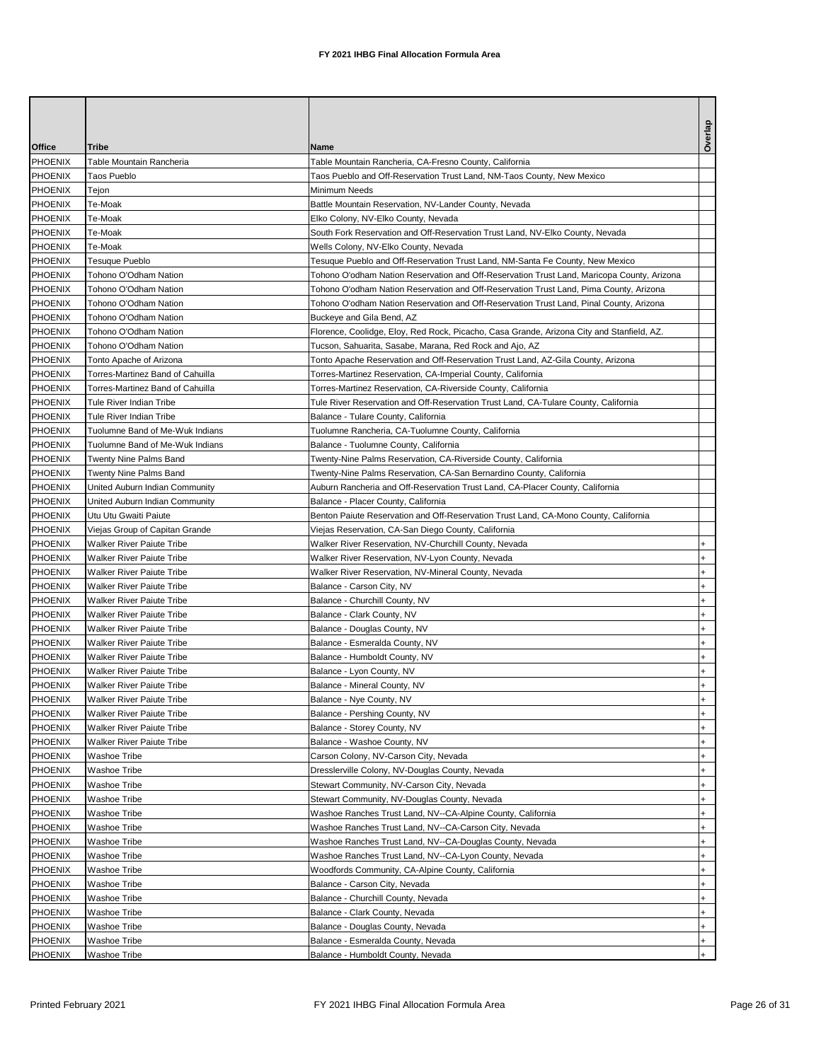|                                  |                                                               |                                                                                                           | Overlap                          |
|----------------------------------|---------------------------------------------------------------|-----------------------------------------------------------------------------------------------------------|----------------------------------|
| Office                           | Tribe                                                         | Name                                                                                                      |                                  |
| <b>PHOENIX</b>                   | Table Mountain Rancheria                                      | Table Mountain Rancheria, CA-Fresno County, California                                                    |                                  |
| <b>PHOENIX</b>                   | <b>Taos Pueblo</b>                                            | Taos Pueblo and Off-Reservation Trust Land, NM-Taos County, New Mexico                                    |                                  |
| PHOENIX                          | Tejon                                                         | Minimum Needs                                                                                             |                                  |
| <b>PHOENIX</b>                   | Te-Moak                                                       | Battle Mountain Reservation, NV-Lander County, Nevada                                                     |                                  |
| <b>PHOENIX</b>                   | Te-Moak                                                       | Elko Colony, NV-Elko County, Nevada                                                                       |                                  |
| <b>PHOENIX</b>                   | Te-Moak                                                       | South Fork Reservation and Off-Reservation Trust Land, NV-Elko County, Nevada                             |                                  |
| <b>PHOENIX</b>                   | Te-Moak                                                       | Wells Colony, NV-Elko County, Nevada                                                                      |                                  |
| <b>PHOENIX</b>                   | Tesuque Pueblo                                                | Tesuque Pueblo and Off-Reservation Trust Land, NM-Santa Fe County, New Mexico                             |                                  |
| <b>PHOENIX</b>                   | Tohono O'Odham Nation                                         | Tohono O'odham Nation Reservation and Off-Reservation Trust Land, Maricopa County, Arizona                |                                  |
| <b>PHOENIX</b>                   | Tohono O'Odham Nation                                         | Tohono O'odham Nation Reservation and Off-Reservation Trust Land, Pima County, Arizona                    |                                  |
| <b>PHOENIX</b>                   | Tohono O'Odham Nation                                         | Tohono O'odham Nation Reservation and Off-Reservation Trust Land, Pinal County, Arizona                   |                                  |
| <b>PHOENIX</b>                   | Tohono O'Odham Nation                                         | Buckeye and Gila Bend, AZ                                                                                 |                                  |
| <b>PHOENIX</b>                   | Tohono O'Odham Nation                                         | Florence, Coolidge, Eloy, Red Rock, Picacho, Casa Grande, Arizona City and Stanfield, AZ.                 |                                  |
| <b>PHOENIX</b>                   | Tohono O'Odham Nation                                         | Tucson, Sahuarita, Sasabe, Marana, Red Rock and Ajo, AZ                                                   |                                  |
| <b>PHOENIX</b>                   | Tonto Apache of Arizona                                       | Tonto Apache Reservation and Off-Reservation Trust Land, AZ-Gila County, Arizona                          |                                  |
| <b>PHOENIX</b>                   | Torres-Martinez Band of Cahuilla                              | Torres-Martinez Reservation, CA-Imperial County, California                                               |                                  |
| PHOENIX                          | Torres-Martinez Band of Cahuilla                              | Torres-Martinez Reservation, CA-Riverside County, California                                              |                                  |
| <b>PHOENIX</b>                   | Tule River Indian Tribe                                       | Tule River Reservation and Off-Reservation Trust Land, CA-Tulare County, California                       |                                  |
| <b>PHOENIX</b>                   | Tule River Indian Tribe                                       | Balance - Tulare County, California                                                                       |                                  |
| <b>PHOENIX</b>                   | Tuolumne Band of Me-Wuk Indians                               | Tuolumne Rancheria, CA-Tuolumne County, California                                                        |                                  |
| <b>PHOENIX</b>                   | Tuolumne Band of Me-Wuk Indians                               | Balance - Tuolumne County, California                                                                     |                                  |
| <b>PHOENIX</b>                   | Twenty Nine Palms Band                                        | Twenty-Nine Palms Reservation, CA-Riverside County, California                                            |                                  |
| <b>PHOENIX</b>                   | Twenty Nine Palms Band                                        | Twenty-Nine Palms Reservation, CA-San Bernardino County, California                                       |                                  |
| <b>PHOENIX</b>                   | United Auburn Indian Community                                | Auburn Rancheria and Off-Reservation Trust Land, CA-Placer County, California                             |                                  |
| <b>PHOENIX</b>                   | United Auburn Indian Community                                | Balance - Placer County, California                                                                       |                                  |
| <b>PHOENIX</b>                   | Utu Utu Gwaiti Paiute                                         | Benton Paiute Reservation and Off-Reservation Trust Land, CA-Mono County, California                      |                                  |
| <b>PHOENIX</b>                   | Viejas Group of Capitan Grande                                | Viejas Reservation, CA-San Diego County, California                                                       |                                  |
| <b>PHOENIX</b><br><b>PHOENIX</b> | <b>Walker River Paiute Tribe</b><br>Walker River Paiute Tribe | Walker River Reservation, NV-Churchill County, Nevada<br>Walker River Reservation, NV-Lyon County, Nevada |                                  |
| <b>PHOENIX</b>                   | Walker River Paiute Tribe                                     | Walker River Reservation, NV-Mineral County, Nevada                                                       | $\ddot{}$                        |
| <b>PHOENIX</b>                   | <b>Walker River Paiute Tribe</b>                              | Balance - Carson City, NV                                                                                 | +                                |
| <b>PHOENIX</b>                   | Walker River Paiute Tribe                                     | Balance - Churchill County, NV                                                                            | $\ddot{}$                        |
| <b>PHOENIX</b>                   | <b>Walker River Paiute Tribe</b>                              | Balance - Clark County, NV                                                                                | +                                |
| <b>PHOENIX</b>                   | <b>Walker River Paiute Tribe</b>                              | Balance - Douglas County, NV                                                                              | $\ddot{}$                        |
| <b>PHOENIX</b>                   | <b>Walker River Paiute Tribe</b>                              | Balance - Esmeralda County, NV                                                                            | $\begin{array}{c} + \end{array}$ |
| <b>PHOENIX</b>                   | <b>Walker River Paiute Tribe</b>                              | Balance - Humboldt County, NV                                                                             | $\ddot{}$                        |
| <b>PHOENIX</b>                   | <b>Walker River Paiute Tribe</b>                              | Balance - Lyon County, NV                                                                                 | $\ddot{}$                        |
| <b>PHOENIX</b>                   | <b>Walker River Paiute Tribe</b>                              | Balance - Mineral County, NV                                                                              |                                  |
| <b>PHOENIX</b>                   | Walker River Paiute Tribe                                     | <u> Balance - Nye County, NV</u>                                                                          | $\ddot{}$                        |
| <b>PHOENIX</b>                   | Walker River Paiute Tribe                                     | Balance - Pershing County, NV                                                                             | $\ddot{}$                        |
| PHOENIX                          | <b>Walker River Paiute Tribe</b>                              | Balance - Storey County, NV                                                                               | $\ddot{}$                        |
| <b>PHOENIX</b>                   | <b>Walker River Paiute Tribe</b>                              | Balance - Washoe County, NV                                                                               | $\ddot{}$                        |
| <b>PHOENIX</b>                   | Washoe Tribe                                                  | Carson Colony, NV-Carson City, Nevada                                                                     | $\begin{array}{c} + \end{array}$ |
| <b>PHOENIX</b>                   | Washoe Tribe                                                  | Dresslerville Colony, NV-Douglas County, Nevada                                                           | $\ddot{}$                        |
| <b>PHOENIX</b>                   | Washoe Tribe                                                  | Stewart Community, NV-Carson City, Nevada                                                                 | $+$                              |
| <b>PHOENIX</b>                   | Washoe Tribe                                                  | Stewart Community, NV-Douglas County, Nevada                                                              | $\ddot{}$                        |
| <b>PHOENIX</b>                   | Washoe Tribe                                                  | Washoe Ranches Trust Land, NV--CA-Alpine County, California                                               | $\ddot{}$                        |
| <b>PHOENIX</b>                   | Washoe Tribe                                                  | Washoe Ranches Trust Land, NV--CA-Carson City, Nevada                                                     | $\ddot{}$                        |
| <b>PHOENIX</b>                   | Washoe Tribe                                                  | Washoe Ranches Trust Land, NV--CA-Douglas County, Nevada                                                  | $\ddot{}$                        |
| <b>PHOENIX</b>                   | Washoe Tribe                                                  | Washoe Ranches Trust Land, NV--CA-Lyon County, Nevada                                                     | $\ddot{}$                        |
| <b>PHOENIX</b>                   | Washoe Tribe                                                  | Woodfords Community, CA-Alpine County, California                                                         | $\ddot{}$                        |
| <b>PHOENIX</b>                   | Washoe Tribe                                                  | Balance - Carson City, Nevada                                                                             | +                                |
| PHOENIX                          | Washoe Tribe                                                  | Balance - Churchill County, Nevada                                                                        | $\ddot{}$                        |
| <b>PHOENIX</b>                   | Washoe Tribe                                                  | Balance - Clark County, Nevada                                                                            | $\ddot{}$                        |
| <b>PHOENIX</b>                   | Washoe Tribe                                                  | Balance - Douglas County, Nevada                                                                          | $\begin{array}{c} + \end{array}$ |
| PHOENIX                          | Washoe Tribe                                                  | Balance - Esmeralda County, Nevada                                                                        | $\ddot{}$                        |
| <b>PHOENIX</b>                   | Washoe Tribe                                                  | Balance - Humboldt County, Nevada                                                                         |                                  |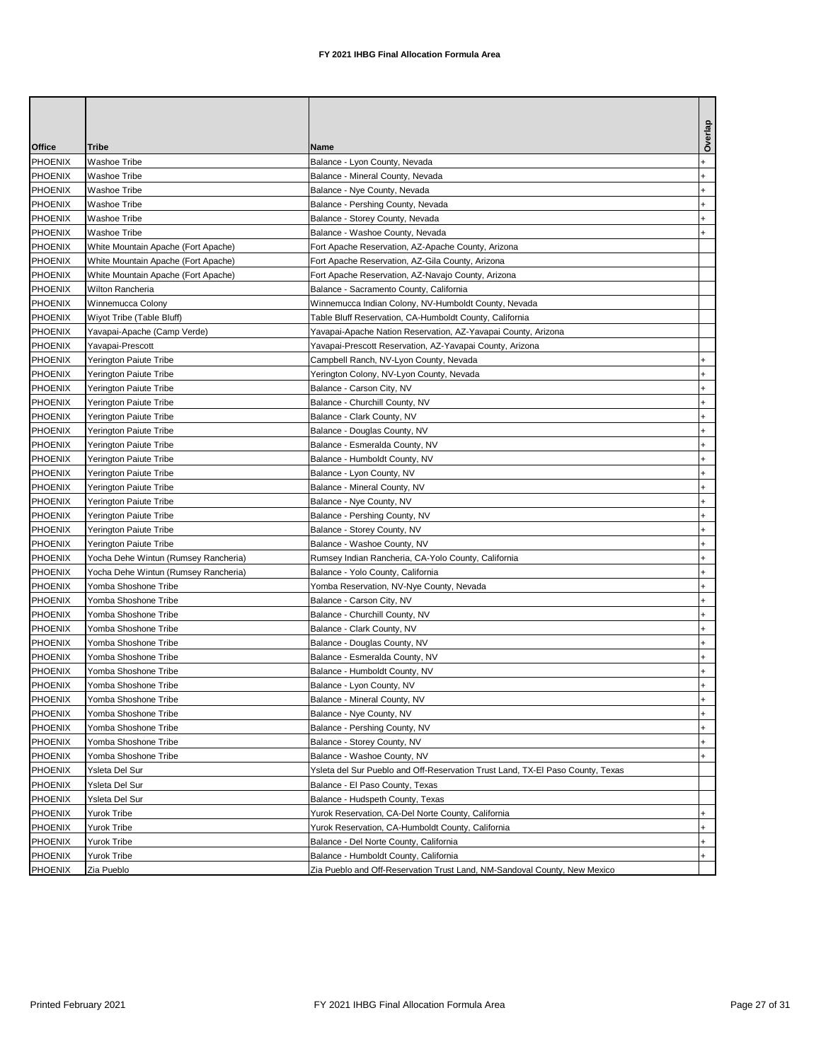| Office         | <b>Tribe</b>                         | Name                                                                           | Overlay   |
|----------------|--------------------------------------|--------------------------------------------------------------------------------|-----------|
| <b>PHOENIX</b> | Washoe Tribe                         | Balance - Lyon County, Nevada                                                  |           |
| PHOENIX        | Washoe Tribe                         | Balance - Mineral County, Nevada                                               |           |
| <b>PHOENIX</b> | Washoe Tribe                         | Balance - Nye County, Nevada                                                   | $\ddot{}$ |
| PHOENIX        | Washoe Tribe                         | Balance - Pershing County, Nevada                                              |           |
| PHOENIX        | Washoe Tribe                         | Balance - Storey County, Nevada                                                |           |
| <b>PHOENIX</b> | Washoe Tribe                         | Balance - Washoe County, Nevada                                                |           |
| <b>PHOENIX</b> | White Mountain Apache (Fort Apache)  | Fort Apache Reservation, AZ-Apache County, Arizona                             |           |
| <b>PHOENIX</b> | White Mountain Apache (Fort Apache)  | Fort Apache Reservation, AZ-Gila County, Arizona                               |           |
| <b>PHOENIX</b> | White Mountain Apache (Fort Apache)  | Fort Apache Reservation, AZ-Navajo County, Arizona                             |           |
| PHOENIX        | Wilton Rancheria                     | Balance - Sacramento County, California                                        |           |
| <b>PHOENIX</b> | Winnemucca Colony                    | Winnemucca Indian Colony, NV-Humboldt County, Nevada                           |           |
| <b>PHOENIX</b> | Wiyot Tribe (Table Bluff)            | Table Bluff Reservation, CA-Humboldt County, California                        |           |
| <b>PHOENIX</b> | Yavapai-Apache (Camp Verde)          | Yavapai-Apache Nation Reservation, AZ-Yavapai County, Arizona                  |           |
| <b>PHOENIX</b> | Yavapai-Prescott                     | Yavapai-Prescott Reservation, AZ-Yavapai County, Arizona                       |           |
| PHOENIX        | Yerington Paiute Tribe               | Campbell Ranch, NV-Lyon County, Nevada                                         |           |
| <b>PHOENIX</b> | Yerington Paiute Tribe               | Yerington Colony, NV-Lyon County, Nevada                                       |           |
| <b>PHOENIX</b> | Yerington Paiute Tribe               | Balance - Carson City, NV                                                      |           |
| PHOENIX        | Yerington Paiute Tribe               | Balance - Churchill County, NV                                                 |           |
| <b>PHOENIX</b> | Yerington Paiute Tribe               | Balance - Clark County, NV                                                     |           |
| <b>PHOENIX</b> | Yerington Paiute Tribe               | Balance - Douglas County, NV                                                   |           |
| <b>PHOENIX</b> | Yerington Paiute Tribe               | Balance - Esmeralda County, NV                                                 |           |
| <b>PHOENIX</b> | Yerington Paiute Tribe               | Balance - Humboldt County, NV                                                  |           |
| <b>PHOENIX</b> | Yerington Paiute Tribe               | Balance - Lyon County, NV                                                      |           |
| <b>PHOENIX</b> | Yerington Paiute Tribe               | Balance - Mineral County, NV                                                   | $\ddot{}$ |
| <b>PHOENIX</b> | Yerington Paiute Tribe               | Balance - Nye County, NV                                                       |           |
| PHOENIX        | Yerington Paiute Tribe               | Balance - Pershing County, NV                                                  |           |
| PHOENIX        | Yerington Paiute Tribe               | Balance - Storey County, NV                                                    |           |
| <b>PHOENIX</b> | Yerington Paiute Tribe               | Balance - Washoe County, NV                                                    | $\ddot{}$ |
| <b>PHOENIX</b> | Yocha Dehe Wintun (Rumsey Rancheria) | Rumsey Indian Rancheria, CA-Yolo County, California                            | $\ddot{}$ |
| PHOENIX        | Yocha Dehe Wintun (Rumsey Rancheria) | Balance - Yolo County, California                                              |           |
| <b>PHOENIX</b> | Yomba Shoshone Tribe                 | Yomba Reservation, NV-Nye County, Nevada                                       | $\ddot{}$ |
| <b>PHOENIX</b> | Yomba Shoshone Tribe                 | Balance - Carson City, NV                                                      | $\ddot{}$ |
| <b>PHOENIX</b> | Yomba Shoshone Tribe                 | Balance - Churchill County, NV                                                 | $+$       |
| PHOENIX        | Yomba Shoshone Tribe                 | Balance - Clark County, NV                                                     |           |
| <b>PHOENIX</b> | Yomba Shoshone Tribe                 | Balance - Douglas County, NV                                                   |           |
| <b>PHOENIX</b> | Yomba Shoshone Tribe                 | Balance - Esmeralda County, NV                                                 | $\ddot{}$ |
| <b>PHOENIX</b> | Yomba Shoshone Tribe                 | Balance - Humboldt County, NV                                                  | $\ddot{}$ |
| <b>PHOENIX</b> | Yomba Shoshone Tribe                 | Balance - Lyon County, NV                                                      |           |
| PHOENIX        | Yomba Shoshone Tribe                 | Balance - Mineral County, NV                                                   |           |
| PHOENIX        | Yomba Shoshone Tribe                 | Balance - Nye County, NV                                                       |           |
| PHOENIX        | Yomba Shoshone Tribe                 | Balance - Pershing County, NV                                                  | $\ddot{}$ |
| PHOENIX        | Yomba Shoshone Tribe                 | Balance - Storey County, NV                                                    |           |
| PHOENIX        | Yomba Shoshone Tribe                 | Balance - Washoe County, NV                                                    |           |
| PHOENIX        | Ysleta Del Sur                       | Ysleta del Sur Pueblo and Off-Reservation Trust Land, TX-EI Paso County, Texas |           |
| PHOENIX        | Ysleta Del Sur                       | Balance - El Paso County, Texas                                                |           |
| PHOENIX        | Ysleta Del Sur                       | Balance - Hudspeth County, Texas                                               |           |
| PHOENIX        | Yurok Tribe                          | Yurok Reservation, CA-Del Norte County, California                             |           |
| PHOENIX        | Yurok Tribe                          | Yurok Reservation, CA-Humboldt County, California                              |           |
| PHOENIX        | Yurok Tribe                          | Balance - Del Norte County, California                                         | $+$       |
| PHOENIX        | Yurok Tribe                          | Balance - Humboldt County, California                                          |           |
| <b>PHOENIX</b> | Zia Pueblo                           | Zia Pueblo and Off-Reservation Trust Land, NM-Sandoval County, New Mexico      |           |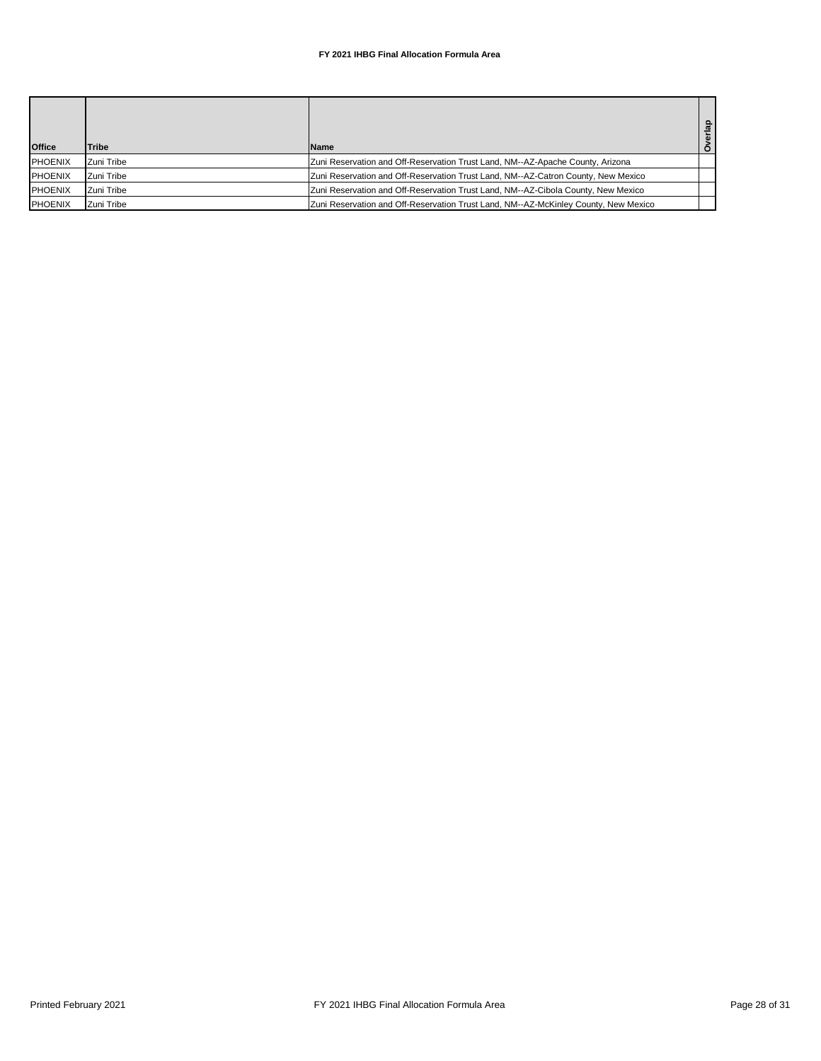## **FY 2021 IHBG Final Allocation Formula Area**

| <b>Office</b>  | <b>Tribe</b> | <b>Name</b>                                                                         | $\Omega$<br>$rac{1}{2}$ |
|----------------|--------------|-------------------------------------------------------------------------------------|-------------------------|
| <b>PHOENIX</b> | Zuni Tribe   | Zuni Reservation and Off-Reservation Trust Land, NM--AZ-Apache County, Arizona      |                         |
| <b>PHOENIX</b> | Zuni Tribe   | Zuni Reservation and Off-Reservation Trust Land, NM--AZ-Catron County, New Mexico   |                         |
| <b>PHOENIX</b> | Zuni Tribe   | Zuni Reservation and Off-Reservation Trust Land, NM--AZ-Cibola County, New Mexico   |                         |
| <b>PHOENIX</b> | Zuni Tribe   | Zuni Reservation and Off-Reservation Trust Land, NM--AZ-McKinley County, New Mexico |                         |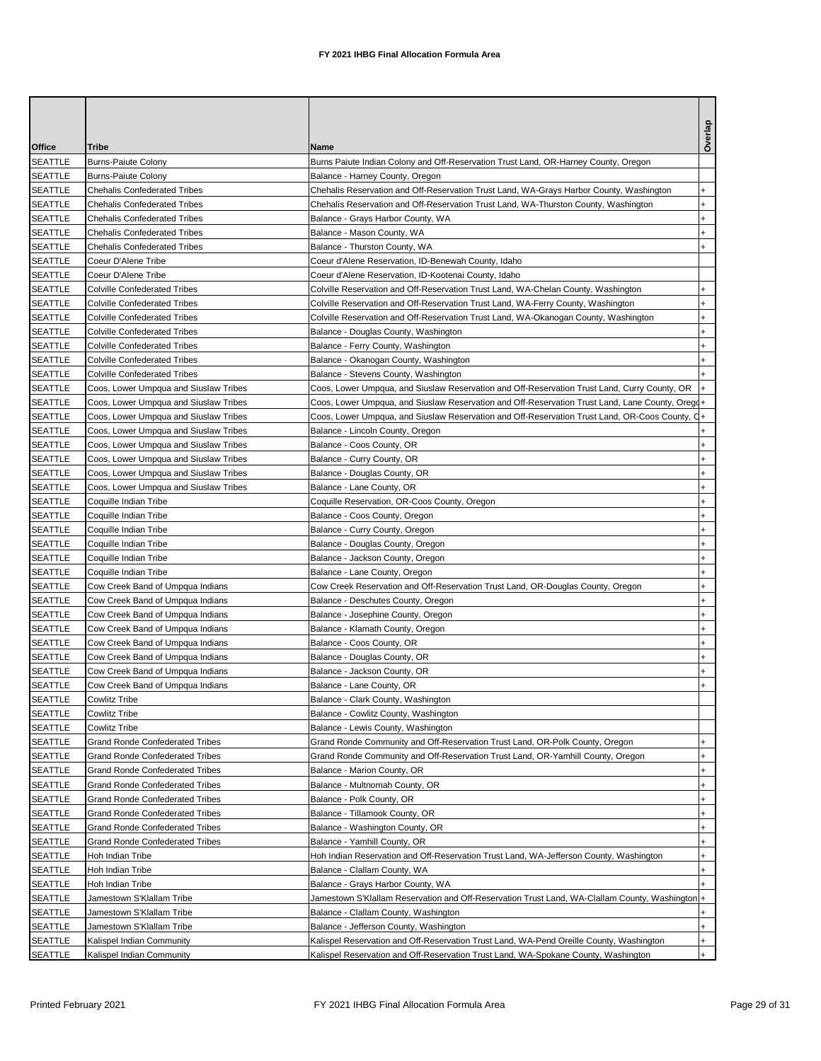| Office                           | Tribe                                  | Name                                                                                            | Overlap   |
|----------------------------------|----------------------------------------|-------------------------------------------------------------------------------------------------|-----------|
| <b>SEATTLE</b>                   | <b>Burns-Paiute Colony</b>             | Burns Paiute Indian Colony and Off-Reservation Trust Land, OR-Harney County, Oregon             |           |
| <b>SEATTLE</b>                   | <b>Burns-Paiute Colony</b>             | Balance - Harney County, Oregon                                                                 |           |
| <b>SEATTLE</b>                   | <b>Chehalis Confederated Tribes</b>    | Chehalis Reservation and Off-Reservation Trust Land, WA-Grays Harbor County, Washington         |           |
| <b>SEATTLE</b>                   | <b>Chehalis Confederated Tribes</b>    | Chehalis Reservation and Off-Reservation Trust Land, WA-Thurston County, Washington             | $\ddot{}$ |
| <b>SEATTLE</b>                   | <b>Chehalis Confederated Tribes</b>    | Balance - Grays Harbor County, WA                                                               | $\ddot{}$ |
| <b>SEATTLE</b>                   | <b>Chehalis Confederated Tribes</b>    | Balance - Mason County, WA                                                                      | $\ddot{}$ |
| <b>SEATTLE</b>                   | <b>Chehalis Confederated Tribes</b>    | Balance - Thurston County, WA                                                                   |           |
| <b>SEATTLE</b>                   | Coeur D'Alene Tribe                    | Coeur d'Alene Reservation, ID-Benewah County, Idaho                                             |           |
| <b>SEATTLE</b>                   | Coeur D'Alene Tribe                    | Coeur d'Alene Reservation, ID-Kootenai County, Idaho                                            |           |
| <b>SEATTLE</b>                   | <b>Colville Confederated Tribes</b>    | Colville Reservation and Off-Reservation Trust Land, WA-Chelan County, Washington               | $\ddot{}$ |
| <b>SEATTLE</b>                   | <b>Colville Confederated Tribes</b>    | Colville Reservation and Off-Reservation Trust Land, WA-Ferry County, Washington                | $\ddot{}$ |
| <b>SEATTLE</b>                   | <b>Colville Confederated Tribes</b>    | Colville Reservation and Off-Reservation Trust Land, WA-Okanogan County, Washington             | $\ddot{}$ |
| <b>SEATTLE</b>                   | <b>Colville Confederated Tribes</b>    | Balance - Douglas County, Washington                                                            | $\ddot{}$ |
| <b>SEATTLE</b>                   | <b>Colville Confederated Tribes</b>    | Balance - Ferry County, Washington                                                              | $\ddot{}$ |
| <b>SEATTLE</b>                   | <b>Colville Confederated Tribes</b>    | Balance - Okanogan County, Washington                                                           |           |
| <b>SEATTLE</b>                   | <b>Colville Confederated Tribes</b>    | Balance - Stevens County, Washington                                                            |           |
| <b>SEATTLE</b>                   | Coos, Lower Umpqua and Siuslaw Tribes  | Coos, Lower Umpqua, and Siuslaw Reservation and Off-Reservation Trust Land, Curry County, OR    |           |
| <b>SEATTLE</b>                   | Coos, Lower Umpqua and Siuslaw Tribes  | Coos, Lower Umpqua, and Siuslaw Reservation and Off-Reservation Trust Land, Lane County, Oregq+ |           |
| <b>SEATTLE</b>                   | Coos, Lower Umpqua and Siuslaw Tribes  | Coos, Lower Umpqua, and Siuslaw Reservation and Off-Reservation Trust Land, OR-Coos County, Q+  |           |
| <b>SEATTLE</b>                   | Coos, Lower Umpqua and Siuslaw Tribes  | Balance - Lincoln County, Oregon                                                                |           |
| <b>SEATTLE</b>                   | Coos, Lower Umpqua and Siuslaw Tribes  | Balance - Coos County, OR                                                                       |           |
| <b>SEATTLE</b>                   | Coos, Lower Umpqua and Siuslaw Tribes  | Balance - Curry County, OR                                                                      | $\ddot{}$ |
| <b>SEATTLE</b>                   | Coos, Lower Umpqua and Siuslaw Tribes  | Balance - Douglas County, OR                                                                    | +         |
| <b>SEATTLE</b>                   | Coos, Lower Umpqua and Siuslaw Tribes  | Balance - Lane County, OR                                                                       | $\ddot{}$ |
| <b>SEATTLE</b>                   | Coquille Indian Tribe                  | Coquille Reservation, OR-Coos County, Oregon                                                    | $\ddot{}$ |
| <b>SEATTLE</b>                   | Coquille Indian Tribe                  | Balance - Coos County, Oregon                                                                   | $\ddot{}$ |
| <b>SEATTLE</b>                   | Coquille Indian Tribe                  | Balance - Curry County, Oregon                                                                  | $\ddot{}$ |
| <b>SEATTLE</b>                   | Coquille Indian Tribe                  | Balance - Douglas County, Oregon                                                                | $\ddot{}$ |
| <b>SEATTLE</b>                   | Coquille Indian Tribe                  | Balance - Jackson County, Oregon                                                                | $\ddot{}$ |
| <b>SEATTLE</b>                   | Coquille Indian Tribe                  | Balance - Lane County, Oregon                                                                   | $\ddot{}$ |
| <b>SEATTLE</b>                   | Cow Creek Band of Umpqua Indians       | Cow Creek Reservation and Off-Reservation Trust Land, OR-Douglas County, Oregon                 | $\ddot{}$ |
| <b>SEATTLE</b>                   | Cow Creek Band of Umpqua Indians       | Balance - Deschutes County, Oregon                                                              | $\ddot{}$ |
| <b>SEATTLE</b>                   | Cow Creek Band of Umpqua Indians       | Balance - Josephine County, Oregon                                                              | $\ddot{}$ |
| <b>SEATTLE</b>                   | Cow Creek Band of Umpqua Indians       | Balance - Klamath County, Oregon                                                                |           |
|                                  | Cow Creek Band of Umpqua Indians       |                                                                                                 | $\ddot{}$ |
| <b>SEATTLE</b><br><b>SEATTLE</b> | Cow Creek Band of Umpqua Indians       | Balance - Coos County, OR                                                                       | $\ddot{}$ |
|                                  |                                        | Balance - Douglas County, OR                                                                    |           |
| <b>SEATTLE</b><br><b>SEATTLE</b> | Cow Creek Band of Umpqua Indians       | Balance - Jackson County, OR                                                                    | $\ddot{}$ |
|                                  | Cow Creek Band of Umpqua Indians       | Balance - Lane County, OR                                                                       |           |
| <b>SEATTLE</b>                   | Cowlitz Tribe                          | Balance - Clark County, Washington                                                              |           |
| <b>SEATTLE</b>                   | <b>Cowlitz Tribe</b>                   | Balance - Cowlitz County, Washington                                                            |           |
| SEATTLE                          | <b>Cowlitz Tribe</b>                   | Balance - Lewis County, Washington                                                              |           |
| <b>SEATTLE</b>                   | <b>Grand Ronde Confederated Tribes</b> | Grand Ronde Community and Off-Reservation Trust Land, OR-Polk County, Oregon                    |           |
| <b>SEATTLE</b>                   | <b>Grand Ronde Confederated Tribes</b> | Grand Ronde Community and Off-Reservation Trust Land, OR-Yamhill County, Oregon                 | $\ddot{}$ |
| <b>SEATTLE</b>                   | <b>Grand Ronde Confederated Tribes</b> | Balance - Marion County, OR                                                                     | $\ddot{}$ |
| <b>SEATTLE</b>                   | <b>Grand Ronde Confederated Tribes</b> | Balance - Multnomah County, OR                                                                  | $\ddot{}$ |
| <b>SEATTLE</b>                   | <b>Grand Ronde Confederated Tribes</b> | Balance - Polk County, OR                                                                       | +         |
| <b>SEATTLE</b>                   | <b>Grand Ronde Confederated Tribes</b> | Balance - Tillamook County, OR                                                                  | $\ddot{}$ |
| <b>SEATTLE</b>                   | <b>Grand Ronde Confederated Tribes</b> | Balance - Washington County, OR                                                                 | $\ddot{}$ |
| <b>SEATTLE</b>                   | <b>Grand Ronde Confederated Tribes</b> | Balance - Yamhill County, OR                                                                    | $\ddot{}$ |
| SEATTLE                          | Hoh Indian Tribe                       | Hoh Indian Reservation and Off-Reservation Trust Land, WA-Jefferson County, Washington          | $\ddot{}$ |
| <b>SEATTLE</b>                   | Hoh Indian Tribe                       | Balance - Clallam County, WA                                                                    | $\ddot{}$ |
| <b>SEATTLE</b>                   | Hoh Indian Tribe                       | Balance - Grays Harbor County, WA                                                               |           |
| <b>SEATTLE</b>                   | Jamestown S'Klallam Tribe              | Jamestown S'Klallam Reservation and Off-Reservation Trust Land, WA-Clallam County, Washington + |           |
| <b>SEATTLE</b>                   | Jamestown S'Klallam Tribe              | Balance - Clallam County, Washington                                                            | $\ddot{}$ |
| SEATTLE                          | Jamestown S'Klallam Tribe              | Balance - Jefferson County, Washington                                                          | $\ddot{}$ |
| SEATTLE                          | Kalispel Indian Community              | Kalispel Reservation and Off-Reservation Trust Land, WA-Pend Oreille County, Washington         | $+$       |
| <b>SEATTLE</b>                   | Kalispel Indian Community              | Kalispel Reservation and Off-Reservation Trust Land, WA-Spokane County, Washington              | $\ddot{}$ |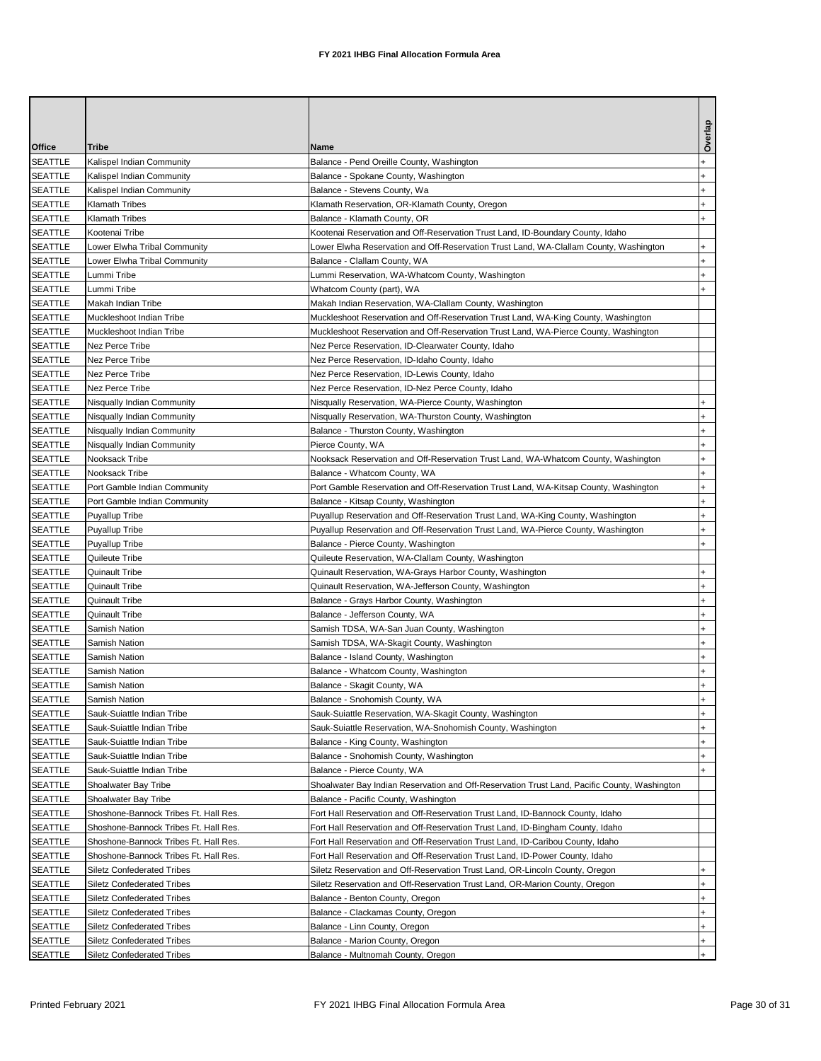| Office         | Tribe                                 | Name                                                                                         | Overlap      |
|----------------|---------------------------------------|----------------------------------------------------------------------------------------------|--------------|
| <b>SEATTLE</b> | Kalispel Indian Community             | Balance - Pend Oreille County, Washington                                                    | $\ddot{}$    |
| <b>SEATTLE</b> | Kalispel Indian Community             | Balance - Spokane County, Washington                                                         | $\ddot{}$    |
| <b>SEATTLE</b> | Kalispel Indian Community             | Balance - Stevens County, Wa                                                                 | $\ddot{}$    |
| <b>SEATTLE</b> | <b>Klamath Tribes</b>                 | Klamath Reservation, OR-Klamath County, Oregon                                               | +            |
| <b>SEATTLE</b> | <b>Klamath Tribes</b>                 | Balance - Klamath County, OR                                                                 | $\ddot{}$    |
| <b>SEATTLE</b> | Kootenai Tribe                        | Kootenai Reservation and Off-Reservation Trust Land, ID-Boundary County, Idaho               |              |
| <b>SEATTLE</b> | Lower Elwha Tribal Community          | Lower Elwha Reservation and Off-Reservation Trust Land, WA-Clallam County, Washington        | $\ddot{}$    |
| <b>SEATTLE</b> | Lower Elwha Tribal Community          | Balance - Clallam County, WA                                                                 | +            |
| <b>SEATTLE</b> | Lummi Tribe                           | Lummi Reservation, WA-Whatcom County, Washington                                             | $\ddot{}$    |
| <b>SEATTLE</b> | Lummi Tribe                           | Whatcom County (part), WA                                                                    |              |
| <b>SEATTLE</b> | Makah Indian Tribe                    | Makah Indian Reservation, WA-Clallam County, Washington                                      |              |
| <b>SEATTLE</b> | Muckleshoot Indian Tribe              | Muckleshoot Reservation and Off-Reservation Trust Land, WA-King County, Washington           |              |
| <b>SEATTLE</b> | Muckleshoot Indian Tribe              | Muckleshoot Reservation and Off-Reservation Trust Land, WA-Pierce County, Washington         |              |
| <b>SEATTLE</b> | Nez Perce Tribe                       | Nez Perce Reservation, ID-Clearwater County, Idaho                                           |              |
| <b>SEATTLE</b> | Nez Perce Tribe                       | Nez Perce Reservation, ID-Idaho County, Idaho                                                |              |
| <b>SEATTLE</b> | Nez Perce Tribe                       | Nez Perce Reservation, ID-Lewis County, Idaho                                                |              |
| <b>SEATTLE</b> | Nez Perce Tribe                       | Nez Perce Reservation, ID-Nez Perce County, Idaho                                            |              |
| <b>SEATTLE</b> | Nisqually Indian Community            | Nisqually Reservation, WA-Pierce County, Washington                                          | $\ddot{}$    |
| <b>SEATTLE</b> | Nisqually Indian Community            | Nisqually Reservation, WA-Thurston County, Washington                                        | $\ddot{}$    |
| <b>SEATTLE</b> | Nisqually Indian Community            | Balance - Thurston County, Washington                                                        | $\ddot{}$    |
| <b>SEATTLE</b> | <b>Nisqually Indian Community</b>     | Pierce County, WA                                                                            |              |
| <b>SEATTLE</b> | Nooksack Tribe                        | Nooksack Reservation and Off-Reservation Trust Land, WA-Whatcom County, Washington           | $\ddot{}$    |
| <b>SEATTLE</b> | Nooksack Tribe                        | Balance - Whatcom County, WA                                                                 | <sup>+</sup> |
| <b>SEATTLE</b> | Port Gamble Indian Community          | Port Gamble Reservation and Off-Reservation Trust Land, WA-Kitsap County, Washington         | $\ddot{}$    |
| <b>SEATTLE</b> | Port Gamble Indian Community          | Balance - Kitsap County, Washington                                                          | $\ddot{}$    |
| <b>SEATTLE</b> | <b>Puyallup Tribe</b>                 | Puyallup Reservation and Off-Reservation Trust Land, WA-King County, Washington              | $\ddot{}$    |
| <b>SEATTLE</b> | <b>Puyallup Tribe</b>                 | Puyallup Reservation and Off-Reservation Trust Land, WA-Pierce County, Washington            | +            |
| <b>SEATTLE</b> | <b>Puyallup Tribe</b>                 | Balance - Pierce County, Washington                                                          | $\ddot{}$    |
| <b>SEATTLE</b> | Quileute Tribe                        | Quileute Reservation, WA-Clallam County, Washington                                          |              |
| <b>SEATTLE</b> | Quinault Tribe                        | Quinault Reservation, WA-Grays Harbor County, Washington                                     | $\ddot{}$    |
| <b>SEATTLE</b> | Quinault Tribe                        | Quinault Reservation, WA-Jefferson County, Washington                                        | +            |
| <b>SEATTLE</b> | Quinault Tribe                        | Balance - Grays Harbor County, Washington                                                    | $\ddot{}$    |
| <b>SEATTLE</b> | Quinault Tribe                        | Balance - Jefferson County, WA                                                               |              |
| <b>SEATTLE</b> | <b>Samish Nation</b>                  | Samish TDSA, WA-San Juan County, Washington                                                  | $\ddot{}$    |
| <b>SEATTLE</b> | Samish Nation                         | Samish TDSA, WA-Skagit County, Washington                                                    | $\ddot{}$    |
| <b>SEATTLE</b> | Samish Nation                         | Balance - Island County, Washington                                                          | $\ddot{}$    |
| <b>SEATTLE</b> | Samish Nation                         | Balance - Whatcom County, Washington                                                         | $+$          |
| <b>SEATTLE</b> | Samish Nation                         | Balance - Skagit County, WA                                                                  |              |
| <b>SEATTLE</b> | Samish Nation                         | Balance - Snohomish County, WA                                                               | $\ddot{}$    |
| <b>SEATTLE</b> | Sauk-Suiattle Indian Tribe            | Sauk-Suiattle Reservation, WA-Skagit County, Washington                                      | $\ddot{}$    |
| <b>SEATTLE</b> | Sauk-Suiattle Indian Tribe            | Sauk-Suiattle Reservation, WA-Snohomish County, Washington                                   | $\ddot{}$    |
| <b>SEATTLE</b> | Sauk-Suiattle Indian Tribe            | Balance - King County, Washington                                                            | $\ddot{}$    |
| <b>SEATTLE</b> | Sauk-Suiattle Indian Tribe            | Balance - Snohomish County, Washington                                                       | $\ddot{}$    |
| <b>SEATTLE</b> | Sauk-Suiattle Indian Tribe            | Balance - Pierce County, WA                                                                  |              |
| <b>SEATTLE</b> | Shoalwater Bay Tribe                  | Shoalwater Bay Indian Reservation and Off-Reservation Trust Land, Pacific County, Washington |              |
| <b>SEATTLE</b> | Shoalwater Bay Tribe                  | Balance - Pacific County, Washington                                                         |              |
| <b>SEATTLE</b> | Shoshone-Bannock Tribes Ft. Hall Res. | Fort Hall Reservation and Off-Reservation Trust Land, ID-Bannock County, Idaho               |              |
| <b>SEATTLE</b> | Shoshone-Bannock Tribes Ft. Hall Res. | Fort Hall Reservation and Off-Reservation Trust Land, ID-Bingham County, Idaho               |              |
| <b>SEATTLE</b> | Shoshone-Bannock Tribes Ft. Hall Res. | Fort Hall Reservation and Off-Reservation Trust Land, ID-Caribou County, Idaho               |              |
| <b>SEATTLE</b> | Shoshone-Bannock Tribes Ft. Hall Res. | Fort Hall Reservation and Off-Reservation Trust Land, ID-Power County, Idaho                 |              |
| <b>SEATTLE</b> | Siletz Confederated Tribes            | Siletz Reservation and Off-Reservation Trust Land, OR-Lincoln County, Oregon                 | $\ddot{}$    |
| <b>SEATTLE</b> | <b>Siletz Confederated Tribes</b>     | Siletz Reservation and Off-Reservation Trust Land, OR-Marion County, Oregon                  | +            |
| <b>SEATTLE</b> | <b>Siletz Confederated Tribes</b>     | Balance - Benton County, Oregon                                                              | $\ddot{}$    |
| <b>SEATTLE</b> | Siletz Confederated Tribes            | Balance - Clackamas County, Oregon                                                           | $\ddot{}$    |
| <b>SEATTLE</b> | Siletz Confederated Tribes            | Balance - Linn County, Oregon                                                                | $\ddot{}$    |
| <b>SEATTLE</b> | <b>Siletz Confederated Tribes</b>     | Balance - Marion County, Oregon                                                              | $\ddot{}$    |
| <b>SEATTLE</b> | <b>Siletz Confederated Tribes</b>     | Balance - Multnomah County, Oregon                                                           |              |